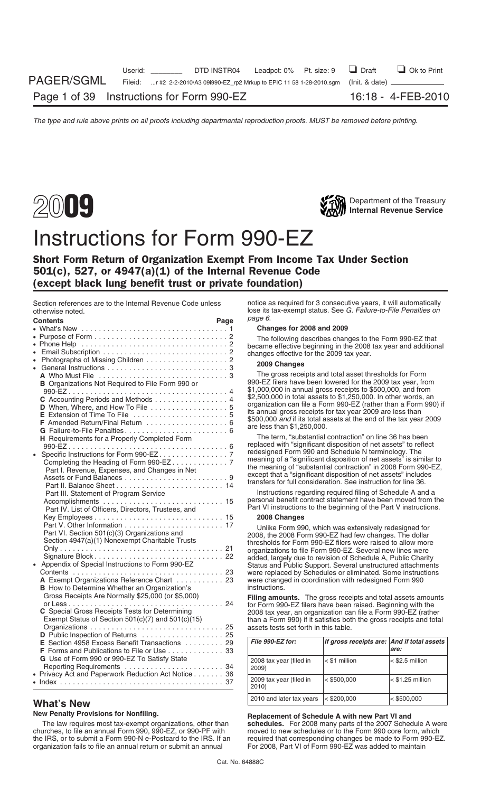



# Instructions for Form 990-EZ

## Short Form Return of Organization Exempt From Income Tax Under Section 501(c), 527, or 4947(a)(1) of the Internal Revenue Code (except black lung benefit trust or private foundation)

| UUIGI WIJG TIULGU.                                                                                                                                                                                                                                       |      | lose no las escriptivado. Oce el rigilare território rigilitado en<br>page 6.                                                                                                                                                                                                                                                                                                                                                                                                                                       |                                            |                    |
|----------------------------------------------------------------------------------------------------------------------------------------------------------------------------------------------------------------------------------------------------------|------|---------------------------------------------------------------------------------------------------------------------------------------------------------------------------------------------------------------------------------------------------------------------------------------------------------------------------------------------------------------------------------------------------------------------------------------------------------------------------------------------------------------------|--------------------------------------------|--------------------|
| <b>Contents</b>                                                                                                                                                                                                                                          | Page |                                                                                                                                                                                                                                                                                                                                                                                                                                                                                                                     |                                            |                    |
|                                                                                                                                                                                                                                                          |      | Changes for 2008 and 2009                                                                                                                                                                                                                                                                                                                                                                                                                                                                                           |                                            |                    |
|                                                                                                                                                                                                                                                          |      | The following describes changes to the Form 990-EZ that                                                                                                                                                                                                                                                                                                                                                                                                                                                             |                                            |                    |
|                                                                                                                                                                                                                                                          |      | became effective beginning in the 2008 tax year and additional                                                                                                                                                                                                                                                                                                                                                                                                                                                      |                                            |                    |
|                                                                                                                                                                                                                                                          |      | changes effective for the 2009 tax year.                                                                                                                                                                                                                                                                                                                                                                                                                                                                            |                                            |                    |
| • Photographs of Missing Children 2                                                                                                                                                                                                                      |      | 2009 Changes                                                                                                                                                                                                                                                                                                                                                                                                                                                                                                        |                                            |                    |
|                                                                                                                                                                                                                                                          |      | The gross receipts and total asset thresholds for Form                                                                                                                                                                                                                                                                                                                                                                                                                                                              |                                            |                    |
| <b>B</b> Organizations Not Required to File Form 990 or<br>C Accounting Periods and Methods 4                                                                                                                                                            |      | 990-EZ filers have been lowered for the 2009 tax year, from<br>\$1,000,000 in annual gross receipts to \$500,000, and from<br>\$2,500,000 in total assets to \$1,250,000. In other words, an<br>organization can file a Form 990-EZ (rather than a Form 990) if                                                                                                                                                                                                                                                     |                                            |                    |
| D When, Where, and How To File 5<br>F Amended Return/Final Return  6<br>G Failure-to-File Penalties 6                                                                                                                                                    |      | its annual gross receipts for tax year 2009 are less than<br>\$500,000 and if its total assets at the end of the tax year 2009<br>are less than \$1,250,000.                                                                                                                                                                                                                                                                                                                                                        |                                            |                    |
| H Requirements for a Properly Completed Form                                                                                                                                                                                                             |      | The term, "substantial contraction" on line 36 has been<br>replaced with "significant disposition of net assets" to reflect                                                                                                                                                                                                                                                                                                                                                                                         |                                            |                    |
| Part I. Revenue, Expenses, and Changes in Net                                                                                                                                                                                                            |      | redesigned Form 990 and Schedule N terminology. The<br>meaning of a "significant disposition of net assets" is similar to<br>the meaning of "substantial contraction" in 2008 Form 990-EZ,<br>except that a "significant disposition of net assets" includes<br>transfers for full consideration. See instruction for line 36.                                                                                                                                                                                      |                                            |                    |
| Part III. Statement of Program Service<br>Part IV. List of Officers, Directors, Trustees, and                                                                                                                                                            |      | Instructions regarding required filing of Schedule A and a<br>personal benefit contract statement have been moved from the<br>Part VI instructions to the beginning of the Part V instructions.                                                                                                                                                                                                                                                                                                                     |                                            |                    |
|                                                                                                                                                                                                                                                          |      | 2008 Changes                                                                                                                                                                                                                                                                                                                                                                                                                                                                                                        |                                            |                    |
| Part VI. Section 501(c)(3) Organizations and<br>Section 4947(a)(1) Nonexempt Charitable Trusts<br>• Appendix of Special Instructions to Form 990-EZ<br>A Exempt Organizations Reference Chart  23<br><b>B</b> How to Determine Whether an Organization's |      | Unlike Form 990, which was extensively redesigned for<br>2008, the 2008 Form 990-EZ had few changes. The dollar<br>thresholds for Form 990-EZ filers were raised to allow more<br>organizations to file Form 990-EZ. Several new lines were<br>added, largely due to revision of Schedule A, Public Charity<br>Status and Public Support. Several unstructured attachments<br>were replaced by Schedules or eliminated. Some instructions<br>were changed in coordination with redesigned Form 990<br>instructions. |                                            |                    |
| Gross Receipts Are Normally \$25,000 (or \$5,000)<br>C Special Gross Receipts Tests for Determining<br>Exempt Status of Section $501(c)(7)$ and $501(c)(15)$<br>D Public Inspection of Returns  25                                                       |      | Filing amounts. The gross receipts and total assets amounts<br>for Form 990-EZ filers have been raised. Beginning with the<br>2008 tax year, an organization can file a Form 990-EZ (rather<br>than a Form 990) if it satisfies both the gross receipts and total<br>assets tests set forth in this table.                                                                                                                                                                                                          |                                            |                    |
| E Section 4958 Excess Benefit Transactions 29<br>F Forms and Publications to File or Use 33                                                                                                                                                              |      | File 990-EZ for:                                                                                                                                                                                                                                                                                                                                                                                                                                                                                                    | If gross receipts are: And if total assets | are:               |
| G Use of Form 990 or 990-EZ To Satisfy State                                                                                                                                                                                                             |      | 2008 tax year (filed in<br>2009)                                                                                                                                                                                                                                                                                                                                                                                                                                                                                    | $\leq$ \$1 million                         | $<$ \$2.5 million  |
| • Privacy Act and Paperwork Reduction Act Notice 36                                                                                                                                                                                                      |      | 2009 tax year (filed in<br>2010)                                                                                                                                                                                                                                                                                                                                                                                                                                                                                    | $ $ < \$500,000                            | $<$ \$1.25 million |

churches, to file an annual Form 990, 990-EZ, or 990-PF with the IRS, or to submit a Form 990-N e-Postcard to the IRS. If an organization fails to file an annual return or submit an annual

Section references are to the Internal Revenue Code unless notice as required for 3 consecutive years, it will automatically<br>
otherwise noted<br>
otherwise noted Failure-to-File Penalties on lose its tax-exempt status. See *G. Failure-to-File Penalties on page 6*.

### Changes for 2008 and 2009

### Key Employees . . . . . . . . . . . . . . . . . . . . . . . . . . . . . . 15 **2008 Changes**

| E Section 4958 Excess Benefit Transactions 29<br><b>F</b> Forms and Publications to File or Use $\ldots$ ,,,,,,,,,,,,,33 | File 990-EZ for:                             | If gross receipts are: And if total assets | are:                 |
|--------------------------------------------------------------------------------------------------------------------------|----------------------------------------------|--------------------------------------------|----------------------|
| G Use of Form 990 or 990-EZ To Satisfy State                                                                             | 2008 tax year (filed in<br>2009)             | $\leq$ \$1 million                         | $\le$ \$2.5 million  |
| • Privacy Act and Paperwork Reduction Act Notice 36                                                                      | 2009 tax year (filed in<br>2010)             | $\leq$ \$500.000                           | $\le$ \$1.25 million |
| <b>What's New</b>                                                                                                        | 2010 and later tax years $\vert$ < \$200,000 |                                            | $ $ < \$500.000      |

## **New Penalty Provisions for Nonfiling.**<br>The law requires most tax-exempt organizations, other than **Replacement of Schedule A with new Part VI and**<br>**Schedules.** For 2008 many parts of the 2007 Schedules

schedules. For 2008 many parts of the 2007 Schedule A were moved to new schedules or to the Form 990 core form, which required that corresponding changes be made to Form 990-EZ.<br>For 2008, Part VI of Form 990-EZ was added to maintain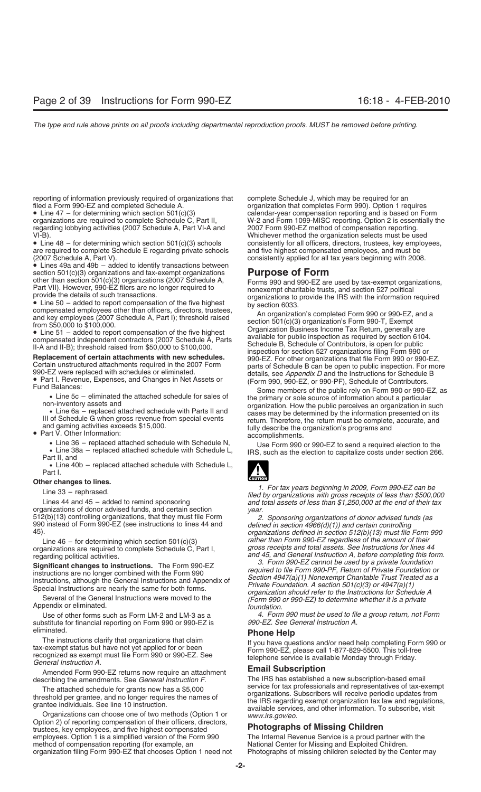reporting of information previously required of organizations that complete Schedule J, which may be required for an filed a Form 990. Option 1 required for an organization that completes Form 990). Option 1 required Sched

regarding lobbying activities (2007 Schedule A, Part VI-A and

• Line 48 – for determining which section 501(c)(3) schools consistently for all officers, directors, trustees, key employees, are required to complete Schedule E reqarding private schools and five highest compensated empl are required to complete Schedule E regarding private schools

• Lines 49a and 49b – added to identify transactions between section  $501(c)(3)$  organizations and tax-exempt organizations

• Line 40b – replaced attached schedule with Schedule L, Part I.

substitute for financial reporting on Form 990 or 990-EZ is

eliminated.<br>
The instructions clarify that organizations that claim<br>
tax-exempt status but have not yet applied for or been<br>
recognized as exempt must file Form 990 or 990-EZ. See<br>
General Instruction A.<br>
Amended Form 990-

Option 2) of reporting compensation of their officers, directors,<br>
trustees, key employees, and five highest compensated<br> **Photographs of Missing Children**<br> **Photographs of Missing Children**<br> **Photographs of Missing Childr** employees. Option 1 is a simplified version of the Form 990 method of compensation reporting (for example, an organization filing Form 990-EZ that chooses Option 1 need not Photographs of missing children selected by the Center may

filed a Form 990-EZ and completed Schedule A. **organization that completes Form 990**). Option 1 requires <br>• Line 47 – for determining which section 501(c)(3) calendar-year compensation reporting and is based on Fo • Line 47 – for determining which section 501(c)(3) calendar-year compensation reporting and is based on Form W-2 and Form 1099-MISC reporting. Option 2 is essentially the 2007 Form 990-EZ method of compensation reporting. VI-B). Whichever method the organization selects must be used (2007 Schedule A, Part V). consistently applied for all tax years beginning with 2008.

section 501(c)(3) organizations and tax-exempt organizations of the prima spectra and section 501(c)(3) organizations (2007 Schedule A,<br>
Part VII). However, 990-EZ files are no longer required to<br>
provide the details of su

• Line 36 – replaced attached schedule with Schedule N,<br>
• Line 38a – replaced attached schedule with Schedule L,<br>
Part II, and<br>
Part II, and



Other changes to lines.<br>
Line 33 – rephrased.<br>
Line 34 and 45 – added to remind sponsoring<br>
or tax years beginning in 2009, Form 990-EZ can be<br>
filed by organizations with gross receipts of less than \$500,000<br>
organizatio

512(b)(13) controlling organizations, that they must file Form<br>990 instead of Form 990-EZ (see instructions to lines 44 and<br>45). *defined in section 4966(d)(1)) and certain controlling*<br>990 *organizations defined in secti* Line 46 – for determining which section 501(c)(3) *rather than Form 990-EZ regardless of the amount of their*<br>1970-yos receipts and total assets. See Instructions for lines 44 organizations are required to complete Schedule C, Part I, *gross receipts and total assets. See Instructions for lines 44*

regarding political activities.<br> **Significant changes to instructions.** The Form 990-EZ<br>
instructions are no longer combined with the Form 990-EZ<br>
instructions are no longer combined with the Form 990-EZ<br>
instructions are

Use of other forms such as Form LM-2 and LM-3 as a *4. Form 990 must be used to file a group return, not Form*

describing the amendments. See *General instruction F*. The IRS has established a new subscription-based email<br>The attached schedule for grants now has a \$5,000<br>threshold per grantee, and no longer requires the names of<br>gr

National Center for Missing and Exploited Children.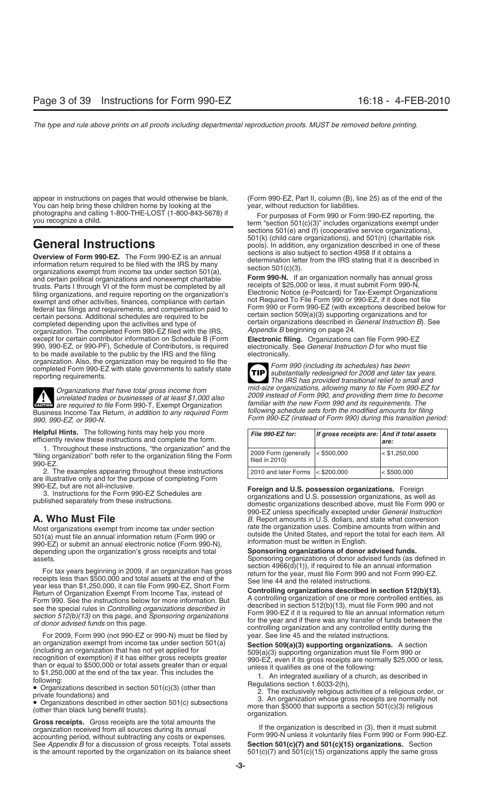appear in instructions on pages that would otherwise be blank. (Form 990-EZ, Part II, column (B), line 25) as of the end of the You can help bring these children home by looking at the year, without reduction for liabilities.<br>
photographs and calling 1-800-THE-LOST (1-800-843-5678) if For purposes of Form 990 or For

**Overview of Form 990-EZ.** The Form 990-EZ is an annual<br>information return required to be filed with the IRS by many<br>organizations exempt from income tax under section 501(a),<br>and certain political organizations and nonex trusts. Parts I through VI of the form must be completed by all<br>filing organizations, and require reporting on the organization's<br>exempt and other activities finances compliance with certain and Required To File Form 990 o exempt and other activities, finances, compliance with certain organization. The completed Form 990-EZ filed with the IRS, except for certain contributor information on Schedule B (Form **Electronic filing.** Organizations can file Form 990-EZ 990, 990-EZ, or 990-PF), Schedule of Contributors, is required electronically.<br>to be made available to the public by the IRS and the filing electronically. to be made available to the public by the IRS and the filing

**ENTION** are required to file Form 990-T, Exempt Organization Business Income Tax Return, in addition to any required Form<br>990, 990-EZ, or 990-N.<br>Form 990-EZ (instead of Form 990) during this transition period:

**Helpful Hints.** The following hints may help you more efficiently review these instructions and complete the form.

1. Throughout these instructions, "the organization" and the "filing organization" both refer to the organization filing the Form 990-EZ.

2. The examples appearing throughout these instructions are illustrative only and for the purpose of completing Form

501(a) must file an annual information return (Form 990 or butside the United States, and report the total for each<br>1990-EZ) or submit an annual electronic notice (Form 990-N), information must be written in English.<br>1990depending upon the organization's gross receipts and total

For tax years beginning in 2009, if an organization has gross<br>receipts less than \$500,000 and total assets at the end of the<br>year less than \$1,250,000, it can file Form 990-EZ, Short Form<br>Peturn of Organization Exempt Fro

For 2009, Form 990 (not 990-EZ or 990-N) must be filed by year. See line 45 and the related instructions.<br>Section 509(a) Supporting organization exempt from income tax under section 501(a) an organization exempt from income tax under section 501(a) **Section 509(a)(3) supporting organizations.** A section (including an organization that has not yet applied for  $509(a)(3)$  supporting organization must file Form 9 (including an organization that has not yet applied for<br>
recognition of exemption) if it has either gross receipts greater<br>
than or equal to \$500,000 or total assets greater than or equal<br>
to \$1,250,000 at the end of the

Gross receipts. Gross receipts are the total amounts the<br>organization is described in (3), then it must submit<br>accounting period, without subtracting any costs or expenses.<br>See Appendix B for a discussion of gross receipts See *Appendix B* for a discussion of gross receipts. Total assets is the amount reported by the organization on its balance sheet  $501(c)(7)$  and  $501(c)(15)$  organizations apply the same gross

photographs and calling 1-800-THE-LOST (1-800-843-5678) if For purposes of Form 990 or Form 990-EZ reporting, the<br>you recognize a child. term "section 501(c)(3)" includes organizations exempt under sections 501(e) and (f) (cooperative service organizations), **General Instructions**<br> **General Instructions**<br> **General Instructions** pools). In addition, any organization described in one of these<br> **Sections** is also subject to section 4958 if it obtains a

Form 990-N. If an organization normally has annual gross receipts of \$25,000 or less, it must submit Form 990-N, Exercise to the secret of the contract of the contract of the contract of the contract of the contract of the contract of the contract of the contract of the contract of the contract of the contract of the contract of the certain organizations described in *General Instruction B*). See<br>Appendix B beginning on page 24.

organization. Also, the organization may be required to file the<br>completed Form 990-EZ with state governments to satisfy state<br>reporting requirements.<br>The IRS has provided transitional relief to small and **TIP** *Organizations that have total gross income from mid-size organizations, allowing many to file Form 990-EZ for* unrelated trades or businesses of at least \$1,000 also<br>are required to file Form 990-T, Exempt Organization familiar with the new Form 990 and its requirements. The<br>ss Income Tax Beturn, in addition to any required Form fo

| File 990-EZ for:                        | If gross receipts are: And if total assets | are:            |
|-----------------------------------------|--------------------------------------------|-----------------|
| 2009 Form (generally<br>filed in 2010)  | $ $ < \$500,000                            | $<$ \$1,250,000 |
| 2010 and later Forms $\vert < $200,000$ |                                            | < \$500,000     |

990-EZ, but are not all-inclusive.<br>3. Instructions for the Form 990-EZ Schedules are<br>published separately from these instructions.<br>domestic organizations and U.S. possession organizations, as well as<br>domestic organizations 990-EZ unless specifically excepted under *General Instruction* **A. Who Must File** *B.* Report amounts in U.S. dollars, and state what conversion *B.* Report amounts in U.S. dollars, and state what conversion *Most craspizations exempt from income tax under section rate the organizat* Most organizations exempt from income tax under section<br>501(a) must file an annual information return (Form 990 or outside the United States, and report the total for each item. All

assets. Sponsoring organizations of donor advised funds (as defined in<br>section 4966(d)(1)), if required to file an annual information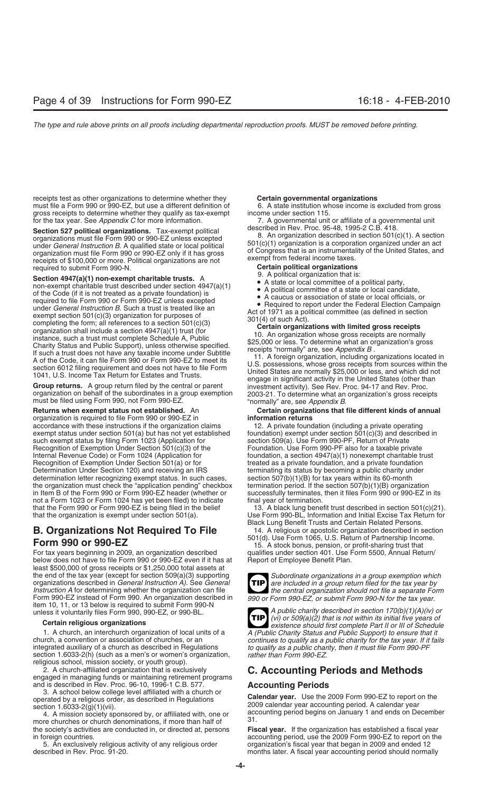receipts test as other organizations to determine whether they **Certain governmental organizations**<br>must file a Form 990 or 990-EZ, but use a different definition of  $\overline{\phantom{0}}$  6. A state institution whose income is exclu must file a Form 990 or 990-EZ, but use a different definition of gross receipts to determine whether they qualify as tax-exempt income under section 115.

**Section 527 political organizations.** Tax-exempt political organization B. An organization described in Sev. Proc. 95-48, 1995-2 C.B. 418.<br>
organizations must file Form 990 or 990-EZ unless excepted and the match of the U receipts of \$100,000 or more. Political organizations are not<br>required to submit Form 990-N.<br>**Certain political organizations**<br>**Certain political organization** that is:<br>**Certain political organization** that is:

Section 4947(a)(1) non-exempt charitable trusts. A<br>  $\bullet$  A solitical organization that is:<br>
of the Code (if it is not treated as a private foundation) is<br>
of the Code (if it is not treated as a private foundation) is<br>
of

organization is required to file Form 990 or 990-EZ in accordance with these instructions if the organization claims 12. A private foundation (including a private operating exempt status under section 501(a) but has not yet established foundation) exempt under section 501(c)(3 exempt status under section 501(a) but has not yet established foundation) exempt under section 501(c)(3) and des<br>such exempt status by filing Form 1023 (Application for section 509(a). Use Form 990-PF, Return of Private such exempt status by filing Form 1023 (Application for Recognition of Exemption Under Section 501(c)(3) of the Foundation. Use Form 990-PF also for a taxable private<br>Internal Revenue Code) or Form 1024 (Application for foundation, a section 4947(a)(1) nonexempt charitable tr Internal Revenue Code) or Form 1024 (Application for foundation, a section 4947(a)(1) nonexempt charitable trust<br>Recognition of Exemption Under Section 501(a) or for treated as a private foundation, and a private foundatio Recognition of Exemption Under Section 501(a) or for **treated as a private foundation**, and a private foundation<br>Determination Under Section 120) and receiving an IRS terminating its status by becoming a public charity und determination letter recognizing exempt status. In such cases, section 507(b)(1)(B) for tax years within its 60-month<br>the organization must check the "application pending" checkbox termination period. If the section 507(b) the organization must check the "application pending" checkbox termination period. If the section 507(b)(1)(B) organization<br>in Item B of the Form 990 or Form 990-EZ header (whether or successfully terminates, then it files in Item B of the Form 990 or Form 990-EZ header (whether or not a Form 1023 or Form 1024 has yet been filed) to indicate final year of termination.<br>that the Form 990 or Form 990-EZ is being filed in the belief 13. A black lung bene that the organization is exempt under section 501(a). Use Form 990-BL, Information and Initial Excise Tax Return for

# **B. Organizations Not Required To File** 14. A religious or apostolic organization described in section of Partnership Income.

below does not have to file Form 990 or 990-EZ even if it has at least \$500,000 of gross receipts or \$1,250,000 total assets at the end of the tax year (except for section 509(a)(3) supporting *Subordinate organizations in a group exemption which* organizations described in *General Instruction A)*. See *General* **TIP** are included in a group retur organizations described in *General Instruction A)*. See *General* **TIP** are included in a group return filed for the tax year by<br>Instruction A for determining whether the organization can file<br>the central organization sho *Instruction A* for determining whether the organization can file Form 990-EZ instead of Form 990. An organization described in *990 or Form 990-EZ, or submit Form 990-N for the tax year.* item 10, 11, or 13 below is required to submit Form 990-N unless it voluntarily files Form 990, 990-EZ, or 990-BL. *A public charity described in section 170(b)(1)(A)(iv) or*

1. A church, an interchurch organization of local units of a *A (Public Charity Status and Public Support) to ensure that it* church, a convention or association of churches, or an *continues to qualify as a public charity for the tax year. If it fails* section 1.6033-2(h) (such as a men's or women's organization, religious school, mission society, or youth group).<br>2. A church-affiliated organization that is exclusively

2. A church-affiliated organization that is exclusively **C. Accounting Periods and Methods** engaged in managing funds or maintaining retirement programs

4. A mission society sponsored by, or affiliated with, one or accurate churches or church denominations, if more than half of 31. the society's activities are conducted in, or directed at, persons **Fiscal year.** If the organization has established a fiscal year

for the tax year. See *Appendix C* for more information. 7. A governmental unit or affiliate of a governmental unit

- 
- 
- 
- 

## **Returns when exempt status not established.** An **Certain organizations that file different kinds of annual organization is required to file Form 990 or 990-EZ in <b>Certain organizations that file different kinds of annual**

terminating its status by becoming a public charity under

13. A black lung benefit trust described in section 501(c)(21).

Black Lung Benefit Trusts and Certain Related Persons.

Form 990 or 990-EZ<br>15. A stock bonus, pension, or profit-sharing trust that<br>15. A stock bonus, pension, or profit-sharing trust that<br>15. A stock bonus, pension, or profit-sharing trust that<br>19. That is under section 401. U qualifies under section 401. Use Form 5500, Annual Return/<br>Report of Employee Benefit Plan.





**(vi)** or 509(a)(2) that is not within its initial five years of **Certain religious organizations**<br>1. A church, an interchurch organization of local units of a *A (Public Charity Status and Public Support) to ensure that* to qualify as a public charity, then it must file Form 990-PF<br>rather than Form 990-EZ.

and is described in Rev. Proc. 96-10, 1996-1 C.B. 577.<br>
3. A school below college level affiliated with a church or<br>
operated by a religious order, as described in Regulations<br>
section 1.6033-2(g)(1)(vii).<br>
4. A mission so

in foreign countries.<br>5. An exclusively religious activity of any religious order exaganization's fiscal year that began in 2009 and ended 12 organization's fiscal year that began in 2009 and ended 12 described in Rev. Proc. 91-20. months later. A fiscal year accounting period should normally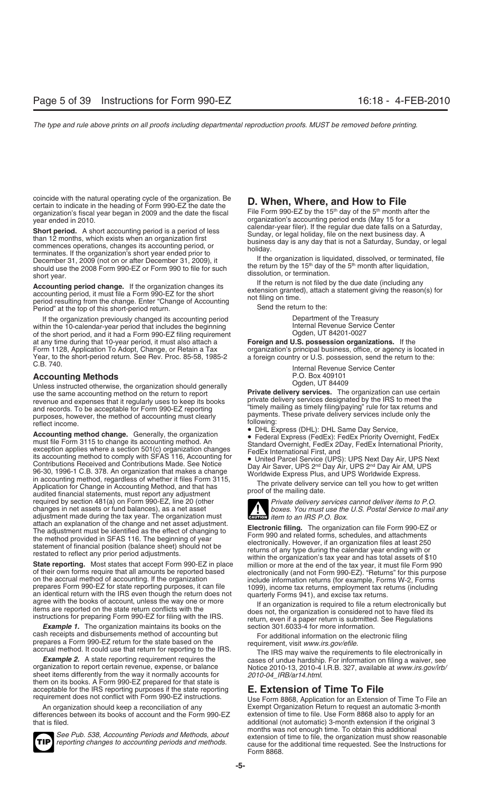coincide with the natural operating cycle of the organization. Be<br>certain to indicate in the heading of Form 990-EZ the date the<br>organization's fiscal year began in 2009 and the date the fiscal File Form 990-EZ by the 15<sup></sup>

**Short period.** A short accounting period is a period of less<br>than 12 months, which exists when an organization first<br>commences operations, changes its accounting period, or<br>terminates. If the organization's short year end December 31, 2009 (not on or after December 31, 2009), it<br>Should use the 2008 Form 990-FZ or Form 990 to file for such the return by the 15<sup>th</sup> day of the 5<sup>th</sup> month after liquidation, the return by the 15th day of the 5th month after inquidation<br>short year.<br>Accounting portod change. If the erganization changes its and filed by the due date (including any<br>dissolution, or termination.

**Accounting period change.** If the organization changes its<br>accounting period, it must file a Form 990-EZ for the short<br>period resulting from the change. Enter "Change of Accounting<br>Period" at the top of this short-period Period" at the top of this short-period return.

If the organization previously changed its accounting period **Department of the Treasury**<br>hin the 10-calendar-year period that includes the beginning **Same Communist Contenting Communisty** Internal Revenue Service Center within the 10-calendar-year period that includes the beginning The Internal Revenue Servic<br>1027-0027 of the short period, and it had a Form 990-EZ filing requirement of the short period, and it had a Form 990-EZ filing requirement Ogden, UT 84201-0027<br>at any time during that 10-year period, it must also attach a **Foreign and U.S. possession organizations.** If the at any time during that 10-year period, it must also attach a Form 1128, Application To Adopt, Change, or Retain a Tax Form 1128, Application To Adopt, Change, or Retain a Tax organization's principal business, office, or agency is located in<br>Year, to the short-period return. See Rev. Proc. 85-58, 1985-2 a foreign country or U.S. possessio Year, to the short-period return. See Rev. Proc. 85-58, 1985-2 a foreign country or U.S. possession, send the return to the:<br>C.B. 740.

Unless instructed otherwise, the organization should generally<br>use the same accounting method on the return to report<br>**Private delivery services.** The organization can use certain use the same accounting method on the return to report **Private delivery services.** The organization can use certain<br>The private delivery services designated by the IRS to meet the<br>private delivery services designated by t revenue and expenses that it regularly uses to keep its books private delivery services designated by the IRS to meet the and records. To be acceptable for Form 990-EZ reporting "timely mailing as timely filing/paying" rule for tax returns and purposes, however, the method of accounting must clearly payments. These private delivery services include only the

payments. These private delivery services include only the<br>
reflect income.<br> **Accounting method change.** Generally, the organization<br>
exception and the Federal Express (DHL): DHL Same Day Service,<br>
exception 3115 to change required by section 481(a) on Form 990-EZ, line 20 (other *Private delivery services cannot deliver items to P.O.*<br> *Private delivery services cannot deliver items to P.O.*<br> *Private delivery services cannot deliver items* adjustment made during the tax year. The organization must attach an explanation of the change and net asset adjustment.

**Example 1.** The organization maintains its books on the section 301.6033-4 for more information. cash receipts and disbursements method of accounting but<br>
prepares a Form 990-EZ return for the state based on the<br>
accrual method. It could use that return for reporting to the IRS.<br> **Example 2.** A state reporting require

sheet items differently from the way it normally accounts for *2010-04\_IRB/ar14.html*.<br>them on its books. A Form 990-EZ prepared for that state is<br>acceptable for the IRS reporting purposes if the state reporting **E. Extens** acceptable for the IRS reporting purposes if the state reporting requirement does not conflict with Form 990-EZ instructions.

differences between its books of account and the Form 990-EZ extension of time to file. Use Form 8868 also to apply for an

year ended in 2010.<br>
organization's accounting period ends (May 15 for a<br>
calendar-year filer). If the regular due date falls on a Saturday,

Internal Revenue Service Center<br>P.O. Box 409101 **Accounting Methods** P.O. Box 409101<br>
Linkes instructed athenuing the experimetion abould generally experiment of Coden, UT 84409



boxes. You must use the U.S. Postal Service to mail any **III** item to an IRS P.O. Box.

attach an explanation of the change and net asset adjustment.<br>
The adjustment must be identified as the effect of changing to<br>
the method provided in SFAS 116. The beginning of year<br>
the method provided in SFAS 116. The be

*Example 2.* A state reporting requirement requires the cases of undue hardship. For information on filing a waiver, see<br>//vice 2010-13, 2010-4 l.R.B. 327, available at www.irs.gov/irb Notice 2010-13, 2010-4 I.R.B. 327, available at *www.irs.gov/irb/* 

Use Form 8868, Application for an Extension of Time To File an An organization should keep a reconciliation of any Exempt Organization Return to request an automatic 3-month additional (not automatic) 3-month extension if the original 3 months was not enough time. To obtain this additional See Pub. 538, Accounting Periods and Methods, about<br>reporting changes to accounting periods and methods.<br>cause for the additional time requested. See the Instructions for Form 8868.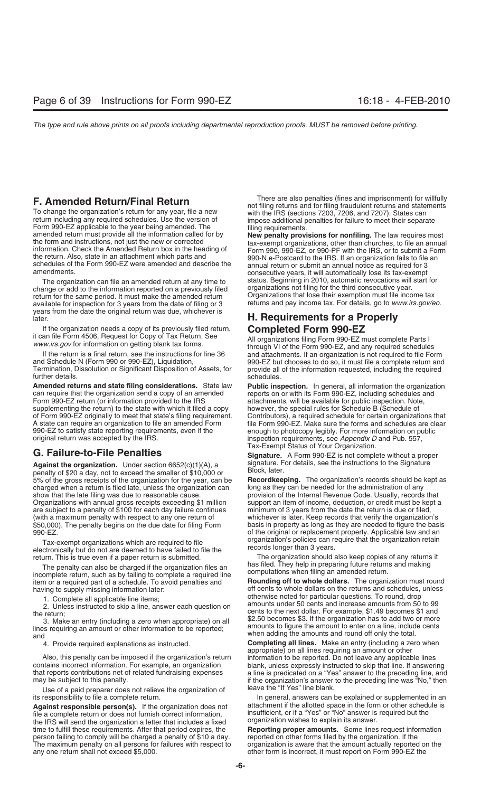**F. Amended Return/Final Return**<br>To change the organization's return for any year, file a new<br>return including any required schedules. Use the version of<br>Form 990-EZ applicable to the year being amended. The<br>amended return

change or add to the information reported on a previously filed return for the same period. It must make the amended return available for inspection for 3 years from the date of filing or 3 years from the date the original return was due, whichever is later. **H. Requirements for a Properly**

If the organization needs a copy of its previously filed return,<br>it can file Form 4506, Request for Copy of Tax Return. See<br>www.irs.gov for information on getting blank tax forms.<br>If the return is a final return, see the i

If the return is a final return, see the instructions for line 36 and attachments. If an organization is not required to file Form and Schedule N (Form 990 or 990-EZ), Liquidation, 990-EZ but chooses to do so, it must file further details. Schedules. The schedules of the schedules of the schedules.

**Amended returns and state filing considerations.** State law **Public inspection.** In general, all information the organization can require that the organization send a copy of an amended reports on or with its Form 990-EZ, can require that the organization send a copy of an amended reports on or with its Form 990-EZ, including schedules and<br>Form 990-EZ return (or information provided to the IRS and attachments, will be available for public i Form 990-EZ return (or information provided to the IRS and the attachments, will be available for public inspection. Note, supplementing the return) to the state with which it filed a copy between, the special rules for Sc supplementing the return) to the state with which it filed a copy however, the special rules for Schedule B (Schedule of of Form 990-EZ originally to meet that state's filing requirement. Contributors), a required schedule of Form 990-EZ originally to meet that state's filing requirement. Contributors), a required schedule for certain organizations that A state can require an organization to file an amended Form file Form 990-EZ. Make sure the forms and schedules are clear<br>990-EZ to satisfy state reporting requirements, even if the enough to photocopy legibly. For more in 990-EZ to satisfy state reporting requirements, even if the enough to photocopy legibly. For more information on public<br>
original return was accepted by the IRS.<br>
inspection requirements, see Appendix D and Pub. 557,

beganize the erganization of their economic coup,  $\frac{1}{2}$ ,  $\frac{1}{2}$ ,  $\frac{1}{2}$ ,  $\frac{1}{2}$ ,  $\frac{1}{2}$  and to exceed the smaller of \$10,000 or Block, later. 5% of the gross receipts of the organization for the year, can be **Recordkeeping.** The organization's records should be kept as charged when a return is filed late, unless the organization can long as they can be needed for the administration of any show that the late filing was due to reasonable cause. provision of the Internal Revenue Code. Usually, records that Organizations with annual gross receipts exceeding \$1 million support an item of income, deduction, or credit must be kept a<br>are subject to a penalty of \$100 for each day failure continues minimum of 3 years from the date are subject to a penalty of  $$100$  for each day failure continues (with a maximum penalty with respect to any one return of whichever is later. Keep records that verify the organization's<br>\$50,000). The penalty begins on the due date for filing Form basis in property as long as they are n

Tax-exempt organizations which are required to file<br>electronically but do not are deemed to have failed to file the records longer than 3 years.<br>return. This is true even if a paper return is submitted. The organization sh

The penalty can also be charged if the organization files an<br>incomplete return, such as by failing to complete a required line<br>item or a required part of a schedule. To avoid penalties and<br>**Rounding off to whole dollars.**

Also, this penalty can be imposed if the organization's return information to be reported. Do not leave any applicable lines contains incorrect information. For example, an organization blank, unless expressly instructed t contains incorrect information. For example, an organization blank, unless expressly instructed to skip that line. If answering that reports contributions net of related fundraising expenses a line is predicated on a "Yes"

Use of a paid preparer does not relieve the organization of

file a complete return or does not furnish correct information, insufficient, or if a "Yes" or "No" answer is required but the file a complete return or does not furnish correct information,<br>the IRS will send the organization a letter that includes a fixed organization wishes to explain its answer. time to fulfill these requirements. After that period expires, the **Reporting proper amounts.** Some lines request information person failing to comply will be charged a penalty of \$10 a day. reported on other forms filed by the organization. If the<br>The maximum penalty on all persons for failures with respect to crganization is aware that the amou The maximum penalty on all persons for failures with respect to any one return shall not exceed \$5,000.  $\blacksquare$  other form is incorrect, it must report on Form 990-EZ the

the return. Also, state in an attachment which parts and<br>schedules of the Form 990-EZ were amended and describe the<br>amund return or submit an annual notice as required for 3<br>amendments.<br>consecutive years, it will automatic The organization can file an amended return at any time to status. Beginning in 2010, automatic revocations will start for<br>ange or add to the information reported on a previously filed organizations not filing for the thir Organizations that lose their exemption must file income tax returns and pay income tax. For details, go to www.irs.gov/eo.

and Schedule N (Form 990 or 990-EZ), Liquidation, entilly a serigion by 990-EZ but chooses to do so, it must file a complete return and<br>Termination, Dissolution or Significant Disposition of Assets, for enprovide all of th provide all of the information requested, including the required

> inspection requirements, see *Appendix D* and Pub. 557, Tax-Exempt Status of Your Organization.

**G. Failure-to-File Penalties Signature.** A Form 990-EZ is not complete without a proper **Against the organization.** Under section 6652(c)(1)(A), a signature. For details, see the instructions to the Signature<br>negative that allow not to exceed the smaller of \$10,000 or Block, later.

basis in property as long as they are needed to figure the basis 990-EZ.<br>of the original or replacement property. Applicable law and an<br>Tay-exempt organizations which are required to file<br>Tay-exempt organizations which are required to file<br>organization's policies can require that the or

return. This is true even if a paper return is submitted.<br>The organization should also keep copies of any returns<br>The papalty can also be charged if the organization files an bas filed. They help in preparing future return

**Rounding off to whole dollars.** The organization must round having to supply missing information later:<br>
1 Complete all applicable line items:<br>
1 Complete all applicable line items:<br>
1 Complete all applicable line items: 1. Complete all applicable line items;<br>
2. Unless instructed to skip a line, answer each question on<br>
the return;<br>
3. Make an entry (including a zero when appropriate) on all<br>
lines requiring an amount or other information

4. Provide required explanations as instructed. **Completing all lines.** Make an entry (including a zero when appropriate) on all lines requiring an amount or other that reports contributions net of related fundraising expenses a line is predicated on a "Yes" answer to the preceding line, and<br>if the organization's answer to the preceding line was "No," then if the organization's answer to the preceding line was "No," then leave the "If Yes" line blank.

its responsibility to file a complete return. In general, answers can be explained or supplemented in an Against responsible person(s). If the organization does not attachment if the allotted space in the form or other schedule is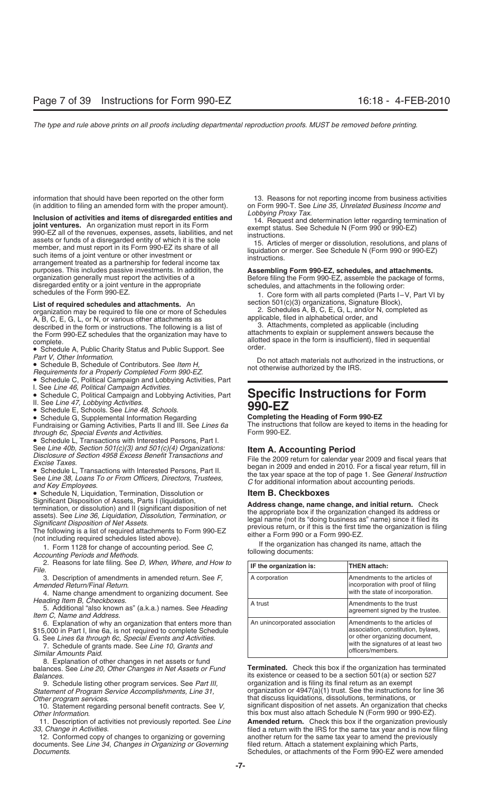(in addition to filing an amended form with the proper amount). on Form 990-T. See *Line 35, Unrelated Business Income and*

**Solution of activities and items of disregarded entities and**<br> **Solution ventures.** An organization must report in its Form<br>
14. Request and determination letter regarding termination of<br>
14. Request and determination let purposes. This includes passive investments. In addition, the **Assembling Form 990-EZ, schedules, and attachments.**<br> **Assembling Form 990-EZ**, assemble the package of form organization generally must report the activities of a Before filing the Form 990-EZ, assemble the package of forms,<br>disregarded entity or a joint venture in the appropriate schedules, and attachments in the following orde schedules of the Form 990-EZ. **1.** Core form with all parts completed (Parts I–V, Part VI by

organization may be required to file one or more of Schedules<br>
A, B, C, E, G, L, and/or N, completed<br>
A, B, C, E, G, L, or N, or various other attachments as<br>
described in the form or instructions. The following is a list

• Schedule C, Political Campaign and Lobbying Activities, Part

I. See *Line 46, Political Campaign Activities.*

• Schedule E, Schools. See *Line 48, Schools*. **990-EZ** • Schedule G, Supplemental Information Regarding **Completing the Heading of Form 990-EZ** Fundraising or Gaming Activities, Parts II and III. See *Lines 6a* The instruction<br>*through 6c, Special Events and Activities* form 990-EZ. *through 6c, Special Events and Activities.* 

• Schedule L, Transactions with Interested Persons, Part I.<br>See Line 40b, Section 501(c)(3) and 501(c)(4) Organizations:

• Schedule N, Liquidation, Termination, Dissolution or **Item B. Checkboxes**

2. Reasons for late filing. See *D, When, Where, and How to* File.

3. Description of amendments in amended return. See F, *Amended Return/Final Return.* 

4. Name change amendment to organizing document. See Heading Item B, Checkboxes.

*Heading Item B, Checkboxes*. A trust Amendments to the trust 5. Additional "also known as" (a.k.a.) names. See *Heading* agreement signed by the trustee. *Item C, Name and Address*.

6. Explanation of why an organization that enters more than \$15,000 in Part I, line 6a, is not required to complete Schedule

G. See Lines 6a through 6c, Special Events and Activities.<br>7. Schedule of grants made. See Line 10, Grants and<br>Similar Amounts Paid.

8. Explanation of other changes in net assets or fund

*Statement of Program Service Accomplishments, Line 31, Other program services.* 

11. Description of activities not previously reported. See Line

12. Conformed copy of changes to organizing or governing another return for the same tax year to amend the previously<br>ocuments. See Line 34. Changes in Organizing or Governing filed return. Attach a statement explaining wh documents. See Line 34, Changes in Organizing or Governing *Documents*. Schedules, or attachments of the Form 990-EZ were amended

information that should have been reported on the other form 13. Reasons for not reporting income from business activities<br>(in addition to filing an amended form with the proper amount). on Form 990-T. See Line 35, Unrelat

List of required schedules and attachments. An section 501(c)(3) organizations, Signature Block),

organization may be required to file one or more of Schedules 2. Schedules A, B, C, E, G, L, and/or N, completed as

the Form 990-EZ schedules that the organization may have to<br>
complete. allotted space in the form is insufficient), filed in sequential<br>
• Schedule A, Public Charity Status and Public Support. See<br>
Part V, Other Informati

Part v, Other information.<br>• Schedule B, Schedule of Contributors. See Item H,<br>Requirements for a Properly Completed Form 990-EZ.<br>Requirements for a Properly Completed Form 990-EZ.

# r. See *Line 40, I* Dinical Campaign Activities.<br>
• Schedule C, Political Campaign and Lobbying Activities, Part **Specific Instructions for Form**<br> **990-EZ**

See Line 40b, Section 501(c)(3) and 501(c)(4) Organizations:<br>
Disclosure of Section 4958 Excess Benefit Transactions and<br>
Excise Taxes.<br>
• Schedule L, Transactions with Interested Persons, Part II.<br>
See Line 38, Loans To o

Significant Disposition of Assets, Parts I (liquidation,<br>termination, or dissolution) and II (significant disposition of net<br>assets). See *Line 36, Liquidation, Dissolution, Termination, or*<br>*Significant Disposition of Net* 

| IF the organization is:       | <b>THEN attach:</b>                                                                                                                                              |
|-------------------------------|------------------------------------------------------------------------------------------------------------------------------------------------------------------|
| A corporation                 | Amendments to the articles of<br>incorporation with proof of filing<br>with the state of incorporation.                                                          |
| A trust                       | Amendments to the trust<br>agreement signed by the trustee.                                                                                                      |
| An unincorporated association | Amendments to the articles of<br>association, constitution, bylaws,<br>or other organizing document,<br>with the signatures of at least two<br>officers/members. |

balances. See *Line 20, Other Changes in Net Assets or Fund* **Terminated.** Check this box if the organization has terminated *Balances*. its existence or ceased to be a section 501(a) or section 527 9. Schedule listing other program services. See *Part III,* organization and is filing its final return as an exempt<br>tement of Program Service Accomplishments, Line 31. organization or 4947(a)(1) trust. See the instruction that discuss liquidations, dissolutions, terminations, or 10. Statement regarding personal benefit contracts. See *V,* significant disposition of net assets. An organization that checks *Other Information* of activities not previously reported. See *Line* this box must also attach Schedule N (Form 990 or 990-EZ).<br>11. Description of activities not previously reported. See *Line* **Amended return.** Check thi *33, Change in Activities*. filed a return with the IRS for the same tax year and is now filing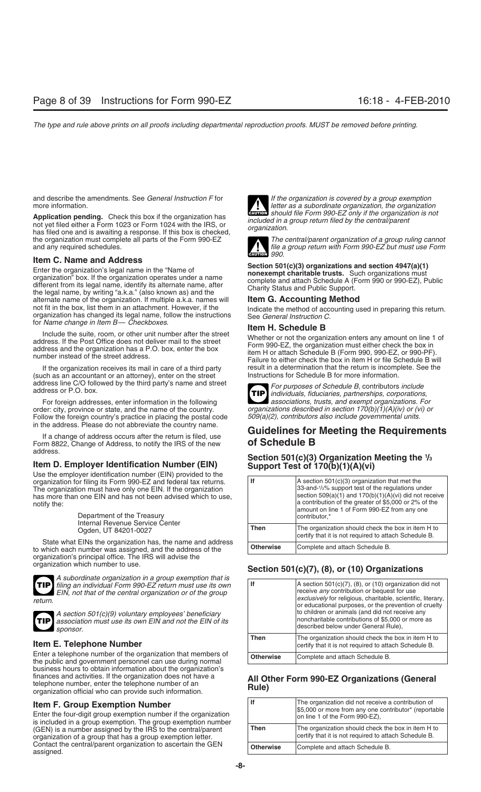and describe the amendments. See *General Instruction F* for *If the organization is covered by a group exemption* more information. *letter as a subordinate organization, the organization* 

Application pending. Check this box if the organization has<br>not yet filed either a Form 1023 or Form 1024 with the IRS, or<br>has filed one and is awaiting a response. If this box is checked, organization. the organization must complete all parts of the Form 990-EZ *The central/parent organization of a group ruling cannot*

**Item C. Name and Address**<br>
Enter the organization's legal name in the "Name of<br>
organization" box. If the organization operates under a name<br>
different from its legal name, identify its alternate name, after<br>
the legal na the legal name, by writing "a.k.a." (also known as) and the<br>alternate name of the organization. If multiple a.k.a. names will<br>not fit in the box, list them in an attachment. However, if the<br>Indicate the method of accountin not fit in the box, list them in an attachment. However, if the land indicate the method of accounting used in preparing this return.<br>organization has changed its legal name, follow the instructions See General Instruction

for *Name change in Item B— Checkboxes*.<br>**Item H. Schedule B**<br>Include the suite, room, or other unit number after the street<br>Mather or not the organ

(such as an accountant or an attorney), enter on the street address line C/O followed by the third party's name and street

For foreign addresses, enter information in the following order: city, province or state, and the name of the country. *organizations described in section 170(b)(1)(A)(iv) or (vi) or*<br>Follow the foreign country's practice in placing the postal code 509(a)(2), contributors also in Follow the foreign country's practice in placing the postal code in the address. Please do not abbreviate the country name.

Form 8822, Change of Address, to notify the IRS of the new address.

## **Item D. Employer Identification Number (EIN) Support Test of 170(b)(1)(A)(vi)**

Use the employer identification number (EIN) provided to the organization for filing its Form 990-EZ and federal tax returns. The organization must have only one EIN. If the organization has more than one EIN and has not been advised which to use, notify the:

State what EINs the organization has, the name and address to which each number was assigned, and the address of the organization's principal office. The IRS will advise the



*A subordinate organization in a group exemption that is filing an individual Form 990-EZ return must use its own EIN, not that of the central organization or of the group* 



### **Item E. Telephone Number**

Enter a telephone number of the organization that members of the public and government personnel can use during normal business hours to obtain information about the organization's finances and activities. If the organization does not have a<br>telephone number, enter the telephone number of an<br>organization official who can provide such information.<br>**Rule**)<br>**Rule** 

**Item F. Group Exemption Number**<br>Enter the four-digit group exemption number if the organization<br>is included in a group exemption. The group exemption number (GEN) is a number assigned by the IRS to the central/parent organization of a group that has a group exemption letter. Contact the central/parent organization to ascertain the GEN assigned.



**Should file Form 990-EZ only if the organization is not** 



file a group return with Form 990-EZ but must use Form **CAUTION** *990.*

and a street and the street and the street<br>address. If the Post Office does not deliver mail to the street<br>address and the organization has a P.O. box, enter the box<br>number instead of the street address.<br>Failure to either If the organization receives its mail in care of a third party result in a determination that the return is incomplete. See the chase are chased the chase of as an accountant or an attorney), enter on the street last instr

address line C/O followed by the third party's name and street<br>address or P.O. box.<br>**For purposes of Schedule B, contributors include**<br>for foreign addresses, enter information in the following<br>associations, trusts, and exe **TIP**

# If a change of address occurs after the return is filed, use **Guidelines for Meeting the Requirements**<br>If a change of address to notify the IRS of the new **of Schedule B**

# **Section 501(c)(3) Organization Meeting the 1 /3**

| OSE THE EMPLOYER REMAINING MUNICIPAL (LITY) DIVIDED TO THE<br>organization for filing its Form 990-EZ and federal tax returns.<br>The organization must have only one EIN. If the organization<br>has more than one EIN and has not been advised which to use,<br>notify the:<br>Department of the Treasury<br>Internal Revenue Service Center | lf               | $A$ section 501(c)(3) organization that met the<br>33-and-1/ <sub>3</sub> % support test of the regulations under<br>section $509(a)(1)$ and $170(b)(1)(A)(vi)$ did not receive<br>a contribution of the greater of \$5,000 or 2% of the<br>amount on line 1 of Form 990-EZ from any one<br>contributor.* |
|------------------------------------------------------------------------------------------------------------------------------------------------------------------------------------------------------------------------------------------------------------------------------------------------------------------------------------------------|------------------|-----------------------------------------------------------------------------------------------------------------------------------------------------------------------------------------------------------------------------------------------------------------------------------------------------------|
| Ogden, UT 84201-0027                                                                                                                                                                                                                                                                                                                           | <b>Then</b>      | The organization should check the box in item H to<br>certify that it is not required to attach Schedule B.                                                                                                                                                                                               |
| State what EINs the organization has, the name and address<br>to which each number was assigned, and the address of the                                                                                                                                                                                                                        | <b>Otherwise</b> | Complete and attach Schedule B.                                                                                                                                                                                                                                                                           |

## organization which number to use. **Section 501(c)(7), (8), or (10) Organizations**

| TIP filing an individual Form 990-EZ return must use its own<br>EIN, not that of the central organization or of the group<br>return.<br>A section 501(c)(9) voluntary employees' beneficiary<br>TIP association must use its own EIN and not the EIN of its<br>sponsor. | lf               | $ A$ section 501(c)(7), (8), or (10) organization did not<br>receive any contribution or bequest for use<br><i>exclusively</i> for religious, charitable, scientific, literary,<br>or educational purposes, or the prevention of cruelty<br>to children or animals (and did not receive any<br>noncharitable contributions of \$5,000 or more as<br>described below under General Rule), |
|-------------------------------------------------------------------------------------------------------------------------------------------------------------------------------------------------------------------------------------------------------------------------|------------------|------------------------------------------------------------------------------------------------------------------------------------------------------------------------------------------------------------------------------------------------------------------------------------------------------------------------------------------------------------------------------------------|
| Item E. Telephone Number                                                                                                                                                                                                                                                | Then             | The organization should check the box in item H to<br>certify that it is not required to attach Schedule B.                                                                                                                                                                                                                                                                              |
| Enter a telephone number of the organization that members of<br>the public and government personnel can use during pormal                                                                                                                                               | <b>Otherwise</b> | Complete and attach Schedule B.                                                                                                                                                                                                                                                                                                                                                          |

| lf               | The organization did not receive a contribution of<br>\$5,000 or more from any one contributor* (reportable<br>on line 1 of the Form 990-EZ), |
|------------------|-----------------------------------------------------------------------------------------------------------------------------------------------|
| Then             | The organization should check the box in item H to<br>certify that it is not required to attach Schedule B.                                   |
| <b>Otherwise</b> | Complete and attach Schedule B.                                                                                                               |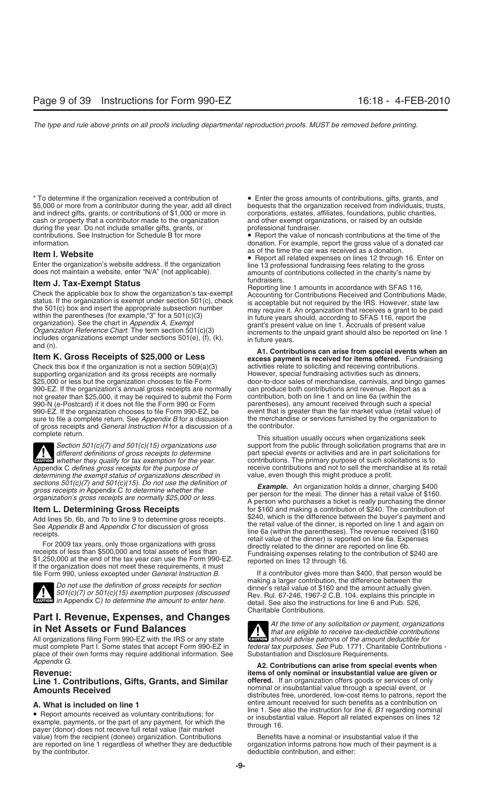\* To determine if the organization received a contribution of • Enter the gross amounts of contributions, gifts, grants, and \$5,000 or more from a contributor during the year, add all direct bequests that the organization received from individuals, trusts, and indirect gifts, grants, or contributions of \$1,000 or more in corporations, estates, a and indirect gifts, grants, or contributions of \$1,000 or more in cash or property that a contributor made to the organization and other exempt organizations, or raised by an outside during the year. Do not include smaller gifts, grants, or during the year. Do not include smaller gifts, grants, or contributions. See Instruction for Schedule B for more • Report the value of noncash contributions at the time of the<br>
donation For example report the gross value of a donated can

**Item J. Tax-Exempt Status**<br>
Check the applicable box to show the organization's tax-exempt<br>
status. If the organization is exempt under section 501(c), check<br>
status. If the organization is exempt under section 501(c), c

Check this box if the organization is not a section 509(a)(3) activities relate to soliciting and receiving contributions.<br>
supporting organization and its gross receipts are normally However, special fundraising activitie supporting organization and its gross receipts are normally \$25,000 or less but the organization chooses to file Form 990-EZ. If the organization's annual gross receipts are normally can produce both contributions and revenue. Report not greater than \$25,000, it may be required to submit the Form contribution, both on line 1 and on line 6 not greater than \$25,000, it may be required to submit the Form 990-N (e-Postcard) if it does not file the Form 990 or Form 990-EZ. If the organization chooses to file Form 990-EZ, be event that is greater than the fair market value (retail value) of sure to file a complete return. See Appendix B for a discussion the merchandise or services fur sure to file a complete return. See *Appendix B* for a discussion the merchandis of gross receipts and *General Instruction H* for a discussion of a the contributor. of gross receipts and *General Instruction H* for a discussion of a

**!** *determining the exempt status of organizations described in*<br>sections 501(c)(7) and 501(c)(15). Do not use the definition of



**ENTION** in Appendix C) to determine the amount to enter here.

# **Part I. Revenue, Expenses, and Changes**<br>**in Net Assets or Fund Balances** *f that are eligible to receive tax-deductible contributions*

All organizations filing Form 990-EZ with the IRS or any state must complete Part I. Some states that accept Form 990-EZ in place of their own forms may require additional information. See Substantiation and Disclosure Requirements.

# Line 1. Contributions, Gifts, Grants, and Similar<br>Amounts Received

• Report amounts received as voluntary contributions; for<br>example, payments, or the part of any payment, for which the<br>payer (donor) does not receive full retail value (fair market<br>fair market<br>fair market<br>fair market<br>fair value) from the recipient (donee) organization. Contributions Benefits have a nominal or insubstantial value if the<br>are reported on line 1 regardless of whether they are deductible organization informs patrons how much of are reported on line 1 regardless of whether they are deductible by the contributor.

donation. For example, report the gross value of a donated car as of the time the car was received as a donation.

**Item I. Website**<br>
Enter the organization's website address. If the organization<br>
does not maintain a website, enter "N/A" (not applicable).<br>  $\frac{1}{2}$  as or the time the car was received as a donation.<br>  $\frac{1}{2}$  Feport a

door-to-door sales of merchandise, carnivals, and bingo games can produce both contributions and revenue. Report as a parentheses), any amount received through such a special

complete return.<br> **Complete return.** Seek support from the public through solicitation programs that<br>
Section 501(c)(7) and 501(c)(15) organizations use support from the public through solicitation programs that *Section 501(c)(7) and 501(c)(15) organizations use* support from the public through solicitation programs that are in *different definitions of gross receipts to determine* part special events or activities and are in part solicitations for contributions. The primary purpose of such solicitations is to Appendix C *defines gross receipts for the purpose of* exerceive contributions and not to sell the merchandise at its retail *determining the exempt status of organizations described in* value, even though this might produ

Example. An organization holds a dinner, charging \$400<br>gross receipts in Appendix C to determine whether the<br>organization's gross receipts are normally \$25,000 or less.<br>A person who purchases a ticket is really purchasing **Item L. Determining Gross Receipts** for \$160 and making a contribution of \$240. The contribution of Add lines 5h, 6h, and 7h to line 9 to determine gross receipts \$240, which is the difference between the buyer's payment Add lines 5b, 6b, and 7b to line 9 to determine gross receipts.<br>
See Appendix B and Appendix C for discussion of gross<br>
receipts.<br>
For 2009 tax years, only those organizations with gross<br>
receipts of less than \$500,000 and

file Form 990, unless excepted under *General Instruction B*. If a contributor gives more than \$400, that person would be Do not use the definition of gross receipts for section<br>501(c)(7) or 501(c)(15) exemption purposes (discussed<br>Rev. Rul. 67-246, 1967-2 C.B. 104, explains this principle in detail. See also the instructions for line 6 and Pub. 526, Charitable Contributions.

> **ENTION** should advise patrons of the amount deductible for federal tax purposes. See Pub. 1771, Charitable Contributions -

Appendix G. **Alternative Contributions can arise from special events when A2. Contributions can arise from special events when Revenue:**<br>**I ine 1. Contributions. Gifts. Grants. and Similar offered.** If an organization offers goods or services of only **Amounts Received** nominal or insubstantial value through a special event, or distributes free, unordered, low-cost items to patrons, report the **A. What is included on line 1** entire amount received for such benefits as a contribution on<br> **A.** Penert amount received as veluptary contributions: for line 1. See also the instruction for *line 6, B1* regarding nominal

deductible contribution, and either: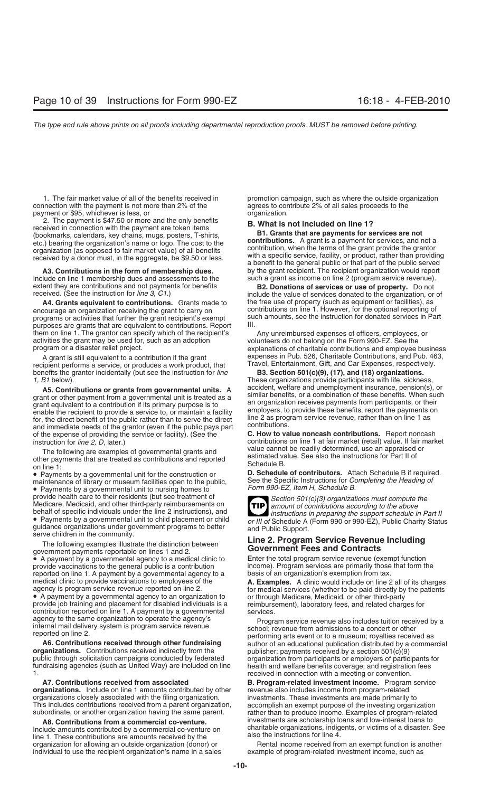connection with the payment is not more than 2% of the payment or \$95, whichever is less, or **organization**.

2. The payment is \$47.50 or more and the only benefits<br>
received in connection with the payment are token items<br>
(bookmarks, calendars, key chains, mugs, posters, T-shirts,<br>
etc.) bearing the organization's name or logo. T

extent they are contributions and not payments for benefits **B2. Donations of services or use of property.** Do not

encourage an organization receiving the grant to carry on programs or activities that further the grant recipient's exempt such amounts, see the instruction for donated services in Part purposes are grants that are equivalent to contributions. Report III. purposes are grants that are equivalent to contributions. Report them on line 1. The grantor can specify which of the recipient's them on line 1. The grantor can specify which of the recipient's Any unreimbursed expenses of officers, employees, or activities the grant may be used for, such as an adoption volunteers do not belong on the Form 990-EZ. S activities the grant may be used for, such as an adoption volunteers do not belong on the Form 990-EZ. See the<br>program or a disaster relief project.

recipient performs a service, or produces a work product, that Travel, Entertainment, Gift, and Car Expenses, respectively. benefits the grantor incidentally (but see the instruction for *line* **B3. Section 501(c)(9), (17), and (18) organizations.**

**A5. Contributions or grants from governmental units.** A accident, welfare and unemployment insurance, pension(s), or grant or other payment from a governmental unit is treated as a similar benefits, or a combination of th grant equivalent to a contribution if its primary purpose is to<br>enable the recipient to provide a service to, or maintain a facility<br>for, the direct benefit of the public rather than to serve the direct<br>and immediate needs of the expense of providing the service or facility). (See the **C. How to value noncash contributions.** Report noncash

The following are examples of governmental grants and<br>
other payments that are treated as contributions and reported<br>
on line 1:<br>
• Payments by a governmental unit for the construction or<br>
<sup>1</sup> **D. Schedule of contributors.** 

maintenance of library or museum facilities open to the public,<br>
Form 990-EZ, Item H, Schedule B.<br>
Payments by a governmental unit to nursing homes to<br>
Form 990-EZ, Item H, Schedule B. • Payments by a governmental unit to nursing homes to *provide health care to their residents* (but see treatment of provide health care to their residents (but see treatment of<br>
Medicare, Medicaid, and other third-party reimbursements on<br>
behalf of specific individuals under the line 2 instructions), and<br>
• Payments by a governmental un • Payments by a governmental unit to child placement or child<br>guidance organizations under government programs to better<br>serve children in the community.<br>The following examples illustrate the distinction between<br>government

 $\bullet$  A payment by a governmental agency to a medical clinic to  $\qquad \qquad$  Enter the total program service revenue (exempt function  $\qquad \qquad$  income). Program services are primarily those that form the provide vaccinations to the general public is a contribution income). Program services are primarily those reported on line 1. A payment by a governmental agency to a basis of an organization's exemption from tax. reported on line 1. A payment by a governmental agency to a medical clinic to provide vaccinations to employees of the<br>agency is program service revenue reported on line 2.<br>
• A payment by a governmental agency to an organization to<br>
provide job training and placement for disabled

**organizations.** Contributions received indirectly from the publisher; payments received by a section 501(c)(9) public through solicitation campaigns conducted by federated organization from participants or employers of pa fundraising agencies (such as United Way) are included on line health and welfare benefits coverage; and registration fees

**organizations.** Include on line 1 amounts contributed by other organizations closely associated with the filing organization. investments. These investments are made primarily to<br>This includes contributions received from a parent organization, accomplish an exempt purpose of the inves This includes contributions received from a parent organization, accomplish an exempt purpose of the investing organization subordinate, or another organization having the same parent. The rather than to produce income. Ex

**A8. Contributions from a commercial co-venture.** line 1. These contributions are amounts received by the and the state instructions for line 4.<br>
Internal income received from an exempt function is another contained by the state of the Rental income received from an exemp organization for allowing an outside organization (donor) or **Rental income received from an exempt function is andividual to use the recipient organization's name in a sales example of program-related investment income, s** individual to use the recipient organization's name in a sales

1. The fair market value of all of the benefits received in promotion campaign, such as where the outside organization inection with the payment is not more than 2% of the agrees to contribute 2% of all sales proceeds to t

**A3. Contributions in the form of membership dues.** by the grant recipient. The recipient organization would report Include on line 1 membership dues and assessments to the such a grant as income on line 2 (program service revenue).

include the value of services donated to the organization, or of **A4. Grants equivalent to contributions.** Grants made to the free use of property (such as equipment or facilities), as contributions on line 1. However, for the optional reporting of

explanations of charitable contributions and employee business A grant is still equivalent to a contribution if the grant expenses in Pub. 526, Charitable Contributions, and Pub. 463,

1, B1 below).<br>A **5** Contributions or grants from governmental units a accident, welfare and unemployment insurance, pension(s), or

instruction for *line 2, D*, later.) contributions on line 1 at fair market (retail) value. If fair market (retail) value. If fair market (retail) value. If fair market (retail) value. If fair market (retail) value. If fai

**D. Schedule of contributors.** Attach Schedule B if required.



agency to the same organization to operate the agency s<br>internal mail delivery system is program service revenue<br>reported on line 2.<br>**A6. Contributions received through other fundraising**<br>**A6. Contributions received throug A6. Contributions received through other fundraising** author of an educational publication distributed by a commercial **organizations.** Contributions received indirectly from the publisher: payments received by a section organization from participants or employers of participants for received in connection with a meeting or convention.

**A7. Contributions received from associated B. Program-related investment income.** Program service subordinate, or another organization having the same parent. rather than to produce income. Examples of program-related<br>AB. Contributions from a commercial co-venture. investments are scholarship loans and low-interest loa For the amounts contributed by a commercial co-venture on charitable organizations, indigents, or victims of a disaster. See line 1. These contributions are amounts received by the also the instructions for line 4.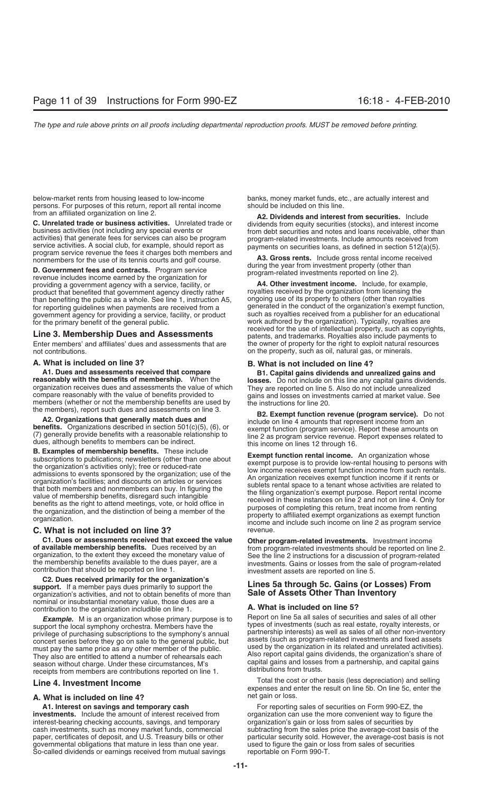below-market rents from housing leased to low-income banks, money market funds, etc., are actually interest and<br>
persons. For purposes of this return, report all rental income should be included on this line. persons. For purposes of this return, report all rental income from an affiliated organization on line 2.

**C. Unrelated trade or business activities.** Unrelated trade or<br>
business activities (not including any special events or<br>
activities) that generate fees for services can also be program<br>
service activities. A social club,

program relation for providing a government agency with a service, facility, or **A4. Other investment income.** Include, for example, product that benefited that government agency directly rather royalties received by the o product that benefited that government agency directly rather royalties received by the organization from licensing the<br>than benefiting the public as a whole. See line 1, instruction A5, ongoing use of its property to othe than benefiting the public as a whole. See line 1, instruction A5, ongoing use of its property to others (other than royalties in the conduct of the organization's exempt function, for reporting guidelines when payments are received from a generated in the conduct of the organization's exempt function<br>government agency for providing a service, facility, or product such as royalties received from a pu government agency for providing a service, facility, or product for the primary benefit of the general public.

Enter members' and affiliates' dues and assessments that are not contributions. **on** the property, such as oil, natural gas, or minerals.

A1. Dues and assessments received that compare but all capital gains dividends and unrealized gains and<br>
reasonably with the benefits of membership. When the<br>
organization receives dues and assessments the value of which<br>

### **C. What is not included on line 3?** The series of the series of the series of the series of the series of the series of the series of the series of the series of the series of the series of the series of the series of the

**C1. Dues or assessments received that exceed the value Other program-related investments.** Investment income of available membership benefits. Dues received by an **ability of available membership benefits.** Dues receive organization, to the extent they exceed the monetary value of<br>the membership benefits available to the dues payer, are a<br>contribution that should be reported on line 1.<br>contribution that should be reported on line 1.<br>inves

**C2. Dues received primarily for the organization's** organization's activities, and not to obtain benefits of more than nominal or insubstantial monetary value, those dues are a contribution to the organization includible on line 1.<br>**A. What is included on line 5?**<br>**A. What is included on line 5?**<br>**A. What is included on line 5?**<br>**Report on line 5a all sales of securities and sales of all other** 

**Example.** M is an organization whose primary purpose is to Report on line 5a all sales of securities and sales of all other support the local symphony orchestra. Members have the types of investments (such as real estate, privilege of purchasing subscriptions to the symphony's annual<br>privilege of purchasing subscriptions to the symphony's annual<br>concert series before they go on sale to the general public, but<br>must nay the same price as any must pay the same price as any other member of the public. Used by the organization in its related and unrelated activities).<br>They also are entitled to attend a number of rehearsals each Also report capital gains dividends season without charge. Under these circumstances, M's<br>receipts from members are contributions reported on line 1. distributions from trusts.

### **A. What is included on line 4?** net gain or loss.

**investments.** Include the amount of interest received from organization can use the more convenient way to figure the interest-bearing checking accounts, savings, and temporary organization's gain or loss from sales of se interest-bearing checking accounts, savings, and temporary cash investments, such as money market funds, commercial subtracting from the sales price the average-cost basis of the governmental obligations that mature in less than one year. used to figure the gain or loss from sales from sa<br>So-called dividends or earnings received from mutual savings reportable on Form 990-T. So-called dividends or earnings received from mutual savings

from an affiliated organization on line 2. **A2. Dividends and interest from securities.** Include

work authored by the organization). Typically, royalties are received for the use of intellectual property, such as copyrights, **Line 3. Membership Dues and Assessments**<br>
Enter members' and affiliates' dues and assessments that are the owner of property for the right to exploit natural resources

### **A. What is included on line 3? B. What is not included on line 4?**

the members), report such dues and assessments on line 3.<br> **A2. Organizations that generally match dues and**<br> **B2. Exempt function revenue (program service).** Do not<br> **include** on line 4 amounts that represent income from

**B.** Examples of membership benefits. These include<br>the organization's activities only); free or reduced-rate<br>the organization's activities only); free or reduced-rate<br>admissions to events sponsored by the organization; us

## **Lines 5a through 5c. Gains (or Losses) From**<br>Sale of Assets Other Than Inventory

**Total the cost or other basis (less depreciation) and selling expenses and enter the result on line 5b. On line 5c, enter the result on line 5c, enter the** 

**A1. Interest on savings and temporary cash** Form For reporting sales of securities on Form 990-EZ, the paper, certificates of deposit, and U.S. Treasury bills or other particular security sold. However, the average-cost basis is not governmental obligations that mature in less than one year. used to figure the gain or loss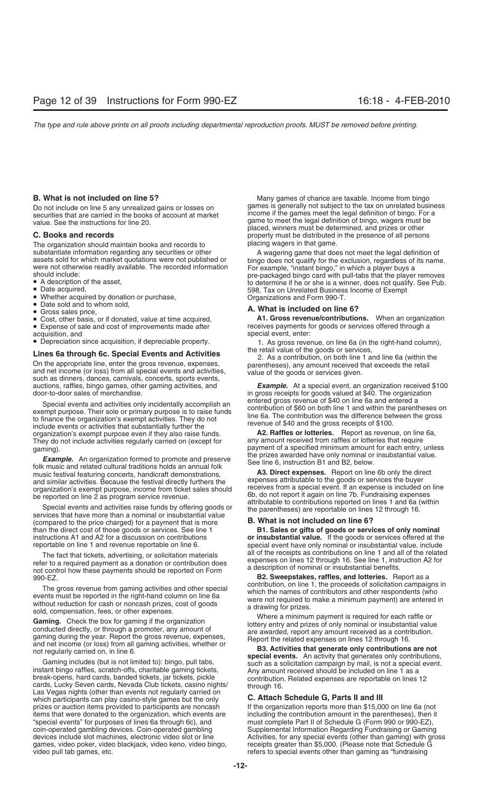Do not include on line 5 any unrealized gains or losses on securities that are carried in the books of account at market

The organization should maintain books and records to placing wagers in that game.<br>substantiate information regarding any securities or other **A** wagering game that doe

- 
- 
- 
- 
- 
- Cost, other basis, or if donated, value at time acquired,<br>• Expense of sale and cost of improvements made after
- acquisition, and special event, enter:<br>• Depreciation since acquisition, if depreciable property. 1. As gross rever
- 

**Lines 6a through 6c. Special Events and Activities** the retail value of the goods or services,<br>
On the appropriate line, enter the gross revenue, expenses,<br>
and net income (or loss) from all special events and activities,

Special events and activities only incidentally accomplish an<br>exempt purpose. Their sole or primary purpose is to raise funds<br>to finance the organization's exempt activities. They do not<br>include events or activities that s organization's exempt purpose even if they also raise funds. **A2. Raffles or lotteries.** Report as revenue, on line 6a, They do not include activities regularly carried on (except for gaming).

Example. An organization formed to promote and preserve<br>folk music and related cultural traditions holds an annual folk<br>music festival featuring concerts handicraft demonstrations<br>**A3. Direct expenses.** Report on line 6b o music festival featuring concerts, handicraft demonstrations, **A3. Direct expenses.** Report on line 6b only the direction and similar activities. Because the festival directly furthers the **expenses** attributable to the go

(compared to the price charged) for a payment that is more **B. What is not included on line 6?** than the direct cost of those goods or services. See line 1 **B1. Sales or gifts of goods or services of only nominal** instructions A1 and A2 for a discussion on contributions **or insubstantial value.** If the goods or services offered at the

The fact that tickets, advertising, or solicitation materials refer to a required payment as a donation or contribution does<br>
refer to a required payment as a donation or contribution does<br>
not control how these payments s

which participants can play casino-style games but the only **C. Attach Schedule G, Parts II and III** prizes or auction items provided to participants are noncash If the organization reports more than \$15,000 on line 6a (not items that were donated to the organization, which events are including the contribution amount in the parentheses), then it<br>"special events" for purposes of lines 6a through 6c), and must complete Part II of Schedule G (F "special events" for purposes of lines 6a through 6c), and must complete Part II of Schedule G (Form 990 or 990-EZ), games, video poker, video blackjack, video keno, video bingo, video pull tab games, etc.

**B. What is not included on line 5?** Many games of chance are taxable. Income from bingo<br>Do not include on line 5 any unrealized gains or losses on games is generally not subject to the tax on unrelated business Exercision in the books of account at market income if the games meet the legal definition of bingo. For a securities that are carried in the books of account at market value. See the instructions for line 20. game to meet the legal definition of bingo, wagers must be placed, winners must be determined, and prizes or other **C. Books and records property must be distributed in the presence of all persons** 

substantiate information regarding any securities or other<br>
assets sold for which market quotations were not published or<br>
were not otherwise readily available. The recorded information<br>
were not otherwise readily availab

• Date sold and to whom sold,<br>• Gross sales price,<br>• Cost. other basis, or if donated, value at time acquired. **A1. Gross revenue/contributions.** When an organization • Expense of sale and cost of improvements made after receives payments for goods or services offered through a acquisition, and special event, enter:

1. As gross revenue, on line 6a (in the right-hand column), the retail value of the goods or services.

auctions, raffles, bingo games, other gaming activities, and *Example.* At a special event, an organization received \$100 in gross receipts for goods valued at \$40. The organization entered gross revenue of \$40 on line 6a and entered a

payment of a specified minimum amount for each entry, unless<br>the prizes awarded have only nominal or insubstantial value.

and similar activities. Because the festival directly furthers the<br>organization's exempt purpose, income from ticket sales should<br>be reported on line 2 as program service revenue.<br>Special events and activities raise funds

special event have only nominal or insubstantial value, include

**B2. Sweepstakes, raffles, and lotteries.** Report as a contribution, on line 1, the proceeds of solicitation campaigns in

The gross revenue from gaming activities and other special<br>
winch the night-hand column on line 6a<br>
winch the proceeds of solicitation campaigns in<br>
winch the respondents (when the nearest of contributions and other respon

Supplemental Information Regarding Fundraising or Gaming devices include slot machines, electronic video slot or line Activities, for any special events (other than gaming) with gross dames, video blackiack, video keno, video bingo, receipts greater than \$5,000. (Please note tha refers to special events other than gaming as "fundraising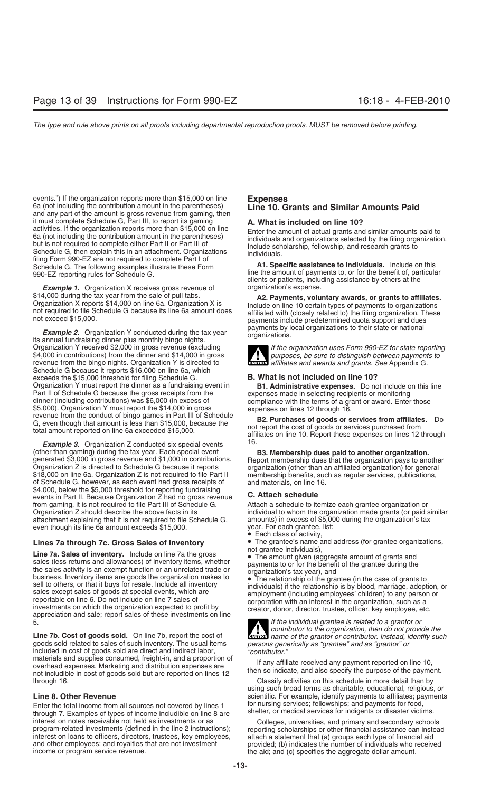events.") If the organization reports more than \$15,000 on line **Expenses** 6a (not including the contribution amount in the parentheses) **Line 10. Grants and Similar Amounts Paid** and any part of the amount is gross revenue from gaming, then it must complete Schedule G, Part III, to report its gaming **A. What is included on line 10?** activities. If the organization reports more than \$15,000 on line<br>
6a (not including the contribution amount in the parentheses)<br>
but is not required to complete either Part II or Part III of<br>
Schedule G, then explain this filing Form 990-EZ are not required to complete Part I of<br>Schedule G. The following examples illustrate these Form **A1. Specific assistance to individuals.** Include on this

**Example 1.** Organization X receives gross revenue of organization's expense.

**Example 2.** Organization Y conducted during the tax year payments by ris annual fundraising dinner plus monthly bingo nights. Organization Y received \$2,000 in gross revenue (excluding *If the organization uses Form 990-EZ for state reporting* \$4,000 in contributions) from the dinner and \$14,000 in gross **purposes, be sure to distinguish between payments to** revenue from the bingo nights. Organization Y is directed to revenue from the bingo nights. Organization Y is directed to Schedule G because it reports \$16,000 on line 6a, which exceeds the \$15,000 threshold for filing Schedule G. **B. What is not included on line 10?** Organization Y must report the dinner as a fundraising event in **B1. Administrative expenses.** Do not include on this line Part II of Schedule G because the gross receipts from the<br>
dinner (including contributions) was \$6,000 (in excess of<br>
\$5,000). Organization Y must report the \$14,000 in gross<br>
revenue from the conduct of bingo games in Par

16. *Example 3.* Organization Z conducted six special events (other than gaming) during the tax year. Each special event **B3. Membership dues paid to another organization.**<br>generated \$3,000 in gross revenue and \$1,000 in contributions. Report membership dues that the organization pa Organization Z is directed to Schedule G because it reports organization (other than an affiliated organization) for general<br>\$18,000 on line 6a. Organization Z is not required to file Part II membership benefits, such as r of Schedule G, however, as each event had gross receipts of \$4,000, below the \$5,000 threshold for reporting fundraising events in Part II. Because Organization Z had no gross revenue **C. Attach schedule** from gaming, it is not required to file Part III of Schedule G. Organization Z should describe the above facts in its attachment explaining that it is not required to file Schedule G, amounts) in excess of \$5,00 even though its line 6a amount exceeds \$15,000. year. For each grantee, list: even though its line 6a amount exceeds \$15,000.

**Line 7a. Sales of inventory.** Include on line 7a the gross<br>sales (less returns and allowances) of inventory items, whether<br>the sales activity is an exempt function or an unrelated trade or<br>business. Inventory items are go

**Line 7b. Cost of goods sold.** On line 7b, report the cost of **CAUTION** *name of the grantor or contributor. Instead, identify such* **goods sold related to sales of such inventory. The usual items** *persons generically as "* goods sold related to sales of such inventory. The usual items *persons generically as included in cost of goods sold are direct and indirect labor, <i>"contributor."* materials and supplies consumed, freight-in, and a propo overhead expenses. Marketing and distribution expenses are<br>not includible in cost of goods sold but are reported on lines 12<br>hen so indicate, and also specify the purpose of the payment. through 16. Classify activities on this schedule in more detail than by

Enter the total income from all sources not covered by lines 1<br>through 7. Examples of types of income includible on line 8 are shelter, or medical services for indigents or disaster victims. interest on notes receivable not held as investments or as Colleges, universities, and primary and secondary schools program-related investments (defined in the line 2 instructions); reporting scholarships or other financial assistance can instead<br>interest on loans to officers, directors, trustees, key employees, attach a statement that interest on loans to officers, directors, trustees, key employees, attach a statement that (a) groups each type of financial aid and other employees; and royalties that are not investment provided; (b) indicates the number of individuals who received income or program service revenue.

Forefit of the sensitivity of the amount of payments to, or for the benefit of, particular 990-EZ reporting rules for Schedule G. clients or patients or patients, including assistance by others at the

\$14,000 during the tax year from the sale of pull tabs.<br>
Organization X is<br>
Organization X is<br>
not required to file Schedule G because its line 6a amount does<br>
not required to file Schedule G because its line 6a amount doe

individual to whom the organization made grants (or paid similar amounts) in excess of \$5,000 during the organization's tax

- Each class of activity,
- **Lines 7a through 7c. Gross Sales of Inventory** The grantee's name and address (for grantee organizations,

5. *If the individual grantee is related to a grantor or* **!**

using such broad terms as charitable, educational, religious, or **Line 8. Other Revenue**<br>
Forter the total income from all sources not covered by lines 1 for nursing services; fellowships; and payments for food,

the aid; and (c) specifies the aggregate dollar amount.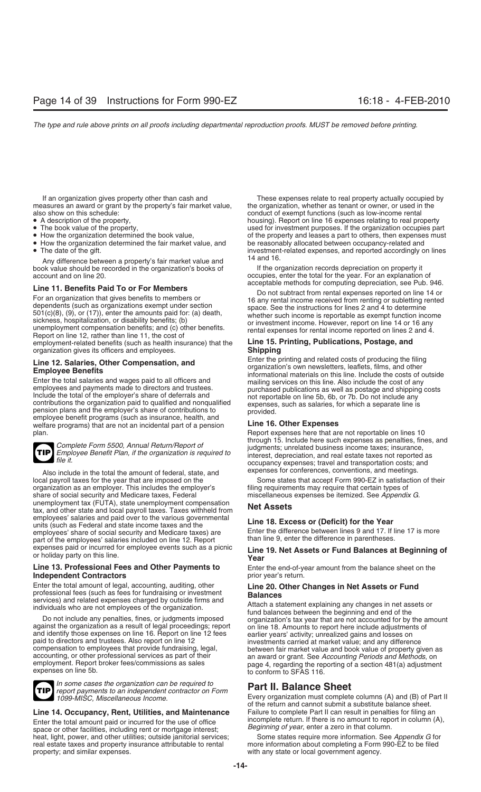measures an award or grant by the property's fair market value, also show on this schedule: conduct of exempt functions (such as low-income rental

- 
- 
- 
- How the organization determined the fair market value, and <br>• The date of the gift.

Any difference between a property's fair market value and 16.<br>ok value should be recorded in the organization's books of fire organization records depreciation on property it book value should be recorded in the organization's books of account and on line 20.

**Line 11. Benefits Paid To or For Members**<br>
For an organization that gives benefits to members or<br>
for an organization that gives benefits to members or<br>
dependents (such as organizations exempt under section<br>
501(c)(8), ( employment-related benefits (such as health insurance) that the **Line 15. Printing, Publications, Postage, and** organization gives its officers and employees.

Enter the total salaries and wages paid to all officers and<br>employees and payments made to directors and trustees.<br>Include the total of the employer's share of deferrals and<br>contributions the organization paid to qualified welfare programs) that are not an incidental part of a pension **Line 16. Other Expenses** plan. Report expenses here that are not reportable on lines 10



Also include in the total the amount of federal, state, and local payroll taxes for the year that are imposed on the organization as an employer. This includes the employer's share of social security and Medicare taxes, Federal unemployment tax (FUTA), state unemployment compensation **Net Assets National rata-** tax, and other state and local payroll taxes. Taxes withheld from employees' salaries and paid over to the various governmental<br>
units (such as Federal and state income taxes and the **Line 18. Excess or (Deficit) for the Year**<br>
employees' share of social security and Medicare taxes) are employees' share of social security and Medicare taxes) are Enter the difference between lines 9 and 17. If l<br>than line 9, enter the difference in parentheses. part of the employees' salaries included on line 12. Report expenses paid or incurred for employee events such as a picnic

## **Independent Contractors prior year's return.**



*In some cases the organization can be required to* **Part II. Balance Sheet** *report payments to an independent contractor on Form*

Enter the total amount paid or incurred for the use of office<br>space or other facilities, including rent or mortgage interest;<br>heat, light, power, and other utilities; outside janitorial services;<br>heat, light, power, and ot heat, light, power, and other utilities; outside janitorial services; real estate taxes and property insurance attributable to rental real estate taxes and property insurance attributable to rental more information about completing a Form 990-EZ to be filed property; and similar expenses.

If an organization gives property other than cash and These expenses relate to real property actually occupied by<br>In the organization, whether as tenant or owner, or used in the property's fair market value, whether as ten • A description of the property, expenses relating to real property in the A description of the property of the property of the property of the property of the property, the broad for investment purposes. If the organizati • The book value of the property, used for investment purposes. If the organization occupies part<br>• How the organization determined the book value, of the property and leases a part to others, then expenses must of the property and leases a part to others, then expenses must<br>be reasonably allocated between occupancy-related and investment-related expenses, and reported accordingly on lines

occupies, enter the total for the year. For an explanation of acceptable methods for computing depreciation, see Pub. 946.

**Line 12. Salaries, Other Compensation, and**<br> **Enter the printing and related costs of producing the filing<br>
<b>Employee Benefits**<br>
Enter the total salaries and wages paid to all officers and<br>
Enter the total salaries and wa

Complete Form 5500, Annual Return/Report of<br>
Employee Benefit Plan, if the organization is required to<br>
file it<br>
file it occupancy expenses; travel and transportation costs; and

> Some states that accept Form 990-EZ in satisfaction of their filing requirements may require that certain types of miscellaneous expenses be itemized. See Appendix G.

## expenses paid or incurred for employee events such as a picnic **Line 19. Net Assets or Fund Balances at Beginning of** or holiday party on this line. **Year**

**Line 13. Professional Fees and Other Payments to** Enter the end-of-year amount from the balance sheet on the

Enter the total amount of legal, accounting, auditing, other<br>
services) and related expenses charged by outside firms and<br>
individuals who are not employees of the organization.<br>
Do not include any penalties, fines, or jud employment. Report broker fees/commissions as sales page 4, regarding the reporting of a section 481(a) adjustment expenses on line 5b. to conform to SFAS 116.

Every organization must complete columns (A) and (B) of Part II of the return and cannot submit a substitute balance sheet.<br>Failure to complete Part II can result in penalties for filing an **Line 14. Occupancy, Rent, Utilities, and Maintenance** Failure to complete Part II can result in penalties for filing an

with any state or local government agency.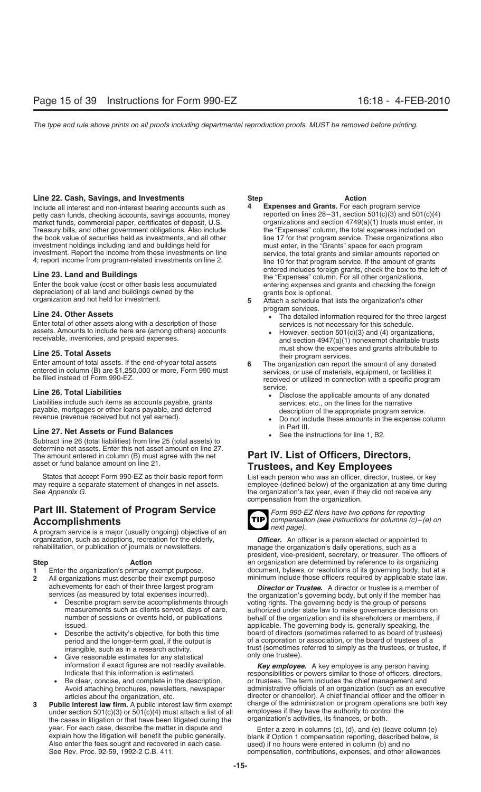### **Line 22. Cash, Savings, and Investments Step Step Action**

petty cash funds, checking accounts, savings accounts, money reported on lines 28–31, section 501(c)(3) and 501(c)(4)<br>market funds, commercial paper, certificates of deposit, U.S. organizations and section 4749(a)(1) trust market funds, commercial paper, certificates of deposit, U.S. organizations and section 4749(a)(1) trusts must enter, in Treasury bills, and other government obligations. Also include the "Expenses" column, the total expen Treasury bills, and other government obligations. Also include the "Expenses" column, the total expenses included on the book value of securities held as investments, and all other line 17 for that program service. These o the book value of securities held as investments, and all other investment holdings including land and buildings held for must enter, in the "Grants" space for each program<br>investment. Report the income from these investments on line service, the total grants and similar amounts report

Enter the book value (cost or other basis less accumulated entering expenses and grants and checking the foreign<br>depreciation) of all land and buildings owned by the depreciation or antis box is optional depreciation) of all land and buildings owned by the grants box is optional.<br>**5** Attach a schedule that lists the organization's other

Enter total of other assets along with a description of those services is not necessary for this schedule.<br>
assets. Amounts to include here are (among others) accounts<br>
receivable, inventories, and prepaid expenses.<br>
and s

**Line 26. Total Liabilities**<br>
Liabilities include such items as accounts payable, grants<br>
payable, mortgages or other loans payable, and deferred<br>
revenue (revenue received but not yet earned).<br> **Example 1998**<br>
Po not incl

## in Part III. **Line 27. Net Assets or Fund Balances** • See the instructions for line 1, B2.

Subtract line 26 (total liabilities) from line 25 (total assets) to determine net assets. Enter this net asset amount on line 27.<br>The amount entered in column (B) must agree with the net The amount entered in column (B) must agree with the net **Part IV. List of Officers, Directors,**<br>asset or fund balance amount on line 21.<br>**Trustees** and Key Employees

States that accept Form 990-EZ as their basic report form List each person who was an officer, director, trustee, or key may require a separate statement of changes in net assets. employee (defined below) of the organizati

## **Part III. Statement of Program Service** *Form 990-EZ filers have two options for reporting* **Accomplishments** *compensation (see instructions for columns (c)–(e) on*

A program service is a major (usually ongoing) objective of an organization, such as adoptions, recreation for the elderly, **Officer.** An officer is a person elected or appointed to rehabilitation, or publication of journals or newsletters.

- 
- -
	-
	-
	-
- under section 501(c)(3) or 501(c)(4) must attach a list of all employees if they have the authority to control<br>the cases in litigation or that have been litigated during the organization's activities, its finances, or bot the cases in litigation or that have been litigated during the year. For each case, describe the matter in dispute and Also enter the fees sought and recovered in each case.<br>See Rev. Proc. 92-59, 1992-2 C.B. 411.

- Include all interest and non-interest bearing accounts such as **4 Expenses and Grants.** For each program service investment. Report the income from these investments on line<br>4; report income from program-related investments on line 2. The 10 for that program service. If the amount of grants **Extemding the 23. Land and Buildings**<br> **Line 23. Land and Buildings**<br>
Enter the book value (cost or other basis less accumulated<br>
Enter the book value (cost or other basis less accumulated<br>
Entering expenses and grants an
	-
- **Line 24. Other Assets**<br>**Line 24. Other Assets • Line 24. Other Assets** along with a description of those **•** The detailed information required for the three largest<br> **Enter total of other assets along with a descripti**
- **Line 25. Total Assets**<br>
Enter amount of total assets. If the end-of-year total assets<br>
Enter amount of total assets. If the end-of-year total assets<br>
6 The organization can report the amount of any donated
- Enter amount of total assets. If the end-of-year total assets 6 The organization can report the amount of any donated<br>entered in column (B) are \$1,250,000 or more, Form 990 must<br>be filed instead of Form 990-EZ.
	-
	-
	-

# **Trustees, and Key Employees**

may require a separate statement of changes in net assets. employee (defined below) of the organization at any time during<br>See Appendix G. the organization's tax year, even if they did not receive any compensation from the organization.



*next page).*

manage the organization's daily operations, such as a president, vice-president, secretary, or treasurer. The officers of **Step 6.4 Action Action**<br>**1** Enter the organization's primary exempt purpose. document, bylaws, or resolutions of its governing body, but at **1** Enter the organization's primary exempt purpose.<br>**2** All organizations must describe their exempt purpose minimum include those officers required by applicable state law. **2** All organizations must describe their exempt purpose minimum include those officers required by applicable state law.

achievements for each of their three largest program **Director or Trustee.** A director or trustee is a member of services (as measured by total expenses incurred). ervices (as measured by total expenses incurred). the organization's governing body, but only if the member has<br>• Describe program service accomplishments through voting rights. The governing body is the group of persons Describe program service accomplishments through voting rights. The governing body is the group of persons measurements such as clients served, days of care, authorized under state law to make governance decisions measurements such as clients served, days of care, authorized under state law to make governance decisions on<br>number of sessions or events held, or publications behalf of the organization and its shareholders or members, i behalf of the organization and its shareholders or members, if issued. applicable. The governing body is, generally speaking, the • Describe the activity's objective, for both this time board of directors (sometimes referred to as board of trustees) period and the longer-term goal, if the output is of a corporation or association, or the board of trustees of a<br>intangible, such as in a research activity.<br>trust (sometimes referred to simply as the trustees, or truste intangible, such as in a research activity. The strust (sometimes referred to simply as the trustees, or trustee, if Give reasonable estimates for any statistical only one trustee).

information if exact figures are not readily available. *Key employee.* A key employee is any person having responsibilities or powers similar to those of officers, directors, Be clear, concise, and complete in the description. <br>Avoid attaching brochures, newsletters, newspaper administrative officials of an organization (such as an exe administrative officials of an organization (such as an executive articles about the organization, etc. director or chancellor). A chief financial officer and the officer in<br>Public interest law firm exempt charge of the administration or program operations are both key **3** Public interest law firm. A public interest law firm exempt charge of the administration or program operations are both key<br>under section 501(c)(3) or 501(c)(4) must attach a list of all employees if they have the auth

year. For each case, describe the matter in dispute and<br>explain how the litigation will benefit the public generally.<br>Also enter the fees sought and recovered in each case.<br>Also enter the fees sought and recovered in each compensation, contributions, expenses, and other allowances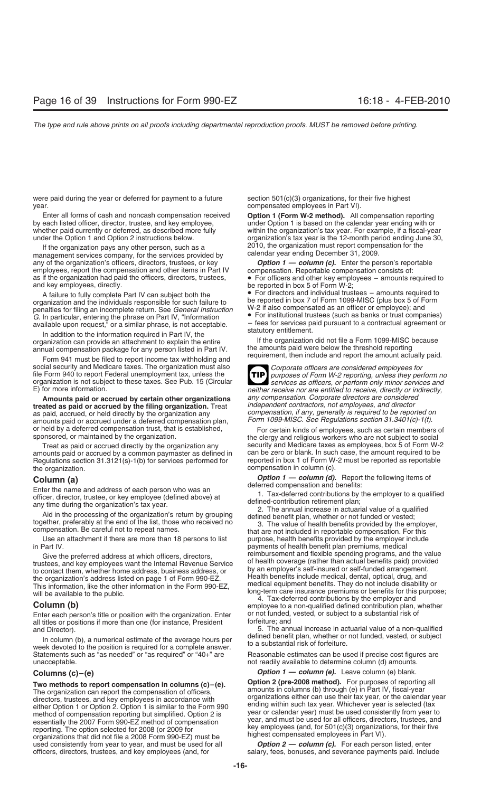were paid during the year or deferred for payment to a future  $\frac{1}{100}$  section 501(c)(3) organizations, for their five highest year. compensated employees in Part VI).

Enter all forms of cash and noncash compensation received **Option 1 (Form W-2 method).** All compensation reporting by each listed officer, director, trustee, and key employee, under Option 1 is based on the calendar year ending with or<br>within the organization's tax year. For example, if a fiscal-yea whether paid currently or deferred, as described more fully within the organization's tax year. For example, if a fiscal-year<br>under the Option 1 and Option 2 instructions below. organization's tax year is the 12-month peri

If the organization pays any other person, such as a Texas in the Organization must report compensation for the services provided by Texas and Calendar year ending December 31, 2009. management services company, for the services provided by any of the organization's officers, directors, trustees, or key **Option 1 — column (c).** Enter the person's reportable employees, report the compensation and other items in Part IV compensation. Reportable compensation con employees, report the compensation and other items in Part IV as if the organization had paid the officers, directors, trustees, as if the organization had paid the officers, directors, trustees, • For officers and other key employees – amounts required to and key employees, directly.

organization and the individuals responsible for such failure to penalties for filing an incomplete return. See *General Instruction* W-2 if also compensated as an officer or employee); and<br>
G In particular entering the phrase on Part IV "Information • For institutional trustees (such a *G*. In particular, entering the phrase on Part IV, "Information **Canada Propertival trustees** (such as banks or trust companies) . The phrase or trust companies or trust companies) . The particle is not acceptable  $\frac{1}{2$ available upon request," or a similar phrase, is not acceptable.  $-$  fees for services paid pursuant to a contractual agreement or  $\frac{1}{2}$  statutory entitlement.

In addition to the information required in Part IV, the substantion of the organization did not file a Form 1099-MISC because organization can provide an attachment to explain the entire If the organization did not file a Form 1099-MISC<br>annual compensation package for any person listed in Part IV the amounts paid were below the threshold reportin

Form 941 must be filed to report income tax withholding and social security and Medicare taxes. The organization must also<br>file Form 940 to report Federal unemployment tax, unless the<br>organization is not subject to these taxes. See Pub. 15 (Circular<br>E) for more information.<br>E) for

**Amounts paid or accrued by certain other organizations** *any compensation. Corporate directors are considered independent contractors, not employees, and director* **treated as paid or accrued by the filing organization.** Treat as paid, accrued, or held directly by the organization any *compensation, if any, generally is required to be reported on*<br>amounts paid or accrued under a deferred compensation plan. Form 1099-MISC. See Regulations section amounts paid or accrued under a deferred compensation plan,

amounts paid or accrued by a common paymaster as defined in can be zero or blank. In such case, the amount required to be<br>Requiations section 31.3121(s)-1(b) for services performed for eported in box 1 of Form W-2 must be Regulations section 31.3121(s)-1(b) for services performed for the organization.

Enter the name and address of each person who was an<br>
officer, director, trustee, or key employee (defined above) at<br>
any time during the organization's tax year.<br>
Aid in the processing of the organization's return by grou

Use an attachment if there are more than 18 persons to list purpose, health benefits provided by the employer include in Part IV. payments of health benefit plan premiums, medical

to contact them, whether home address, business address, or by an employer's self-insured or self-funded arrangement.<br>the organization's address listed on page 1 of Form 990-EZ. Health benefits include medical, dental, opt will be available to the public.<br>will be available to the public. <br>4. Tax-deferred contributions by the employer and<br>4. Tax-deferred contributions by the employer and

Enter each person's title or position with the organization. Enter or not funded, all titles or positions if more than one (for instance President of torfeiture; and all titles or positions if more than one (for instance, President

In column (b), a numerical estimate of the average hours per<br>week devoted to the position is required for a complete answer. The a substantial risk of forfeiture. Statements such as "as needed" or "as required" or "40+" are Reasonable estimates can be used if precise cost figures are unacceptable. **not readily available to determine column (d) amounts.** The mass of the mass of the mass of the ma

method of compensation reporting but simplified. Option 2 is year or calendar year) must be used consistently from year to<br>year, and must be used for all officers, directors, trustees, and essentially the 2007 Form 990-EZ method of compensation<br>reporting. The option selected for 2008 (or 2009 for<br>organizations that did not file a 2008 Form 990-EZ) must be<br>used consistently from year to year, and must be use used consistently from year to year, and must be used for all officers, directors, trustees, and key employees (and, for

organization's tax year is the 12-month period ending June 30, 2010, the organization must report compensation for the

be reported in box 5 of Form W-2;

A failure to fully complete Part IV can subject both the • For directors and individual trustees – amounts required to • Form 1099-MISC (plus box 5 of Form 1099-MISC)

annual compensation package for any person listed in Part IV. the amounts paid were below the threshold reporting<br>Form 041 must be filed to report income tax withholding and requirement, then include and report the amount

**TIP** neither receive nor are entitled to receive, directly or indirectly, any compensation. Corporate directors are considered

or held by a deferred compensation trust, that is established,<br>
For certain kinds of employees, such as certain members of<br>
Treat as paid or accrued directly by the organization any<br>
Treat as paid or accrued directly by th Treat as paid or accrued directly by the organization any security and Medicare taxes as employees, box 5 of Form W-2<br>Jounts paid or accrued by a common paymaster as defined in can be zero or blank. In such case, the amoun compensation in column (c).

**Column (a) Column (a)** *Option 1 — column (d).* Report the following items of deferred compensation and benefits:

Give the preferred address at which officers, directors, reimbursement and flexible spending programs, and the value<br>trustees, and key employees want the Internal Revenue Service of health coverage (rather than actual bene

**4. Tax-deferred contribution plan, whether**<br>4. Enter each person's title or position with the organization. Enter or not funded, vested, or subject to a substantial risk of

and Director).<br>In column (b), a numerical estimate of the average bours nexyles defined benefit plan, whether or not funded, vested, or subject

**Columns (c)–(e)** *Option 1 — column (e).* Leave column (e) blank.

**Two methods to report compensation in columns (c)-(e). Option 2 (pre-2008 method).** For purposes of reporting all<br>The organization can report the compensation of officers,<br>directors, trustees, and key employees in acco

salary, fees, bonuses, and severance payments paid. Include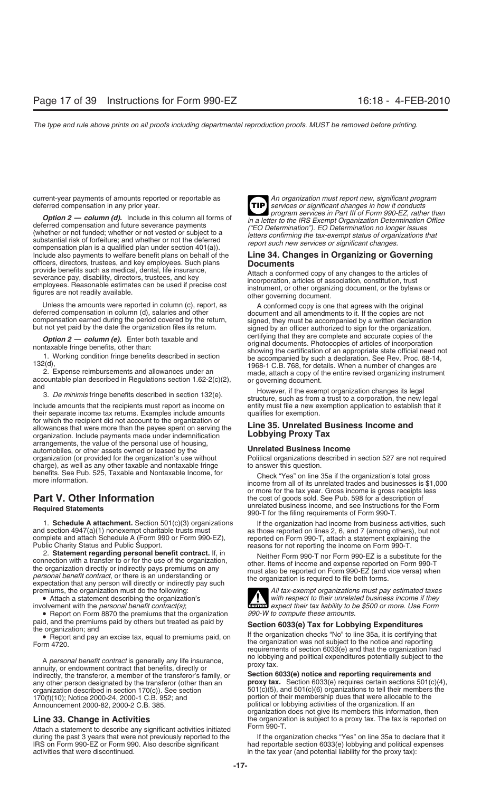current-year payments of amounts reported or reportable as **An organization must report new, significant program**<br>deferred compensation in any prior year.

**Option 2 — column (d).** Include in this column all forms of<br>deferred compensation and future severance payments<br>(whether or not funded; whether or not vested or subject to a<br>substantial risk of forfeiture; and whether or Include also payments to welfare benefit plans on behalf of the **Line 34. Changes in Organizing or Governing** officers, directors, trustees, and key employees. Such plans **Documents**

Include amounts that the recipients must report as income on entity must file a new exemption application to establish that it their separate income tax returns. Examples include amounts qualifies for exemption. for which the recipient did not account to the organization or allowances that were more than the payee spent on serving the **Line 35. Unrelated Business Income and** organization. Include payments made under indemnification arrangements, the value of the personal use of housing, automobiles, or other assets owned or leased by the **Unrelated Business Income**<br>organization (or provided for the organization's use without **Political organizations** described in charge), as well as any other taxable and nontaxable fringe to answer this question.<br>benefits. See Pub. 525, Taxable and Nontaxable Income, for Chook "Yos" on line

1. **Schedule A attachment.** Section 501(c)(3) organizations If the organization had income from business activities, such and section 4947(a)(1) nonexempt charitable trusts must as those reported on lines 2, 6, and 7 (amon complete and attach Schedule A (Form 990 or Form 990-EZ), Public Charity Status and Public Support. blic Charity Status and Public Support.<br>2. Statement regarding personal benefit contract. If, in the publisher Form 990 T nor Form 990 EZ is a substit

2. Statement regarding personal benefit contract. II, In<br>connection with a transfer to or for the use of the organization,<br>the organization directly or indirectly pays premiums on any<br>*personal benefit contract*, or there premiums, the organization must do the following: *All tax-exempt organizations must pay estimated taxes*

• Report on Form 8870 the premiums that the organization *990-W to compute these amounts.*

A *personal benefit contract* is generally any life insurance,<br>annuity, or endowment contract that benefits, directly or<br>indirectly, the transferor, a member of the transferor's family, or<br>**Section 6033(e) notice and repor** any other person designated by the transferor (other than an organization described in section 170(c)). See section 170(f)(10); Notice 2000-24, 2000-1 C.B. 952; and portion of their membership dues that were allocable to the Announcement 2000-82, 2000-2 C.B. 385.

Attach a statement to describe any significant activities initiated<br>
during the past 3 years that were not previously reported to the If the organization checks "Yes" on line 35a to declare that it during the past 3 years that were not previously reported to the If the organization checks "Yes" on line 35a to declare that it<br>IRS on Form 990-EZ or Form 990. Also describe significant Inad reportable section 6033(e) lob IRS on Form 990-EZ or Form 990. Also describe significant activities that were discontinued. in the tax year (and potential liability for the proxy tax):



provide benefits such as medical, dental, life insurance,<br>severance pay, disability, directors, trustees, and key<br>employees. Reasonable estimates can be used if precise cost<br>figures are not readily available.<br>figures are n

Unless the amounts were reported in column (c), report, as<br>deferred compensation in column (d), salaries and other<br>compensation earned during the period covered by the return,<br>but not yet paid by the date the organization **Option 2 — column (e).** Enter both taxable and<br>
nontaxable fringe benefits, other than:<br>
1. Working condition fringe benefits described in section<br>
1. Working condition fringe benefits described in section<br>
1. Working co

Political organizations described in section 527 are not required

benefits. See Pub. 525, Taxable and Nontaxable Income, for Check "Yes" on line 35a if the organization's total gross more information.<br>Income from all of its unrelated trades and businesses is \$1,000 or more for the tax year. Gross income is gross receipts less **Part V. Other Information** the cost of goods sold. See Pub. 598 for a description of **Required Statements** unrelated business income, and see Instructions for the Form 990-T for the filing requirements of Form 990-T.

as those reported on lines 2, 6, and 7 (among others), but not reported on Form 990-T, attach a statement explaining the



• Attach a statement describing the organization's **and the organization's** with respect to their unrelated business income if they involvement with the personal benefit contract(s); involvement with the *personal benefit contract(s)*;<br>
involvement with the *personal benefit contract(s)*;<br> **EXECUTE:** expect their tax liability to be \$500 or more. Use Form

From 4720.<br>
From 4720.<br>
From 4720.<br>
From 4720.<br>
Perferences tax, equal to premiums paid, on<br>
From 4720.

indirectly, the transferor, a member of the transferor's family, or **Section 6033(e) notice and reporting requirements and**  $501(c)(5)$ , and  $501(c)(6)$  organizations to tell their members the political or lobbying activities of the organization. If an organization does not give its members this information, then **Line 33. Change in Activities** the organization is subject to a proxy tax. The tax is reported on the organization of the organization is subject to a proxy tax. The tax is reported on the organization of the organization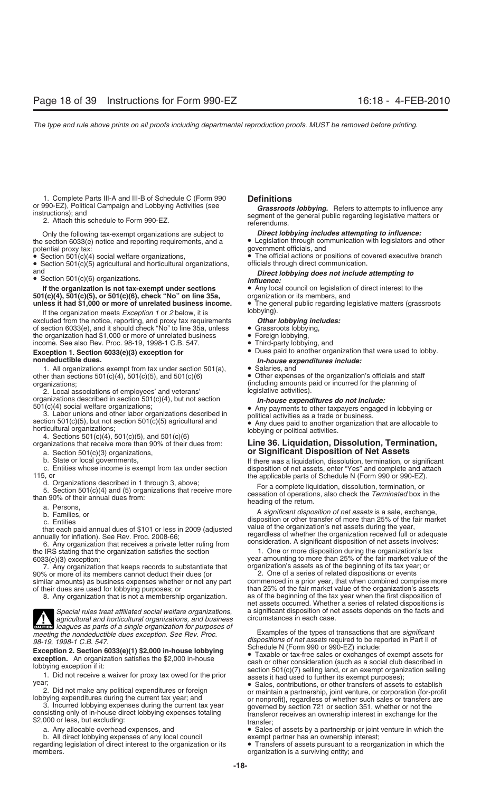1. Complete Parts III-A and III-B of Schedule C (Form 990 **Definitions**

Only the following tax-exempt organizations are subject to **Direct lobbying includes attempting to influence:**<br>the section 6033(e) notice and reporting requirements, and a **Confluence of Legislation** through communication the section 6033(e) notice and reporting requirements, and a • Legislation through communication with legislators and other potential proxy tax:<br>government officials, and potential proxy tax: government officials, and

• Section 501(c)(5) agricultural and horticultural organizations, and

**If the organization is not tax-exempt under sections** • Any local council on legislation of direct interest to the<br>1(c)(4), 501(c)(5), or 501(c)(6), check "No" on line 35a, organization or its members, and **501(c)(4), 501(c)(5), or 501(c)(6), check "No" on line 35a,** organization or its members, and **unless it had \$1,000 or more of unrelated business income.** • The general public regarding legislative matters (grassroots **unless it had \$1,000 or more of unrelated business income.** • The general public regarding is the organization meets *Exception 1 or 2* below it is

If the organization meets *Exception 1* or 2 below, it is **Exception 1** oblying).<br>cluded from the notice, reporting, and proxy tax requirements **Other lobbying includes:** excluded from the notice, reporting, and proxy tax requirements **Other lobbying inc** of section 6033(e), and it should check "No" to line 35a, unless **Consent of all and the system** of section 6033(e), and it should check "No" to line 35a, unless • Grassroots lobbying, the organization had \$1,000 or more of unrelated business • Foreign lobbying, the organization had \$1,000 or more of unrelated business • Foreign lobbying, and income. See also Rev. Proc. 98-19, 1998-1 C.B. 547. income. See also Rev. Proc. 98-19, 1998-1 C.B. 547.

# **nondeductible dues.** *In-house expenditures include:*<br>1. All organizations exempt from tax under section 501(a). <br>**•** Salaries, and

1. All organizations exempt from tax under section 501(a), other than sections  $501(c)(4)$ ,  $501(c)(5)$ , and  $501(c)(6)$ 

2. Local associations of employees' and veterans'<br>organizations described in section 501(c)(4), but not section

organizations described in section 501(c)(4), but not section<br>
501(c)(4) social welfare organizations;<br>
3. Labor unions and other labor organizations described in<br>
section 501(c)(5), but not section 501(c)(5) agricultural

organizations that receive more than 90% of their dues from: **Line 36. Liquidation, Dissolution, Termination,**

- 
- 
- 

7. Any organization that keeps records to substantiate that organization's assets as of the beginning of its tax yea<br>6 or more of its members cannot deduct their dues (or  $2.$  One of a series of related dispositions or eve 90% or more of its members cannot deduct their dues (or

8. Any organization that is not a membership organization.



*agricultural and horticultural organizations, and business* **CAUTION** *leagues as parts of a single organizations, and business*<br> *CAUTION leagues as parts of a single organization for purposes of meeting the nondeductible dues exception. See Rev. Proc.* Examples of the types of transactions that are *significant*

b. All direct lobbying expenses of any local council exempt partner has an ownership interest;<br>| arding legislation of direct interest to the organization or its  $\bullet$  Transfers of assets pursuant to a reorganization in whi regarding legislation of direct interest to the organization or its members.

or 990-EZ), Political Campaign and Lobbying Activities (see<br>instructions); and<br>2. Attach this schedule to Form 990-EZ.<br>2. Attach this schedule to Form 990-EZ.<br>2. Attach this schedule to Form 990-EZ.

 $\bullet$  The official actions or positions of covered executive branch officials through direct communication.

## and *Direct lobbying does not include attempting to* • Section 501(c)(6) organizations. *influence:*

- 
- 
- 
- **Exception 1. Section 6033(e)(3) exception for** Dues paid to another organization that were used to lobby.
	-
	-

• Other expenses of the organization's officials and staff organizations;<br>2. Local associations of employees' and veterans' legislative activities).

## a. Section 501(c)(3) organizations, **or Significant Disposition of Net Assets**

b. State or local governments, If there was a liquidation, dissolution, termination, or significant c. Entities whose income is exempt from tax under section disposition of net assets, enter "Yes" and complete and attach 115, or the applicable parts of Schedule N (Form 990 or 990-EZ).

d. Organizations described in 1 through 3, above;<br>
5. Section 501(c)(4) and (5) organizations that receive more<br>
than 90% of their annual dues from:<br>
a. Persons,<br>
b. Families, or<br>
c. Entities, or<br>
c. Entities, or<br>
c. Entit

the IRS stating that the organization satisfies the section 1. One or more disposition during the organization's tax<br>6033(e)(3) exception; vear amounting to more than 25% of the fair market value of year amounting to more than 25% of the fair market value of the organization's assets as of the beginning of its tax year; or

similar amounts) as business expenses whether or not any part commenced in a prior year, that when combined comprise more<br>of their dues are used for lobbying purposes; or than 25% of the fair market value of the organizati than 25% of the fair market value of the organization's assets as of the beginning of the tax year when the first disposition of net assets occurred. Whether a series of related dispositions is *Special rules treat affiliated social welfare organizations,* a significant disposition of net assets depends on the facts and

*98-19, 1998-1 C.B. 547. dispositions of net assets* required to be reported in Part II of

Exception 2. Section 6033(e)(1) \$2,000 in-house lobbying<br>exception. An organization satisfies the \$2,000 in-house<br>lobbying exception if it:<br>lobbying exception if it:<br>lobbying exception if it:<br>1. Did not receive a waiver f

F. Did not receive a waiver for proxy tax owed for the prior<br>
2. Did not make any political expenditures or foreign<br>
2. Did not make any political expenditures or foreign<br>
1. Did not make any political expenditures or fore

• Sales of assets by a partnership or joint venture in which the

organization is a surviving entity; and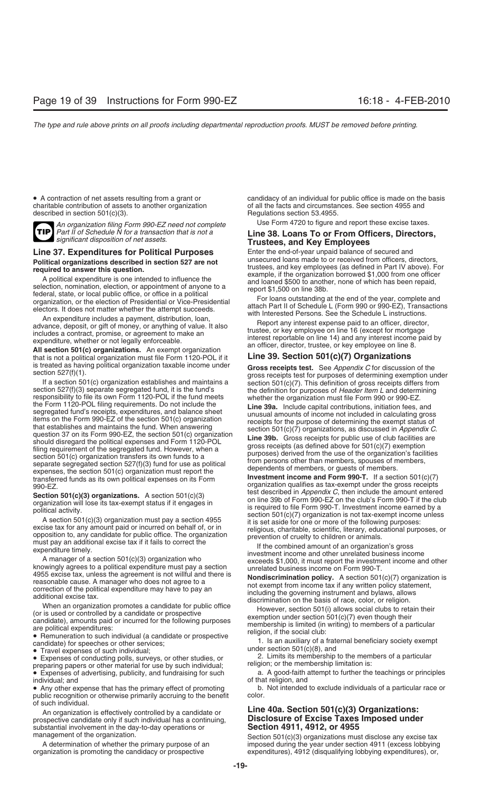charitable contribution of assets to another organization described in section 501(c)(3). Regulations section 53.4955.



*An organization filing Form 990-EZ need not complete* Use Form 4720 to figure and report these excise taxes.<br>Part II of Schedule N for a transaction that is not a **II in AR I pans To or From Officers Directors** 

**Political organizations described in section 527 are not**<br> **Political organizations described in Section** tusted to influence the<br>
selection, nomination, election, or appointment of anyone to a<br>
selection, nomination, ele

that is not a political organization must file Form 1120-POL if it **Line 39. Section 501(c)(7) Organizations**

is treated as having political organization taxable income under<br>
section 527(f)(1). This definition of gross receipts test. See Appendix C for discussion of the<br>
If a section 501(c) organization establishes and maintains

Experiment income and other unrelated business income<br>A manager of a section 501(c)(3) organization who<br>knowingly agrees to a political expenditure must pay a section<br>4955 excise tax, unless the agreement is not willful an 4955 excise tax, unless the agreement is not willful and there is<br>
reasonable cause. A manager who does not agree to a<br>
correction of the political expenditure may have to pay an<br>
additional excise tax.<br>
Coris used or con

preparing papers or other material for use by such individual;<br>• Expenses of advertising, publicity, and fundraising for such a. A good-faith attempt to further the teachings or principles

individual; and of that religion, and of that religion, and • Any other expense that has the primary effect of promoting b. Not intended to exclude individuals of a particular race or bublic recognition or otherwise primarily accruing to the benefit color. public recognition or otherwise primarily accruing to the benefit of such individual.

prospective candidate only if such individual has a continuing, **DISCIOSUTE OF EXCISE TAXES** substantial involvement in the day-to-day operations or **Section 4911, 4912, or 4955** substantial involvement in the day-to-day operations or management of the organization.

• A contraction of net assets resulting from a grant or example and candidacy of an individual for public office is made on the basis charitable contribution of assets to another organization example of all the facts and c

### *Part II of Schedule N for a transaction that is not a* **Line 38. Loans To or From Officers, Directors,** *significant disposition of net assets.* **Trustees, and Key Employees**

**Line 37. Expenditures for Political Purposes** Enter the end-of-year unpaid balance of secured and<br>
Political organizations described in section 527 are not unsecured loans made to or received from officers, directors,

transferred funds as its own political expenses on its Form **Investment income and Form 990-1.** It a section 501(c)(*i*)<br>990-EZ.<br>**Contine F01(c)<sup>(2)</sup>** sest described in *Appendix C*, then include the amount entered Section 501(c)(3) organizations. A section 501(c)(3) test described in *Appendix C*, then include the amount entered<br>organization will lose its tax-exempt status if it engages in<br>political activity.<br>A section 501(c)(3) org

# An organization is effectively controlled by a candidate or **Line 40a. Section 501(c)(3) Organizations:**

inagement of the organization.<br>A determination of whether the primary purpose of an strate imposed during the year under section 4911 (excess lobbying imposed during the year under section 4911 (excess lobbying organization is promoting the candidacy or prospective expenditures), 4912 (disqualifying lobbying expenditures), or,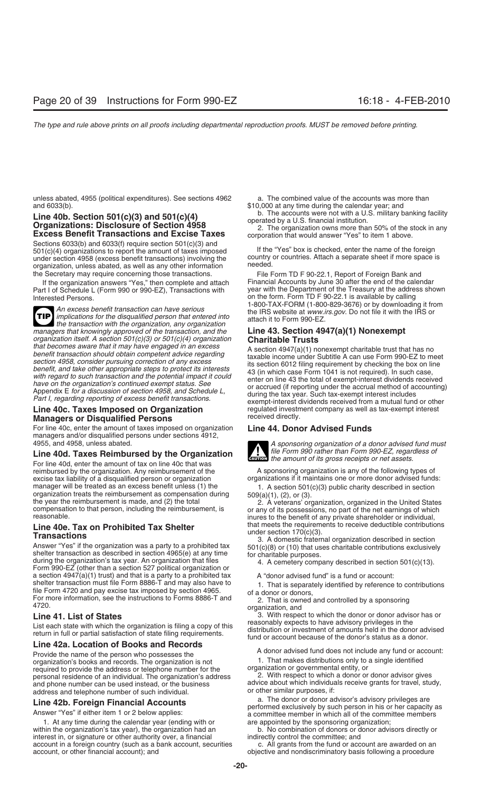unless abated, 4955 (political expenditures). See sections 4962 a. The combined value of the accounts was more than

# Line 40b. Section 501(c)(3) and 501(c)(4)<br>Organizations: Disclosure of Section 4958<br>Excess Benefit Transactions and Excise Taxes<br>Excess Benefit Transactions and Excise Taxes<br>Corporation that would answer "Yes" to item 1 ab

Sections 6033(b) and 6033(f) require section 501(c)(3) and 501(c)(4) organizations to report the amount of taxes imposed<br>If the "Yes" box is checked, enter the name of the foreign<br>under section 4958 (excess benefit transactions) involving the country or countries. Attach a separat under section 4958 (excess benefit transactions) involving the country or country or country or country or country organization, unless abated, as well as any other information the Secretary may require concerning those transactions. File Form TD F 90-22.1, Report of Foreign Bank and

Part I of Schedule L (Form 990 or 990-EZ), Transactions with Interested Persons.

An excess benefit transaction can have serious<br>implications for the disqualified person that entered into<br>the IRS website at www.irs.gov. Do not file it with the IRS or<br>the transaction with the organization, any organizati **TIP** implications for the disqualified person that entered into *managers that knowingly approved of the transaction, and the organization itself. A section 501(c)(3) or 501(c)(4) organization* **Charitable Trusts**

## **Managers or Disqualified Persons**

For line 40c, enter the amount of taxes imposed on organization **Line 44. Donor Advised Funds** managers and/or disqualified persons under sections 4912,

### Line 40d. Taxes Reimbursed by the Organization

For line 40d, enter the amount of tax on line 40c that was reimbursed by the organization. Any reimbursement of the A sponsoring organization is any of the following types of excise tax liability of a disqualified person or organization organizations if it maintains one or more donor advised funds: manager will be treated as an excess benefit unless (1) the transformal organization treats the reimbursement as compensation during organization 501(c)(3) public charity described in section organization treats the reimbu

**Line 40e. Tax on Prohibited Tax Shelter** that meets the requirements to receive deductible contributions<br> **Transactions**<br>
Answer "Yes" if the organization was a party to a prohibited tax<br>
Answer "Yes" if the organization a section 4947(a)(1) trust) and that is a party to a prohibited tax A "donor advised fund" is a fund or account:<br>
shelter transaction must file Form 8886-T and may also have to full that is separately identified by referen shelter transaction must file Form 8886-1 and may also have to<br>file Form 4720 and pay excise tax imposed by section 4965.<br>For more information, see the instructions to Forms 8886-T and<br>4720.<br>4720.

### **Line 42a. Location of Books and Records**

Provide the name of the person who possesses the **A** donor advised fund does not include any fund or account:<br>
Provide the name of the person who possesses the state of the organization is not **A** donor advised distributio organization's books and records. The organization is not 1. That makes distributions only to container to the single identical entity, or required to provide the address or telephone number for the organization or governmental entity, or<br>nersonal residence of an individual. The organization's address 2. With respect to which a donor or donor advisor gives personal residence of an individual. The organization's address and phone number can be used instead, or the business address and telephone number of such individual.

1. At any time during the calendar year (ending with or within the organization's tax year), the organization had an b. No combination of donors or donor advisors directly or interest in, or signature or other authority over, a financial indirectly control the committee; and<br>account in a foreign country (such as a bank account, securities call grants from the fund or account are awarded on an account in a foreign country (such as a bank account, securities account, or other financial account); and

and 6033(b). \$10,000 at any time during the calendar year; and

If the organization answers "Yes," then complete and attach Financial Accounts by June 30 after the end of the calendar<br>rt Lof Schedule L (Form 990 or 990-EZ). Transactions with year with the Department of the Treasury at on the form. Form TD F 90-22.1 is available by calling<br>1-800-TAX-FORM (1-800-829-3676) or by downloading it from

that becomes aware that it may have engaged in an excess<br>
benefit transaction should obtain competent advice regarding<br>
section 4947(a)(1) nonexempt charitable trust that has no<br>
section 4958, consider pursuing correction **Line 40c. Taxes Imposed on Organization** regulated investment company as well as tax-exempt interest



A sponsoring organization of a donor advised fund must<br>file Form 990 rather than Form 990-EZ, regardless of **ENTION** the amount of its gross receipts or net assets.

**Line 41. List of States** 3. With respect to which the donor or donor advisor has or<br>List occh otets with which the examization is filing a cony of this reasonably expects to have advisory privileges in the List each state with which the organization is filing a copy of this<br>return in full or partial satisfaction of state filing requirements.<br>fund or account because of the donor's status as a donor.

advice about which individuals receive grants for travel, study, or other similar purposes, if:

**Line 42b. Foreign Financial Accounts**<br>
Answer "Yes" if either item 1 or 2 below applies:<br>
1. At any time during the calendar year (ending with or<br>
1. At any time during the calendar year (ending with or<br>
1. At any time du

objective and nondiscriminatory basis following a procedure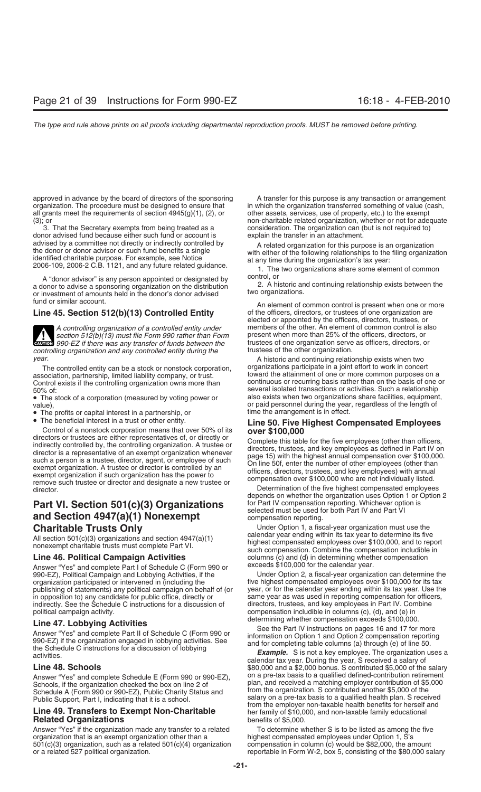approved in advance by the board of directors of the sponsoring A transfer for this purpose is any transaction or arrangement<br>A transferred something of value (cash, organization transferred something of value (cash, all grants meet the requirements of section  $4945(g)(1)$ , (2), or

3. That the Secretary exempts from being treated as a donor advised fund because either such fund or account is explain the transfer in an attachment. advised by a committee not directly or indirectly controlled by<br>
the donor or donor advisor or such fund benefits a single<br>
identified charitable purpose. For example, see Notice<br>
2006-109, 2006-2 C.B. 1121, and any future

A "donor advisor" is any person appointed or designated by control, or<br>lonor to advise a sponsoring organization on the distribution cannot cand continuing relationship exists between the a donor to advise a sponsoring organization on the distribution and the a donor to advised or investment of amounts held in the donor's donor advised two organizations.



*section 512(b)(13) must file Form 990 rather than Form* **CAUTION** 990-EZ if there was any transfer of funds between the trustees of one organization serve as officers, directors, or *controlling organization* and any controlled entity during the trustees of the other organiza *controlling organization and any controlled entity during the* year.

association, partnership, limited liability company, or trust.<br>Control exists if the controlling organization owns more than

• The stock of a corporation (measured by voting power or

- The profits or capital interest in a partnership, or<br>• The beneficial interest in a trust or other entity.
- 

• The beneficial interest in a trust or other entity.<br>
Control of a nonstock corporation means that over 50% of its<br>
directors or trustees are either representatives of, or directly or<br>
indirectly controlled by, the contro remove such trustee or director and designate a new trustee or<br>director. Determination of the five highest compensated employees

## **Part VI. Section 501(c)(3) Organizations** for Part IV compensation reporting. Whichever option is<br> **Part IV** and Part VI<br> **Part IV** and Part VI and Section 4947(a)(1) Nonexempt compensation reporting.

Answer "Yes" and complete Part I of Schedule C (Form 990 or exceeds \$100,000 for the calendar year.<br>
990-EZ), Political Campaign and Lobbying Activities, if the Under Option 2, a fiscal-year organization can determine the 990-EZ), Political Campaign and Lobbying Activities, if the organization participated or intervened in (including the publishing of statements) any political campaign on behalf of (or year, or for the calendar year ending within its tax year. Use the in opposition to) any candidate for public office, directly or same year as was used in reporting compensation for office<br>indirectly. See the Schedule C instructions for a discussion of directors, trustees, and key employe indirectly. See the Schedule C instructions for a discussion of

**Line 47. Lobbying Activities**<br>
Answer "Yes" and complete Part II of Schedule C (Form 990 or<br>
990-EZ) if the organization engaged in lobbying activities. See<br>
the Schedule C instructions for a discussion of lobbying<br>
activ

Answer "Yes" and complete Schedule E (Form 990 or 990-EZ), Schools, if the organization checked the box on line 2 of Schedule A (Form 990 or 990-EZ), Public Charity Status and Public Support, Part I, indicating that it is a school.

### **Line 49. Transfers to Exempt Non-Charitable** her family of \$10,000, and non-taxable family educational **Related Organizations** benefits of \$5,000.

Answer "Yes" if the organization made any transfer to a related To determine whether S is to be listed as among the five organization that is an exempt organization other than a highest compensated employees under Option 1, S's<br>501(c)(3) organization, such as a related 501(c)(4) organization compensation in column (c) would be \$82,000, the a  $501(c)(3)$  organization, such as a related  $501(c)(4)$  organization or a related 527 political organization. The state of the state of the state in Form W-2, box 5, consisting of the \$80,000 salary

in which the organization transferred something of value (cash, other assets, services, use of property, etc.) to the exempt (3); or charitable related organization, whether or not for adequate<br>3. That the Secretary exempts from being treated as a consideration. The organization can (but is not required to)

fund or similar account.<br>An element of common control is present when one or more **Line 45. Section 512(b)(13) Controlled Entity** of the officers, directors, or trustees of one organization are elected or appointed by the officers, directors, trustees, or *A controlling organization of a controlled entity under* members of the other. An element of common control is also

A historic and continuing relationship exists when two The controlled entity can be a stock or nonstock corporation, organizations participate in a joint effort to work in concert<br>sociation, partnership, limited liability company, or trust. toward the attainment of one or more continuous or recurring basis rather than on the basis of one or 50% of:<br>
The stock of a corporation (measured by voting power or also exists when two organizations share facilities, equipment, value),<br>• The profits or capital interest in a partnership, or or time the arrangement is in effect.

depends on whether the organization uses Option 1 or Option 2

**Charitable Trusts Only**<br>All section 501(a)(3) examinations and eastien 4047(a)(1) calendar year ending within its tax year to determine its five All section 501(c)(3) organizations and section 4947(a)(1)<br>nonexempt charitable trusts must complete Part VI.<br>such compensation. Combine the compensation includible in **Line 46. Political Campaign Activities** columns (c) and (d) in determining whether compensation<br>Answer "Yes" and complete Part Lof Schedule C (Form 990 or exceeds \$100,000 for the calendar year.

five highest compensated employees over \$100,000 for its tax<br>year, or for the calendar year ending within its tax year. Use the political campaign activity.<br> **Political campaign activity.** compensation includible in columns (c), (d), and (e) in<br> **Political campaign activition of the compensation exceeds \$100,000.** 

calendar tax year. During the year, S received a salary of<br> **Line 48. Schools**<br>
Answer "Yes" and complete Schedule F (Form 990 or 990-F7) on a pre-tax basis to a qualified defined-contribution retirement plan, and received a matching employer contribution of \$5,000 from the organization. S contributed another \$5,000 of the salary on a pre-tax basis to a qualified health plan. S received from the employer non-taxable health benefits for herself and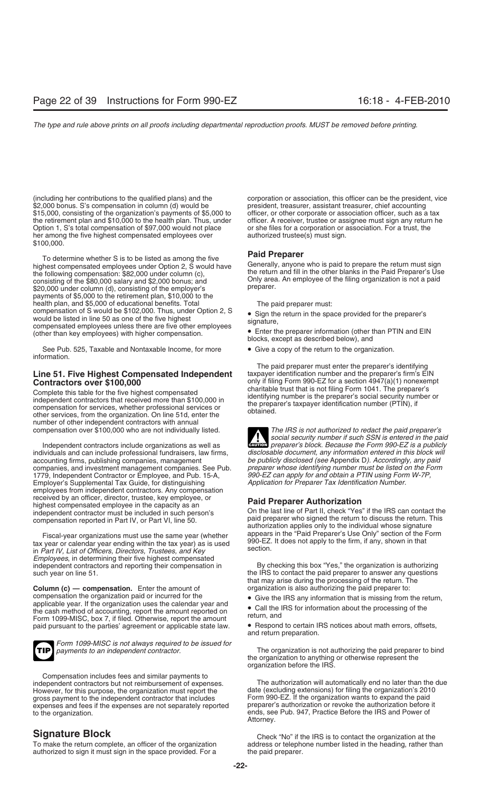\$15,000, consisting of the organization's payments of \$5,000 to officer, or other corporate or association officer, such as a tax the retirement plan and \$10,000 to the health plan. Thus, under officer. A receiver, trustee or assignee must sign any return he<br>Option 1, S's total compensation of \$97,000 would not place or she files for a corporation or Option 1, S's total compensation of \$97,000 would not place her among the five highest compensated employees over authorized trustee(s) must sign. \$100,000.

To determine whether S is to be listed as among the five<br>highest compensated employees under Option 2, S would have<br>the following compensation: \$82,000 under column (c),<br>consisting of the \$80,000 salary and \$2,000 bonus; \$20,000 under column (d), consisting of the employer's payments of \$5,000 to the retirement plan, \$10,000 to the health plan, and \$5,000 of educational benefits. Total The paid preparer must:<br>compensation of S would be \$102,000. Thus, under Option 2, S example return in the spa compensation of 5 would be  $\frac{1}{2}$ , of the five highest<br>would be listed in line 50 as one of the five highest<br>compensated employees unless than key employees<br>(other than key employees unless that higher compensation<br> $\bullet$ (other than key employees) with higher compensation.

See Pub. 525, Taxable and Nontaxable Income, for more • Give a copy of the return to the organization. information.

## **Line 51. Five Highest Compensated Independent** taxpayer identification number and the preparer's firm's EIN

Complete this table for the five highest compensated<br>
independent contractors that received more than \$100,000 in<br>
compensation for services, whether professional services or<br>
other services, from the organization. On line number of other independent contractors with annual

individuals and can include professional fundraisers, law firms, *disclosable document, any information entered in this block will* accounting firms, publishing companies, management *be publicly disclosed (see* Appendix D*). Accordingly, any paid* companies, and investment management companies. See Pub. *preparer whose identifying number must be listed on the Form W-7P*, and publishing Form W-7P, compared to the Form W-7P, 1779, Independent Contractor or Employee, and Pub. 15-A, *990-EZ can apply for and obtain a PTIN using Form W-7P,* Employer's Supplemental Tax Guide, for distinguishing employees from independent contractors. Any compensation received by an officer, director, trustee, key employee, or **Paid Preparer Authorization** highest compensated employee in the capacity as an

Fiscal-year organizations must use the same year (whether appears in the Paid Preparer's Use Only "section of the F<br>rear or calendar vear ending within the tax year) as is used 990-EZ. It does not apply to the firm, if any tax year or calendar year ending within the tax year) as is used state that tax year or calendar year ending within the tax year) as is used section. *Employees*, in determining their five highest compensated independent contractors and reporting their compensation in By checking this box "Yes," the organization is authorizing such year on line 51. The IRS to contact the paid preparer to answer any questions

**Column (c) — compensation.** Enter the amount of organization is also authorizing the paid preparer to:<br>
compensation the organization paid or incurred for the **Column Collation** of Give the IRS any information that is mis compensation the organization paid or incurred for the<br>
applicable year. If the organization uses the calendar year and<br>
the cash method of accounting, report the amount reported on<br>
Form 1099-MISC, box 7, if filed. Otherw paid pursuant to the parties' agreement or applicable state law.



*Form 1099-MISC is not always required to be issued for*

Compensation includes fees and similar payments to However, for this purpose, the organization must report the gross payment to the independent contractor that includes Form 990-EZ. If the organization wants to expand the paid<br>expenses and fees if the expenses are not separately reported preparer's authorization or revoke the autho expenses and fees if the expenses are not separately reported to the organization.

authorized to sign it must sign in the space provided. For a the paid preparer.

(including her contributions to the qualified plans) and the corporation or association, this officer can be the president, vice<br>\$2,000 bonus. S's compensation in column (d) would be president, treasurer, assistant treasur president, treasurer, assistant treasurer, chief accounting

blocks, except as described below), and

The paid preparer must enter the preparer's identifying **Contractors over \$100,000** only if filing Form 990-EZ for a section 4947(a)(1) nonexempt<br>Complete this toble for the five bigheat componented charitable trust that is not filing Form 1041. The preparer's

compensation over \$100,000 who are not individually listed. *The IRS is not authorized to redact the paid preparer's social security number if such SSN is entered in the paid* Independent contractors include organizations as well as **CAUTION** *preparer's block. Because the Form 990-EZ is a publicly*<br>lividuals and can include professional fundraisers, law firms, disclosable document, any informat **!**

independent contractor must be included in such person's On the last line of Part II, check "Yes" if the IRS can contact the compensation reported in Part IV, or Part VI line 50 compensation reported in Part IV, or Part VI, line 50. paid preparer who signed the return to discuss the return. This authorization applies only to the individual whose signature<br>Fiscal-vear organizations must use the sam

that may arise during the processing of the return. The

- 
- 

and return preparation.

The organization is not authorizing the paid preparer to bind the organization to anything or otherwise represent the organization before the IRS.

independent contractors but not reimbursement of expenses. The authorization will automatically end no later than the due ends, see Pub. 947, Practice Before the IRS and Power of Attorney.

**Signature Block**<br>To make the return complete, an officer of the organization and address or telephone number listed in the heading, rather than address or telephone number listed in the heading, rather than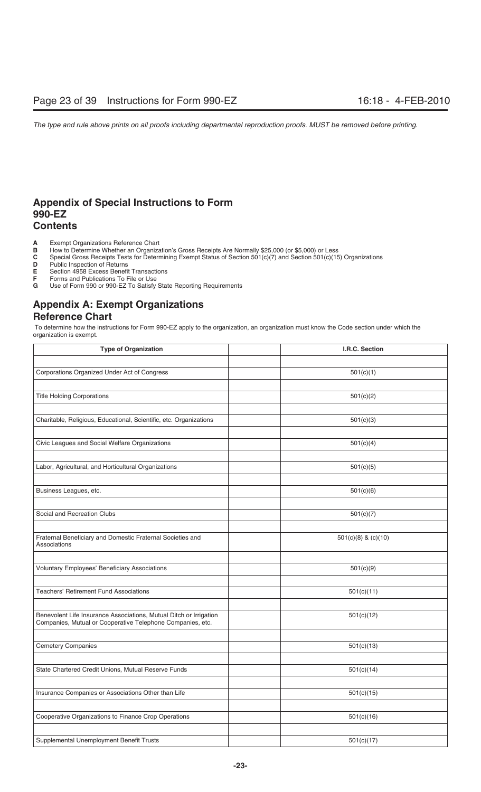## **Appendix of Special Instructions to Form 990-EZ Contents**

- **A** Exempt Organizations Reference Chart<br>**B** How to Determine Whether an Organiza
- **B** How to Determine Whether an Organization's Gross Receipts Are Normally \$25,000 (or \$5,000) or Less **C** Special Gross Receipts Tests for Determining Exempt Status of Section 501(c)(7) and Section 501(c)(15
- **C** Special Gross Receipts Tests for Determining Exempt Status of Section 501(c)(7) and Section 501(c)(15) Organizations<br>**D** Public Inspection of Returns
- **D** Public Inspection of Returns<br>**E** Section 4958 Excess Benefit
- **E** Section 4958 Excess Benefit Transactions<br>**F** Forms and Publications To File or Use
- **F** Forms and Publications To File or Use<br>**G** Use of Form 990 or 990-EZ To Satisfy
- Use of Form 990 or 990-EZ To Satisfy State Reporting Requirements

## **Appendix A: Exempt Organizations Reference Chart**

 To determine how the instructions for Form 990-EZ apply to the organization, an organization must know the Code section under which the organization is exempt.

| <b>Type of Organization</b>                                                       | I.R.C. Section          |
|-----------------------------------------------------------------------------------|-------------------------|
|                                                                                   |                         |
| Corporations Organized Under Act of Congress                                      | 501(c)(1)               |
|                                                                                   |                         |
| <b>Title Holding Corporations</b>                                                 | 501(c)(2)               |
|                                                                                   |                         |
| Charitable, Religious, Educational, Scientific, etc. Organizations                | 501(c)(3)               |
|                                                                                   |                         |
| Civic Leagues and Social Welfare Organizations                                    | 501(c)(4)               |
|                                                                                   |                         |
| Labor, Agricultural, and Horticultural Organizations                              | 501(c)(5)               |
|                                                                                   |                         |
| Business Leagues, etc.                                                            | 501(c)(6)               |
|                                                                                   |                         |
| Social and Recreation Clubs                                                       | 501(c)(7)               |
|                                                                                   |                         |
| Fraternal Beneficiary and Domestic Fraternal Societies and<br><b>Associations</b> | $501(c)(8)$ & $(c)(10)$ |
|                                                                                   |                         |
| <b>Voluntary Employees' Beneficiary Associations</b>                              | 501(c)(9)               |
|                                                                                   |                         |
| <b>Teachers' Retirement Fund Associations</b>                                     | 501(c)(11)              |
|                                                                                   |                         |
| Benevolent Life Insurance Associations, Mutual Ditch or Irrigation                | 501(c)(12)              |
| Companies, Mutual or Cooperative Telephone Companies, etc.                        |                         |
|                                                                                   |                         |
| <b>Cemetery Companies</b>                                                         | 501(c)(13)              |
|                                                                                   |                         |
| State Chartered Credit Unions, Mutual Reserve Funds                               | 501(c)(14)              |
|                                                                                   |                         |
| Insurance Companies or Associations Other than Life                               | 501(c)(15)              |
|                                                                                   |                         |
| Cooperative Organizations to Finance Crop Operations                              | 501(c)(16)              |
|                                                                                   |                         |
| Supplemental Unemployment Benefit Trusts                                          | 501(c)(17)              |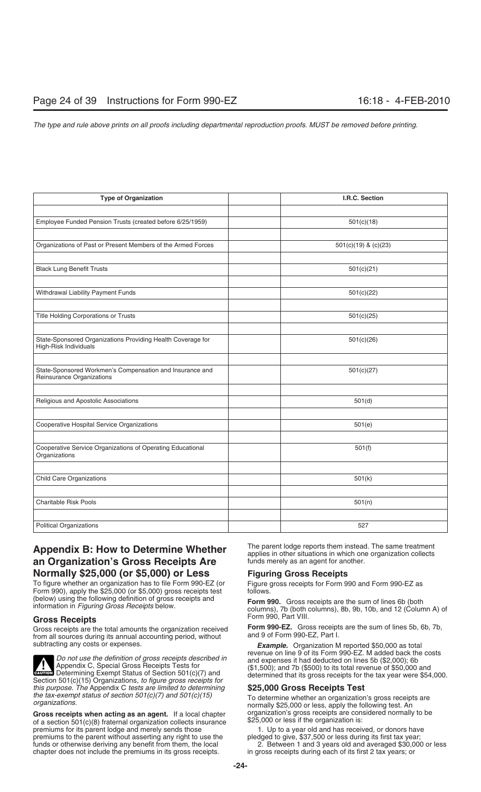| <b>Type of Organization</b>                                                          | I.R.C. Section           |
|--------------------------------------------------------------------------------------|--------------------------|
|                                                                                      |                          |
| Employee Funded Pension Trusts (created before 6/25/1959)                            | 501(c)(18)               |
|                                                                                      |                          |
| Organizations of Past or Present Members of the Armed Forces                         | $501(c)(19)$ & $(c)(23)$ |
|                                                                                      |                          |
| <b>Black Lung Benefit Trusts</b>                                                     | 501(c)(21)               |
|                                                                                      |                          |
| Withdrawal Liability Payment Funds                                                   | 501(c)(22)               |
|                                                                                      |                          |
| Title Holding Corporations or Trusts                                                 | 501(c)(25)               |
|                                                                                      |                          |
| State-Sponsored Organizations Providing Health Coverage for<br>High-Risk Individuals | 501(c)(26)               |
|                                                                                      |                          |
| State-Sponsored Workmen's Compensation and Insurance and                             | 501(c)(27)               |
| Reinsurance Organizations                                                            |                          |
|                                                                                      |                          |
| Religious and Apostolic Associations                                                 | 501(d)                   |
|                                                                                      |                          |
| Cooperative Hospital Service Organizations                                           | 501(e)                   |
|                                                                                      |                          |
| Cooperative Service Organizations of Operating Educational<br>Organizations          | 501(f)                   |
|                                                                                      |                          |
| <b>Child Care Organizations</b>                                                      | 501(k)                   |
|                                                                                      |                          |
| <b>Charitable Risk Pools</b>                                                         | 501(n)                   |
|                                                                                      |                          |
| <b>Political Organizations</b>                                                       | 527                      |

## **an Organization's Gross Receipts Are Normally \$25,000 (or \$5,000) or Less Figuring Gross Receipts**

To figure whether an organization has to file Form 990-EZ (or Figure gross receipts for Form 990 and Form 990-EZ as Form 990-EZ as Form 990-EZ as Form 990-EZ as Form 990), apply the \$25,000 (or \$5,000) gross receipts test (below) using the following definition of gross receipts and

Gross receipts are the total amounts the organization received **Form 990-EZ.** Gross receipts<br>from all sources during its annual accounting period, without and 9 of Form 990-EZ, Part I. from all sources during its annual accounting period, without subtracting any costs or expenses.



**Evenon** Determining Exempt Status of Section 501(c)(7) and Section 501(c)(15) Organizations, to figure gross receipts for *this purpose. The* Appendix C *tests are limited to determining* **\$25,000 Gross Receipts Test**

**Gross receipts when acting as an agent.** If a local chapter organization's gross receipts are considered normally to be a section 501(c)(8) fraternal organization collects insurance  $$25,000$  or less if the organization i of a section 501(c)(8) fraternal organization collects insurance \$25,000 or less if the organization is:<br>premiums for its parent lodge and merely sends those these the U. Up to a year old and has received, or donors have premiums for its parent lodge and merely sends those 1. Up to a year old and has received, or donors have<br>premiums to the parent without asserting any right to use the pledged to give, \$37,500 or less during its first tax premiums to the parent without asserting any right to use the funds or otherwise deriving any benefit from them, the local chapter does not include the premiums in its gross receipts.

**Appendix B: How to Determine Whether** The parent lodge reports them instead. The same treatment applies in other situations in which one organization collects **an Organization's Gross Receipts Are** funds merely as an agen

information in Figuring Gross Receipts below.<br>information in Figuring Gross Receipts below.<br>columns), 7b (both columns), 8b, 9b, 10b, and 12 (Column A) of

Gross Receipts<br>Gross receipts are the total amounts the organization received<br>**Form 990-EZ.** Gross receipts are the sum of lines 5b, 6b, 7b,

**Example.** Organization M reported \$50,000 as total revenue on line 9 of its Form 990-EZ. M added back the costs Do not use the definition of gross receipts described in<br>Appendix C, Special Gross Receipts Tests for<br>Determining Exempt Status of Section 501(c)(7) and<br>Determining Exempt Status of Section 501(c)(7) and<br>determined that it

*the tax-exempt status of section 501(c)(7) and 501(c)(15)* To determine whether an organization's gross receipts are *organizations.* To determine whether an organization's gross receipts are *organizations.* Normally to

2. Between 1 and 3 years old and averaged \$30,000 or less in gross receipts during each of its first 2 tax years; or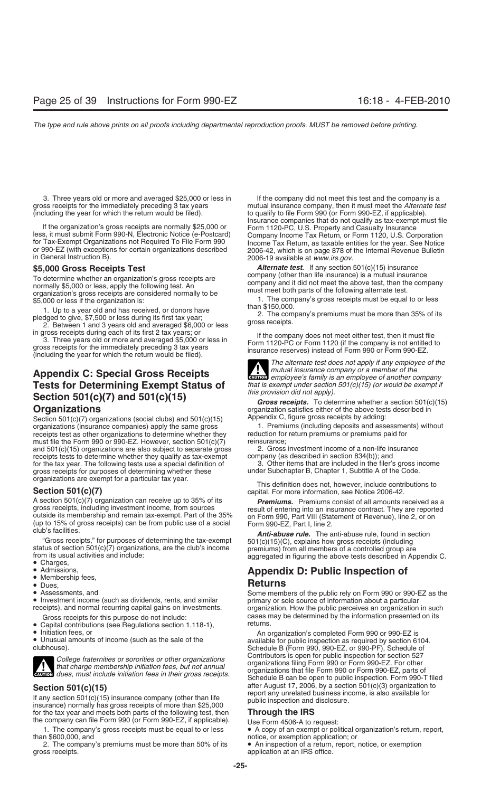3. Three years old or more and averaged \$25,000 or less in If the company did not meet this test and the company is a<br>mutual insurance company, then it must meet the Alternate te (including the year for which the return would be filed).

To determine whether an organization's gross receipts are<br>
normally \$5,000 or less, apply the following test. An<br>
organization's gross receipts are considered normally to be<br>
\$5,000 or less if the organization is:<br>  $\frac{1}{1$ 

1. Up to a year old and has received, or donors have<br>pledged to give, \$7,500 or less during its first tax year;<br>2. Between 1 and 3 years old and averaged \$6,000 or less gross receipts.

# **Tests for Determining Exempt Status of** *that is exempt under section* **Coating 501(c)(7)** and  $FQ1(A)/4F$ **Section 501(c)(7) and 501(c)(15)**<br>*Gross receipts.* To determine whether a section 501(c)(15)<br>organization satisfies either of the above tests described in

Section 501(c)(7) organizations (social clubs) and 501(c)(15) Appendix C, figure gross receipts by adding:<br>
Section 501(c)(7) organizations (oppanies) apply the same gross and according (including deposits and assessments) organizations (insurance companies) apply the same gross 1. Premiums (including deposits and assessment receipts test as other organizations to determine whether they reduction for return premiums or premiums paid for receipts test as other organizations to determine whether they reduction for return for<br>must file the Form 990 or 990-EZ. However, section 501(c)(7) reinsurance; must file the Form 990 or 990-EZ. However, section  $501(c)(7)$  reinsurance;<br>and  $501(c)(15)$  organizations are also subject to separate gross 2. Gross investment income of a non-life insurance and 501(c)(15) organizations are also subject to separate gross  $\qquad 2.$  Gross investment income of a non-life insection 834(b)); and receipts tests to determine whether they qualify as tax-exempt company (as described in receipts tests to determine whether they qualify as tax-exempt company (as described in section 834(b)); and<br>for the tax year. The following tests use a special definition of 3. Other items that are included in the filer's for the tax year. The following tests use a special definition of a medial of the ritems that are included in the filer's gross in gross in gross receipts for purposes of determining whether these under Subchapter B, Chapt gross receipts for purposes of determining whether these organizations are exempt for a particular tax year.

A section 501(c)(7) organization can receive up to 35% of its *Premiums.* Premiums consist of all amounts received as a gross receipts, including investment income, from sources<br>outside its membership and remain tax-exempt. Part of the 35%<br>(up to 15% of gross receipts) can be from public use of a social<br>club's facilities.<br> $\frac{m}{t}$  The ant

- 
- 
- 
- 
- 

- Capital contributions (see Regulations section 1.118-1),<br>• Initiation fees, or
- 
- 



**Section 501(c)(15)** after August 17, 2006, by a section 501(c)(3) organization to<br>
If any section 501(c)(15) insurance company (other than life<br>
insurance) normally has gross receipts of more than \$25,000<br>
for the tax ye for the tax year and meets both parts of the following test, then the company can file Form 990 (or Form 990-EZ, if applicable). Use Form 4506-A to request:

than \$600,000, and<br>2. The company's premiums must be more than 50% of its  $\bullet$  An inspection of a return, report, notice, or exemption 2. The company's premiums must be more than 50% of its gross receipts.

mutual insurance company, then it must meet the *Alternate test* to qualify to file Form 990 (or Form 990-EZ, if applicable). If the organization's gross receipts are normally \$25,000 or<br>
Insurance companies that do not qualify as tax-exempt must file<br>
Insurance companies that do not qualify as tax-exempt must file<br>
Insurance<br>
Insurance companies

**\$5,000 Gross Receipts Test** *Alternate test.* If any section 501(c)(15) insurance

1. The company's gross receipts must be equal to or less than \$150,000.

in gross receipts during each of its first 2 tax years; or<br>
3. Three years old or more and averaged \$5,000 or less in<br>
gross receipts for the immediately preceding 3 tax years<br>
(including the year for which the return woul

*The alternate test does not apply if any employee of the* **Appendix C: Special Gross Receipts**<br>**Tests for Determining Exempt Status of** *that is exempt under section 501(c)(15) (or would be exempt if* $\overline{L}$ **!**

organization satisfies either of the above tests described in<br>Appendix C, figure gross receipts by adding:

This definition does not, however, include contributions to **Section 501(c)(7) capital.** For more information, see Notice 2006-42.

status of section 501(c)(7) organizations, are the club's income premiums) from all members of a controlled group are from its usual activities and include:<br>
• Charges, **Annendix D: Public Inspection of** 

# • Admissions, **Appendix D: Public Inspection of** • Membership fees,

• Assessments, and sa dividends, rents, and similar Some members of the public rely on Form 990 or 990-EZ as the<br>• Investment income (such as dividends, rents, and similar primary or sole source of information about a part Gross receipts for this purpose do not include:<br>Capital contributions (see Bequilations section 1 118-1) returns.

• Initiation fees, or<br>• Unusual amounts of income (such as the sale of the available for public inspection as required by section 6104.<br>• Schedule B (Form 990. 990-EZ. or 990-PF). Schedule of Schedule B (Form 990, 990-EZ, or 990-PF), Schedule of College fraternities or sororities or other organizations<br>that charge membership initiation fees, but not annual<br>avitable strategies organizations that file Form 990 or Form 990-EZ. For other<br>common dues, must include init Schedule B can be open to public inspection. Form 990-T filed

- 1. The company's gross receipts must be equal to or less  $\bullet$  A copy of an exempt or political organization's return, report,
	- application at an IRS office.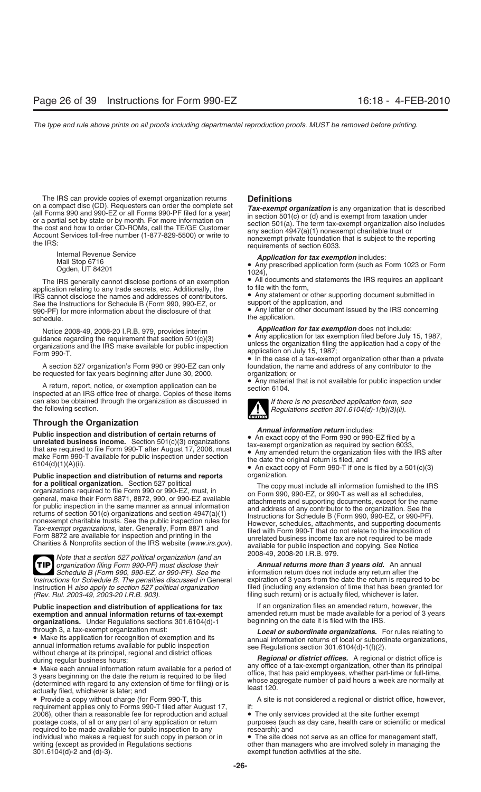The IRS can provide copies of exempt organization returns **Definitions**<br>on a compact disc (CD). Requesters can order the complete set **Tax-axempt** on

application relating to any trade secrets, etc. Additionally, the IRS cannot disclose the names and addresses of contributors. See the Instructions for Schedule B (Form 990, 990-EZ, or 990-PF) for more information about the disclosure of that 990-PF) for more information about the disclosure of that • Any letter or other document issued by the IRS concerning<br>schedule.

Notice 2008-49, 2008-20 I.R.B. 979, provides interim<br>guidance regarding the requirement that section 501(c)(3)<br>organizations and the IRS make available for public inspection<br>Form 990-T.<br>Form 990-T.<br>a line case of a tax-exe

A return, report, notice, or exemption application can be inspected at an IRS office free of charge. Copies of these items can also be obtained through the organization as discussed in *If there is no prescribed application form, see*<br>the following section.<br>*Regulations section 301.6104(d)-1(b)(3)(ii).* 

**Through the Organization**<br> **Public inspection and distribution of certain returns of**<br> **Annual information return** includes:<br> **Annual information return** includes:<br> **Annual information return** includes:<br> **Annual informat** 

**Public inspection and distribution of returns and reports** organization.<br>**for a political organization.** Section 527 political **The conving The CODV for a political organization.** Section 527 political<br>
organizations required to file Form 990 or 990-EZ, must, in<br>
general, make their Form 8871, 8872, 990, or 990-EZ available<br>
for public inspection in the same manner a

2008-49, 2008-20 I.R.B. 979. *Note that a section 527 political organization (and an organization filing Form 990-PF) must disclose their Annual returns more than 3 years old.* An annual **TIP** *Instructions for Schedule B. The penalties discussed in General* Instruction H *also apply to section 527 political organization* Instruction H also apply to section 527 political organization filed (including any extension of time that has been granted for *(Rev. Rul. 2003-49, 2003-20 I.R.B. 903).*<br>(Rev. Rul. 2003-49, 2003-20 I.R.B. 903).

# organizations. Under Regulations sections 301.6104(d)-1

requirement applies only to Forms 990-T filed after August 17, 2006), other than a reasonable fee for reproduction and actual • The only services provided at the site further exempt postage costs, of all or any part of any application or return purposes (such as day care, health care required to be made available for public inspection to any research); and individual who makes a request for such copy in person or in • The site does not serve as an office for management staff,<br>writing (except as provided in Regulations sections • other than managers who are involved solely in 301.6104(d)-2 and (d)-3). exempt function activities at the site.

on a compact disc (CD). Requesters can order the complete set<br>
(all Forms 990 and 990-EZ or all Forms 990-PF filed for a year)<br>
or a partial set by state or by month. For more information on<br>
the cost and how to order CD-

Internal Revenue Service **Application for tax exemption** includes:<br>
Mail Stop 6716 **• Any prescribed application form** (such as Form 1023 or Form Ogden, UT 84201 **1024**),

The IRS generally cannot disclose portions of an exemption  $\bullet$  All documents and statements the IRS requires an applicant life and statements the IRS requires an applicant

• Any statement or other supporting document submitted in support of the application, and

the application.

A section 527 organization's Form 990 or 990-EZ can only foundation, the name and address of any contributor to the be requested for tax years beginning after June 30, 2000. organization; or<br>• Any material that is not available for public inspection under



*Schedule B (Form 990, 990-EZ, or 990-PF). See the* information return does not include any return after the *ions for Schedule B. The penalties discussed in* General expiration of 3 years from the date the return is requi filing such return) or is actually filed, whichever is later.

**Public inspection and distribution of applications for tax** If an organization files an amended return, however, the **exemption and annual information returns of tax-exempt** amended return must be made available for a period of 3 years<br>**organizations.** Under Requilations sections 301.6104(d)-1 beginning on the date it is filed with the I

through 3, a tax-exempt organization must:<br>
■Make its application for recognition of exemption and its<br>
annual information returns of local or subordinate organizations. For rules relating to<br>
annual information returns o

• Provide a copy without charge (for Form 990-T, this A site is not considered a regional or district office, however, requirement applies only to Forms 990-T filed after August 17.

purposes (such as day care, health care or scientific or medical

other than managers who are involved solely in managing the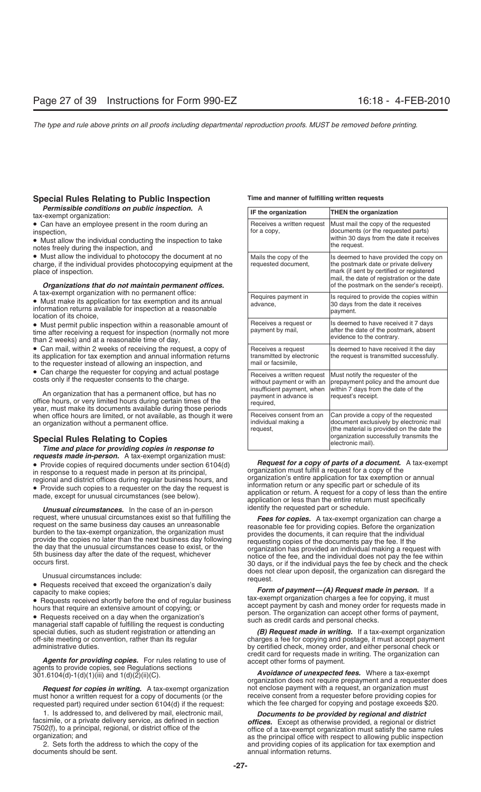### **Special Rules Relating to Public Inspection Time and manner of fulfilling written requests**

*Permissible conditions on public inspection.* A tax-exempt organization:

• Can have an employee present in the room during an inspection.

• Must allow the individual conducting the inspection to take notes freely during the inspection, and

• Must allow the individual to photocopy the document at no charge, if the individual provides photocopying equipment at the place of inspection.

## **Organizations that do not maintain permanent offices.**

A tax-exempt organization with no permanent office:<br>• Must make its application for tax exemption and its annual<br>information returns available for inspection at a reasonable<br>location of its choice,

• Must permit public inspection within a reasonable amount of time after receiving a request for inspection (normally not more than 2 weeks) and at a reasonable time of day,

• Can mail, within 2 weeks of receiving the request, a copy of its application for tax exemption and annual information returns to the requester instead of allowing an inspection, and

• Can charge the requester for copying and actual postage costs only if the requester consents to the charge.

An organization that has a permanent office, but has no<br>office hours, or very limited hours during certain times of the<br>year, must make its documents available during those periods when office hours are limited, or not available, as though it were an organization without a permanent office.

**Special Rules Relating to Copies<br>Time and place for providing copies in response to<br>** *requests made in-person.* **A tax-exempt organization must: requests made in-person.** A tax-exempt organization must:<br>
• Provide copies of required documents under section 6104(d)<br>
in response to a request made in person at its principal,<br>
regional and district offices during reg

**Unusual circumstances.** In the case of an in-person identify the requested part or schedule.

**Agents for providing copies.** For rules relating to use of agents to provide copies, see Regulations sections<br>agents to provide copies, see Regulations sections<br>301.6104(d)-1(d)(1)(iii) and 1(d)(2)(ii)(C).<br>**A tax-exempt o** 

must honor a written request for a copy of documents (or the receive consent from a requester before providing copies for<br>requested part) required under section 6104(d) if the request:<br>which the fee charged for copying and requested part) required under section  $6104(d)$  if the request:

| IF the organization                                                                                                          | <b>THEN the organization</b>                                                                                                                                                                                           |
|------------------------------------------------------------------------------------------------------------------------------|------------------------------------------------------------------------------------------------------------------------------------------------------------------------------------------------------------------------|
| Receives a written request<br>for a copy,                                                                                    | Must mail the copy of the requested<br>documents (or the requested parts)<br>within 30 days from the date it receives<br>the request.                                                                                  |
| Mails the copy of the<br>requested document,                                                                                 | Is deemed to have provided the copy on<br>the postmark date or private delivery<br>mark (if sent by certified or registered<br>mail, the date of registration or the date<br>of the postmark on the sender's receipt). |
| Requires payment in<br>advance,                                                                                              | Is required to provide the copies within<br>30 days from the date it receives<br>payment.                                                                                                                              |
| Receives a request or<br>payment by mail,                                                                                    | Is deemed to have received it 7 days<br>after the date of the postmark, absent<br>evidence to the contrary.                                                                                                            |
| Receives a request<br>transmitted by electronic<br>mail or facsimile.                                                        | Is deemed to have received it the day<br>the request is transmitted successfully.                                                                                                                                      |
| Receives a written request<br>without payment or with an<br>insufficient payment, when<br>payment in advance is<br>required, | Must notify the requester of the<br>prepayment policy and the amount due<br>within 7 days from the date of the<br>request's receipt.                                                                                   |
| Receives consent from an<br>individual making a<br>request,                                                                  | Can provide a copy of the requested<br>document exclusively by electronic mail<br>(the material is provided on the date the<br>organization successfully transmits the<br>electronic mail).                            |

request, where unusual circumstances exist so that fulfilling the<br>
request on the same business day causes an unreasonable<br>
burden to the tax-exempt organization, the organization must<br>
provides the documents, it can requi Unusual circumstances include:<br>
• Requests received that exceed the organization's daily<br>
capacity to make copies;<br>
Form of payment—(A) Request made in person. If a

**Form of payment—(A) Request made in person.** If a tax-exempt organization charges a fee for copying, it must • Requests received shortly before the end of regular business<br>hours that require an extensive amount of copying; or<br>
• Requests received on a day when the organization's<br>
managerial staff capable of fulfilling the request

special duties, such as student registration or attending an *(B) Request made in writing.* If a tax-exempt organization off-site meeting or convention, rather than its regular charges a fee for copying and postage, it m charges a fee for copying and postage, it must accept payment administrative duties. by certified check, money order, and either personal check or

*Request for copies in writing.* A tax-exempt organization not enclose payment with a request, an organization must<br>st honor a written request for a copy of documents (or the mereceive consent from a requester before provi

1. Is addressed to, and delivered by mail, electronic mail,<br>facsimile, or a private delivery service, as defined in section<br>7502(f), to a principal, regional, or district office of the<br>organization; and<br>2. Sets forth the a 2. Sets forth the address to which the copy of the and providing copies of its application for tax exemption and documents should be sent. annual information returns.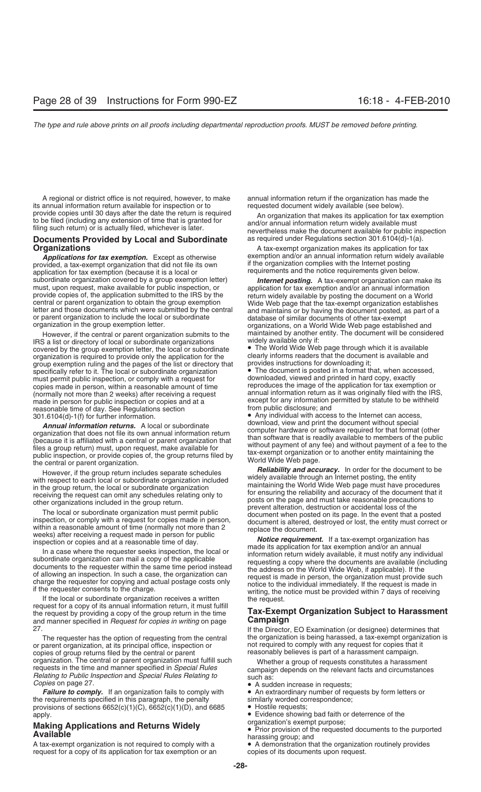A regional or district office is not required, however, to make annual information return if the organization has made the annual information return available for inspection or to requested document widely available (see b its annual information return available for inspection or to provide copies until 30 days after the date the return is required

### **Documents Provided by Local and Subordinate Organizations Constanting Constanting Constanting A tax-exempt organization makes its application for tax**

provided, a tax-exempt organization that did not file its own if the organization complies with the Internet posting<br>application for tax exemption (because it is a local or sequirements and the notice requirements given be application for tax exemption (because it is a local or<br>subordinate organization covered by a group exemption letter)

IRS a list or directory of local or subordinate organizations widely available only if:<br>
covered by the group exemption letter, the local or subordinate • The World Wide Web page through which it is available covered by the group exemption letter, the local or subordinate • The World Wide Web page through which it is available organization is required to provide only the application for the clearly informs readers that the docume<br>group exemption ruling and the pages of the list or directory that provides instructions for downloading it; group exemption ruling and the pages of the list or directory that provides instructions for downloading it;<br>specifically refer to it. The local or subordinate organization (Cambre 20) The document is posted in a format th specifically refer to it. The local or subordinate organization **•** The document is posted in a format that, when acce<br>must permit public inspection, or comply with a request for **but a** downloaded, viewed and printed in h must permit public inspection, or comply with a request for copies made in person, within a reasonable amount of time reproduces the image of the application for tax exemption or<br>(normally not more than 2 weeks) after receiving a request annual information return as it was original (normally not more than 2 weeks) after receiving a request made in person for public inspection or copies and at a reasonable time of day. See Regulations section 301.6104(d)-1(f) for further information.

**Annual information returns.** A local or subordinate<br>organization that does not file its own annual information return<br>(because it is affiliated with a central or parent organization that<br>files a group return) must, upon r

If the local or subordinate organization receives a written writing, the notice must be provided within 7 days of receiving<br>If the local or subordinate organization receives a written the request.<br>The request of a copy of and manner specified in *Request for copies in writing* on page

or parent organization, at its principal office, inspection or not required to comply with any request for copies that copies that copies of group returns filed by the central or parent  $\blacksquare$ copies of group returns filed by the central or parent organization. The central or parent organization must fulfill such organization. The central or parent organization must fulfill such<br>requests in the time and manner specified in *Special Rules*<br>*Relating to Public Inspection* and *Special Rules Relating to*<br>*Copies* on page 27.<br>**•** A sud

**Failure to comply.** If an organization fails to comply with • An extraordinary number of requirements specified in this paragraph, the penalty **sumilarly worded correspondence**; the requirements specified in this paragraph, the penalty similarly worded correspondence; the penalty similarly worded corresponding provisions of sections  $6652(c)(1)(C)$ ,  $6652(c)(1)(D)$ , and  $6685$ provisions of sections  $6652(c)(1)(C)$ ,  $6652(c)(1)(D)$ , and  $6685$ apply. • Evidence showing bad faith or deterrence of the

A tax-exempt organization is not required to comply with a • A demonstration that the organization request.<br>
request for a copy of its application for tax exemption or an being copies of its documents upon request. request for a copy of its application for tax exemption or an

provide copies until 30 days after the date the return is required<br>to be filed (including any extension of time that is granted for<br>filing such return) or is actually filed, whichever is later.<br>**Documents Provided by Local** 

**Applications for tax exemption.** Except as otherwise exemption and/or an annual information return widely available vided a tax-exempt organization that did not file its own if the organization complies with the Internet

subordinate organization covered by a group exemption letter) **Internet posting.** A tax-exempt organization can make its<br>must, upon request, make available for public inspection, or<br>provide copies of, the application submi However, if the central or parent organization submits to the maintained by another entity. The document will be considered<br>S a list or directory of local or subordinate organizations widely available only if:

except for any information permitted by statute to be withheld from public disclosure; and

• Any individual with access to the Internet can access, download, view and print the document without special

However, if the group return includes separate schedules<br>
with respect to each local or subordinate organization<br>
in the group return, the local or subordinate organization<br>
in the group return, the local or subordinate or

## request for a copy of the group return, in the time<br>the request by providing a copy of the group return in the time<br>and manner specified in *Request for copies in writing* on page **Campaign**

27. If the Director, EO Examination (or designee) determines that The requester has the option of requesting from the central the organization is being harassed, a tax-exempt organization is request for copies that it<br>parent organization, at its principal office, inspection or some that

- 
- A sudden increase in requests;<br>• An extraordinary number of requests by form letters or
- 
- 
- 

**Making Applications and Returns Widely**<br> **Available**<br> **A tax-exempt organization is not required to comply with a <b>Ault Available**<br> **A** demonstration that the organization routinely provides<br> **A** demonstration that the or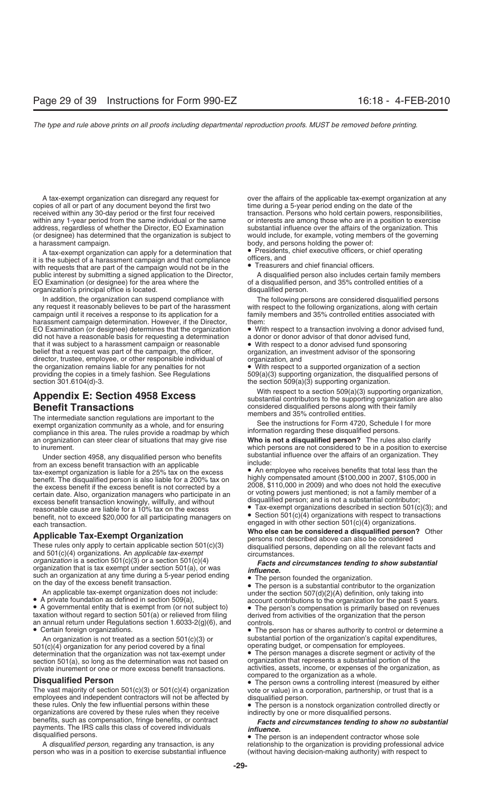copies of all or part of any document beyond the first two time during a 5-year period ending on the date of the<br>
received within any 30-day period or the first four received transaction. Persons who hold certain powers, r within any 1-year period from the same individual or the same or interests are among those who are in a position to exercise<br>address, regardless of whether the Director, EO Examination substantial influence over the affair address, regardless of whether the Director, EO Examination (or designee) has determined that the organization is subject to would include, for example, voting members of the governing a harassment campaign. body, and persons holding the power of:

it is the subject of a harassment campaign and that compliance officers, and<br>with requests that are part of the campaign would not be in the **CO**Treasurers and chief financial officers. with requests that are part of the campaign would not be in the public interest by submitting a signed application to the Director, A disqualified person also includes certain family members EO Examination (or designee) for the area where the organized of a disqualified person, and 35% controlled entities of a<br>organization's principal office is located. organization's principal office is located.

In addition, the organization can suspend compliance with The following persons are considered disqualified persons any request it reasonably believes to be part of the harassment with respect to the following organization any request it reasonably believes to be part of the harassment with respect to the following organizations, along with certain campaign until it receives a response to its application for a family members and 35% controll harassment campaign determination. However, if the Director, them:<br>EO Examination (or designee) determines that the organization  $\bullet$  With did not have a reasonable basis for requesting a determination that it was subject to a harassment campaign or reasonable  $\bullet$  With respect to a donor advised fund sponsoring belief that a request was part of the campaign, the officer, organization, an investment advisor of the sponso belief that a request was part of the campaign, the officer, director, trustee, employee, or other responsible individual of organization, and the organization remains liable for any penalties for not **.** With respect to the organization remains liable for any penalties for not • With respect to a supported organization of a section<br>providing the copies in a timely fashion. See Regulations 509(a)(3) supporting organization, the disqualifie providing the copies in a timely fashion. See Regulations 509(a)(3) supporting organization, the disqualified persons of section 301.6104(d)-3.

The intermediate sanction regulations are important to the members and 35% controlled entities.<br>exempt organization community as a whole, and for ensuring See the instructions for Form 4720, Schedule I for more exempt organization community as a whole, and for ensuring See the instructions for Form 4720, Schedule compliance in this area. The rules provide a roadmap by which information regarding these disqualified persons. compliance in this area. The rules provide a roadmap by which<br>an organization can steer clear of situations that may give rise **Who is not a disqualified person?** The rules also clarify an organization can steer clear of situations that may give rise to inurement.

Under section 4958, any disqualified person who benefits substantial influence over the affairs of an organization. They from an excess benefit transaction with an applicable include: disculption and excess benefit transaction with an applicable<br>tax-exempt organization is liable for a 25% tax on the excess<br>benefit. The disqualified person is also liable for a 200% tax on<br>the excess benefit if the excess

dentication is a section 501(c)(3) or a section 501(c)(4)<br>organization that is tax exempt under section 501(a), or was<br>on the day of the excess benefit transaction.<br>On the day of the excess benefit transaction.<br>An applica

An organization is not treated as a section 501(c)(3) or substantial portion of the organization's capital expenditures,<br>I(c)(4) organization for any period covered by a final substanting budget, or compensation for employ 501(c)(4) organization for any period covered by a final operating budget, or compensation for employees.<br>determination that the organization was not tax-exempt under **Computer** The person manages a discrete segment or act determination that the organization was not tax-exempt under • The person manages a discrete segment or activity o<br>section 501(a), so long as the determination was not based on briting organization that represents a substa section 501(a), so long as the determination was not based on organization that represents a substantial portion of the<br>private inurement or one or more excess benefit transactions. activities, assets, income, or expenses private inurement or one or more excess benefit transactions. activities, assets, income, or expenses of the organization as a whole.

employees and independent contractors will not be affected by disqualified person.<br>these rules. Only the few influential persons within these • The person is a r organizations are covered by these rules when they receive benefits, such as compensation, fringe benefits, or contract benefits, such as compensation, fringe benefits, or contract *Facts and circumstances tending to show no substantial*<br>payments. The IRS calls this class of covered individuals *influence.*<br>**•** The person is an independent

person who was in a position to exercise substantial influence (without having decision-making authority) with respect to

A tax-exempt organization can disregard any request for over the affairs of the applicable tax-exempt organization at any transaction. Persons who hold certain powers, responsibilities,

A tax-exempt organization can apply for a determination that  $\bullet$  Presidents, chief executive officers, or chief operating<br>s the subject of a barassment campaign and that compliance officers, and

family members and 35% controlled entities associated with

• With respect to a transaction involving a donor advised fund, a donor or donor advisor of that donor advised fund,

the section  $509(a)(3)$  supporting organization.

With respect to a section 509(a)(3) supporting organization, **Appendix E: Section 4958 Excess** substantial contributors to the supporting organization are also **Benefit Transactions**<br> **Example 12 Example 20 Example 20 Example 20 Example 20 Considered disqualified persons along with their family**<br> **Example 20 Example 20 Example 20 Example 20 EXAMPLE 20 CONSIDE** 

which persons are not considered to be in a position to exercise

- 
- 

**Applicable Tax-Exempt Organization**<br>These rules only apply to certain applicable section 501(c)(3)<br>and 501(c)(4) organizations. An *applicable tax-exempt*<br>organization is a section 501(c)(3) or a section 501(c)(4)<br>organi

**Disqualified Person**<br>**•** The person owns a controlling interest (measured by either<br>The vast majority of section 501(c)(3) or 501(c)(4) organization vote or value) in a corporation, partnership, or trust that is a vote or value) in a corporation, partnership, or trust that is a

• The person is a nonstock organization controlled directly or indirectly by one or more disqualified persons.

qualified persons.<br>A *disqualified person*, regarding any transaction, is any **the person is an** independent contractor whose sole p relationship to the organization is providing professional advice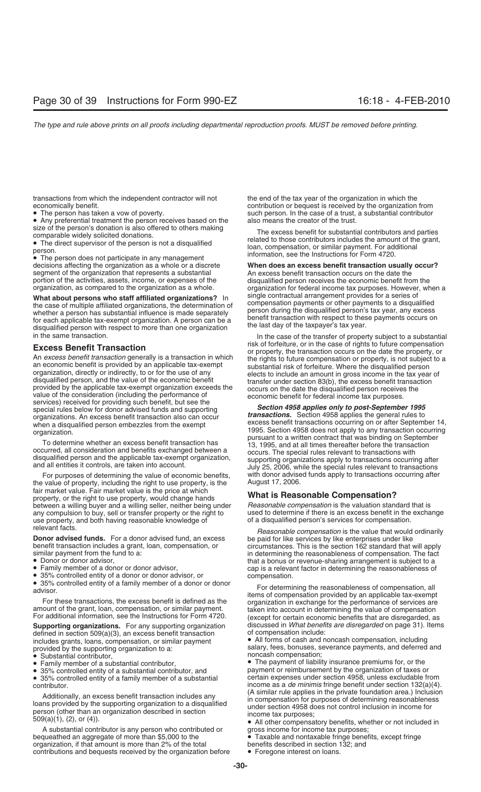transactions from which the independent contractor will not the end of the tax year of the organization in which the economically benefit.<br>
contribution or bequest is received by the organization

• Any preferential treatment the person receives based on the size of the person's donation is also offered to others making.

segment of the organization that represents a substantial and an excess benefit transaction occurs on the date the portion of the activities, assets, income, or expenses of the disqualified person receives the economic ben portion of the activities, assets, income, or expenses of the disqualified person receives the economic benefit from the organization, as compared to the organization as a whole. organization for federal income tax purpose

What about persons who staff affiliated organizations? In<br>the case of multiple affiliated organizations, the determination of<br>whether a person has substantial influence is made separately<br>for each applicable tax-exempt org

**Excess Benefit Transaction**<br>
An excess benefit transaction generally is a transaction in which<br>
An excess benefit transaction generally is a transaction in which<br>
an economic benefit is provided by an applicable tax-exemp organizations. An excess benefit transaction also can occur<br>when a disqualified person embezzles from the exempt<br>excess benefit transactions occurring on or after September 14,<br>organization occurring 1995. Section 4958 doe

the value of property, including the right to use property, is the fair market value. Fair market value is the price at which property, or the right to use to use the right, would change hands **What is Reasonable Compensation?**<br>between a willing buyer and a willing seller, neither being under *Reasonable compensation* is the valuation standard th between a willing buyer and a willing seller, neither being under *Reasonable compensation* is the valuation standard that is<br>any compulsion to buy, sell or transfer property or the right to used to determine if there is a any compulsion to buy, sell or transfer property or the right to used to determine if there is an excess benefit in the<br>use property, and both having reasonable knowledge of a clisqualified person's services for compensati use property, and both having reasonable knowledge of relevant facts.

**Donor advised funds.** For a donor advised fund, an excess be paid for like services by like enterprises under like benefit transaction includes a grant, loan, compensation, or circumstances. This is the section 162 standa

- 
- 
- 

defined in section  $509(a)(3)$ , an excess benefit transaction includes grants, loans, compensation, or similar payment • All forms of cash and noncash compensation, including

- 
- Substantial contributor,<br>• Family member of a substantial contributor,
- 
- 35% controlled entity of a family member of a substantial contributor.

Additionally, an excess benefit transaction includes any<br>loans provided by the supporting organization to a disqualified<br>person (other than an organization described in section<br>509(a)(1), (2), or (4)).<br>509(a)(1), (2), or (

A substantial contributor is any person who contributed or gross income for income tax purposes; bequeathed an aggregate of more than \$5,000 to the • Taxable and nontaxable fringe benefits, except fringe organization, if that amount is more than 2% of the total benefits described in section 132; and organization, if that amount is more than 2% of the total contributions and bequests received by the organization before • Foregone interest on loans.

contribution or bequest is received by the organization from • The person has taken a vow of poverty.<br>• Any preferential treatment the person receives based on the also means the creator of the trust.

size of the person's donation is also offered to others making<br>
omparable widely solicited donations.<br>
• The excess benefit for substantial contributors and parties<br>
• The direct supervisor of the person is not a disquali

# decisions affecting the organization as a whole or a discrete **When does an excess benefit transaction usually occur?** organization for federal income tax purposes. However, when a

In the case of the transfer of property subject to a substantial risk of forfeiture, or in the case of rights to future compensation

organization.<br>
To determine whether an excess benefit transaction has<br>
occurred, all consideration and benefits exchanged between a<br>
disqualified person and the applicable tax-exempt organization,<br>
and all entities it cont For purposes of determining the value of economic benefits, with donor advised funds apply to transactions occurring after<br>value of property, including the right to use property, is the August 17, 2006.

Reasonable compensation is the value that would ordinarily benefit transaction includes a grant, loan, compensation, or circumstances. This is the section 162 standard that will apply<br>similar payment from the fund to a: circumstance in determining the reasonableness of compensatio

Similar payment from the fund to a:<br>
■ Conor or donor advisor,<br>
■ Conor or donor advisor,<br>
■ Conor advisor and that a bonus or revenue-sharing arrangement is subject to a<br>
The fact that a bonus or revenue-sharing arrangem **Supporting organizations.** For any supporting organization discussed in *What benefits are disregarded* on page 31). Items

provided by the supporting organization to a:<br>• Substantial contributor<br>• Substantial contributor

Family member of a substantial contributor, **•** The payment of liability insurance premiums for, or the 35% controlled entity of a substantial contributor, and **•** payment or reimbursement by the organization of taxes o payment or reimbursement by the organization of taxes or certain expenses under section 4958, unless excludable from income as a *de minimis* fringe benefit under section 132(a)(4).<br>(A similar rule applies in the private foundation area.) Inclusion

- 
- 
-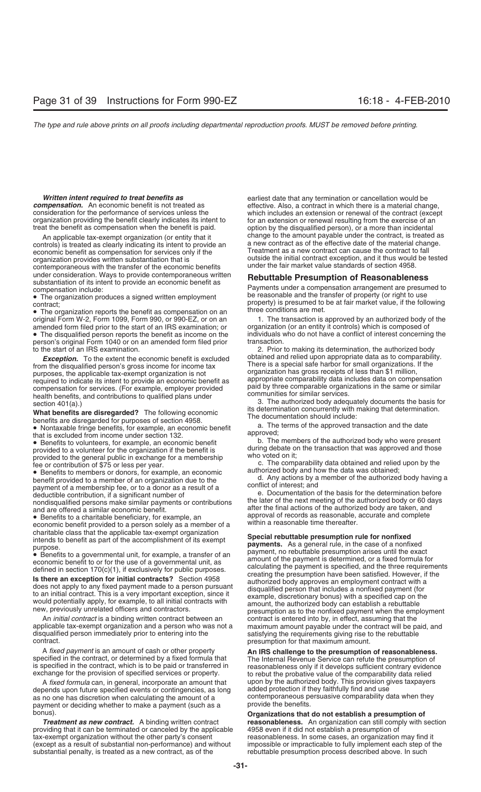organization providing the benefit clearly indicates its intent to for an extension or renewal resulting from the exercise of an treat the benefit as compensation when the benefit is paid. option by the disqualified person

controls) is treated as clearly indicating its intent to provide an a new contract as of the effective date of the material change.<br>Treatment as a new contract can cause the contract to fall economic benefit as compensation for services only if the contemporaneous with the transfer of the economic benefits

amended form filed prior to the start of an IRS examination; or

person's original Form 1040 or on an amended form filed prior to the start of an IRS examination.

from the discussiting persons in the model and proposes, the epoid of the expectation is a special safe harbor for simulation, a purpose, the equired to indicate the expectation for sevices. (For example, empetitive provi

An *initial contract* is a binding written contract between an contract is entered into by, in effect, assuming that the applicable tax-exempt organization and a person who was not a maximum amount payable under the contra disqualified person immediately prior to entering into the satisfying the requirements giving rise to the rebuttable<br>
presumption for that maximum amount.

A fixed payment is an amount of cash or other property<br>specified in the contract, or determined by a fixed formula that<br>is specified in the contract, which is to be paid or transferred in<br>exchange for the provision of spec

depends upon future specified events or contingencies, as long as no one has discretion when calculating the amount of a contemporaneous persuasive comparability data when they<br>nayment or deciding whether to make a payment (such as a provide the benefits. payment or deciding whether to make a payment (such as a

providing that it can be terminated or canceled by the applicable tax-exempt organization without the other party's consent reasonableness. In some cases, an organization may find it<br>(except as a result of substantial non-performance) and without impossible or impracticable to fully impl substantial penalty, is treated as a new contract, as of the

**Written intent required to treat benefits as** earliest date that any termination or cancellation would be **compensation.** An economic benefit is not treated as **earliest** defective. Also, a contract in which there is a ma **compensation.** An economic benefit is not treated as effective. Also, a contract in which there is a material change, consideration for the performance of services unless the which includes an extension or renewal of the consideration for the performance of services unless the which includes an extension or renewal of the contract (except option by the disqualified person), or a more than incidental An applicable tax-exempt organization (or entity that it change to the amount payable under the contract, is treated as<br>ntrols) is treated as clearly indicating its intent to provide an a new contract as of the effective d organization provides written substantiation that is example initial contract exception, and it thus would be tested<br>contemporaneous with the transfer of the economic benefits under the fair market value standards of secti

under consideration. Ways to provide contemporaneous written<br>
substantiation of its intent to provide an economic benefit as<br>
• The organization produces a signed written employment<br>
• The organization produces a signed w

original Form W-2, Form 1099, Form 990, or 990-EZ, or on an 1. The transaction is approved by an authorized body of the amended form filed prior to the start of an IRS examination; or organization (or an entity it controls • The disqualified person reports the benefit as income on the individuals who do not have a conflict of interest concerning the person's original Form 1040 or on an amended form filed prior transaction.

2. Prior to making its determination, the authorized body obtained and relied upon appropriate data as to comparability. *Exception.* To the extent the economic benefit is excluded obtained and relied upon appropriate data as to comparabili<br>m the disqualified person's gross income for income tax **There** is a special safe harbor for small org

charitable class that the applicable tax-exempt organization<br>
purpose. **Special rebuttable presumption rule for nonfixed**<br>
purpose. **Special rebutable presumption rule for nonfixed**<br>
purpose. **Special rebutable presumption** maximum amount payable under the contract will be paid, and presumption for that maximum amount.

A *fixed formula* can, in general, incorporate an amount that upon by the authorized body. This provision gives taxpayers Approvision gives taxpayers<br>Dends upon future specified events or contingencies, as long added prote

bonus). **Organizations that do not establish a presumption of reasonableness.** An organization can still comply with section 4958 even if it did not establish a presumption of impossible or impracticable to fully implement each step of the rebuttable presumption process described above. In such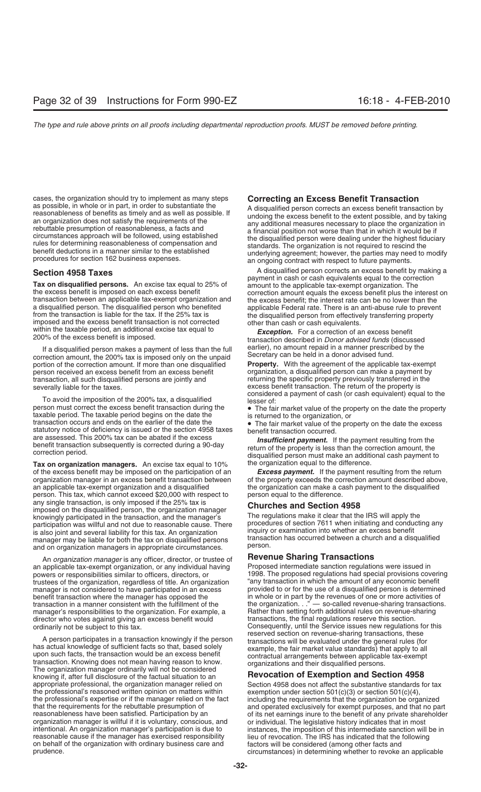cases, the organization should try to implement as many steps<br>as possible, in whole or in part, in order to substantiate the<br>reasonableness of benefits as timely and as well as possible. If<br>an organization does not satisfy

a disqualified person. The disqualified person who benefited<br>from the transaction is liable for the tax. If the 25% tax is<br>imposed and the excess benefit transaction is not corrected<br>within the taxable period, an additiona

If a disqualified person makes a payment of less than the full earlier), no amount repaid in a manner prescribed by the correction amount, the 200% tax is imposed only on the unpaid Secretary can be held in a donor advised portion of the correction amount. If more than one disqualified **Property.** With the agreement of the applicable tax-exempt person received an excess benefit from an excess benefit organization, a disqualified person can make a payment by<br>transaction, all such disqualified persons are jointly and returning the specific property previously trans transaction, all such disqualified persons are jointly and severally liable for the taxes.

person must correct the excess benefit transaction during the<br>taxable period. The taxable period begins on the date the<br>transaction occurs and ends on the earlier of the date the<br>statutory notice of deficiency is issued or

**Tax on organization managers.** An excise tax equal to 10% the organization equal to the difference.<br>of the excess benefit may be imposed on the participation of an **Excess payment.** If the payment resulting from the retur of the excess benefit may be imposed on the participation of an organization manager in an excess benefit transaction between an applicable tax-exempt organization and a disqualified the organization can make a cash payment to the disqualified person. This tax, which cannot exceed \$20,000 with respect to person equal to the difference. any single transaction, is only imposed if the 25% tax is<br>
imposed on the disqualified person, the organization manager<br>
knowingly participated in the transaction, and the manager's<br>
The regulations make it clear that the knowingly participated in the transaction, and the manager's participation was willful and not due to reasonable cause. There procedures of section 7611 when initiating and conducting any is also joint and several liability for this tax. An organization inquiry or examination into w is also joint and several liability for this tax. An organization inquiry or examination into whether an excess benefit<br>manager may be liable for both the tax on disqualified persons transaction has occurred between a chur manager may be liable for both the tax on disqualified persons transaction has occurred between and an organization managers in appropriate circumstances and on organization managers in appropriate circumstances.

An *organization manager* is any officer, director, or trustee of **Revenue Sharing Transactions**<br>applicable tax-exempt organization, or any individual having Proposed intermediate sanction regulations were issued in powers or responsibilities similar to officers, directors, or **1998**. The proposed regulations had special provisions covering trustees of the organization, regardless of title. An organization "any transaction in which th trustees of the organization, regardless of title. An organization manager is not considered to have participated in an excess provided to or for the use of a disqualified person is determined<br>benefit transaction where the manager has opposed the in whole or in part by the revenues of one benefit transaction where the manager has opposed the in whole or in part by the revenues of one or more activities of transaction in a manner consistent with the fulfillment of the the organization. . ." — so-called reven manager's responsibilities to the organization. For example, a Rather than setting forth additional rules on revenue-s<br>director who votes against giving an excess benefit would transactions, the final regulations reserve t director who votes against giving an excess benefit would ordinarily not be subject to this tax.

A person participates in a transaction knowingly if the person<br>has actual knowledge of sufficient facts so that, based solely<br>upon such facts, the transaction would be an excess benefit<br>transaction. Knowing does not mean h The organization manager ordinarily will not be considered<br>
knowing if, after full disclosure of the factual situation to an **Revocation of Exemption and Section 4958**<br>
appropriate professional, the organization manager re the professional's reasoned written opinion on matters within exemption under section 501(c)(3) or section 501(c)(4), the professional's expertise or if the manager relied on the fact including the requirements that the o the professional's expertise or if the manager relied on the fact that the requirements for the rebuttable presumption of that the requirements for the rebuttable presumption of and operated exclusively for exempt purposes, and that no part reasonableness have been satisfied. Participation by an reasonableness have been satisfied. Participati reasonableness have been satisfied. Participation by an of its net earnings inure to the benefit of any private shareholder<br>organization manager is willful if it is voluntary, conscious, and or individual. The legislative organization manager is willful if it is voluntary, conscious, and or individual. The legislative history indicates that in most intentional. An organization manager's participation is due to instances, the imposition of t reasonable cause if the manager has exercised responsibility lieu of revocation. The IRS has indicated that the following<br>on behalf of the organization with ordinary business care and factors will be considered (among othe on behalf of the organization with ordinary business care and prudence.

**Section 4958 Taxes**<br> **Section 4958 Taxes** A disqualified person corrects an excess benefit by making a<br>
payment in cash or cash equivalents equal to the correction Tax on disqualified persons. An excise tax equal to 25% of amount to the applicable tax-exempt organization. The correction amount equals the excess benefit plus the interest on transaction between an applicable tax-exempt

within the taxable period, an additional excise tax equal to *Exception.* For a correction of an excess benefit 200% of the excess benefit is imposed. transaction described in *Donor advised funds* (discussed

excess benefit transaction. The return of the property is considered a payment of cash (or cash equivalent) equal to the<br>To avoid the imposition of the 200% tax, a disqualified<br>person must correct the excess benefit transaction during the<br>The fair market value of the property on

are assessed. This 200% tax can be abated if the excess<br>benefit transaction subsequently is corrected during a 90-day<br>correction period. disqualified person must make an additional cash payment to<br>disqualified person must

of the property exceeds the correction amount described above,

an applicable tax-exempt organization, or any individual having Proposed intermediate sanction regulations were issued in the organization  $\ldots$  " — so-called revenue-sharing transactions. Rather than setting forth additional rules on revenue-sharing Consequently, until the Service issues new regulations for this reserved section on revenue-sharing transactions, these

Section 4958 does not affect the substantive standards for tax exemption under section 501 $(c)(3)$  or section 501 $(c)(4)$ , instances, the imposition of this intermediate sanction will be in circumstances) in determining whether to revoke an applicable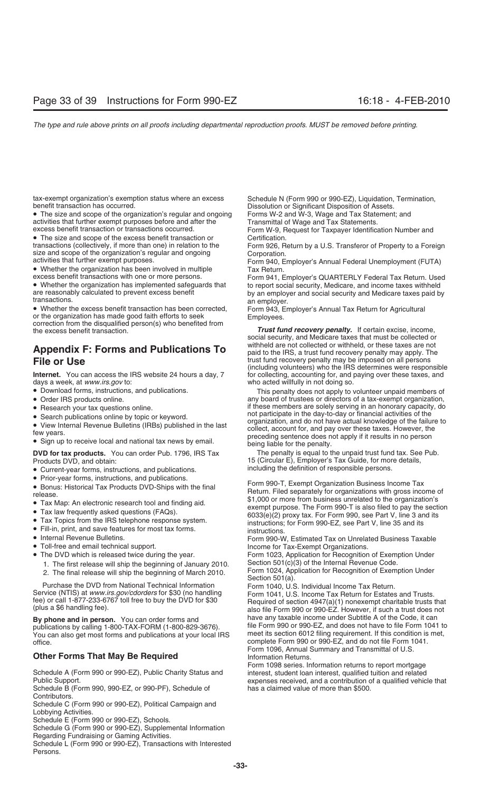tax-exempt organization's exemption status where an excess Schedule N (Form 990 or 990-EZ), Liquidation, Termination, benefit transaction has occurred.<br>Dissolution or Significant Disposition of Assets

• The size and scope of the organization's regular and ongoing Forms W-2 and W-3, Wage and Tax Statement; and activities that further exempt purposes before and after the Transmittal of Wage and Tax Statements.<br>
Eorm W-9. Request for Taxpaver Identifications of transactions occurred.

• The size and scope of the excess benefit transaction or Certification.<br>
transactions (collectively, if more than one) in relation to the Form 926. R

• Whether the organization has been involved in multiple excess benefit transactions with one or more persons.

• Whether the excess benefit transaction has been corrected, or the organization has made good faith efforts to seek or the organization has made good faith efforts to seek Employees.<br>
correction from the disqualified person(s) who benefited from *Trust fund recovery penalty.* If certain excise, income,<br> **Trust fund recovery penalty.**

# **File or Use** trust fund recovery penalty may be imposed on all persons

days a week, at *www.irs.gov* to: who acted willfully in not doing so.

- 
- 
- 
- 
- 
- 

**DVD for tax products.** You can order Pub. 1796, IRS Tax The penalty is equal to the unpaid trust fund tax. See Pub.

- Current-year forms, instructions, and publications.
- 
- 
- 
- 
- 
- 
- 
- 
- - 1. The first release will ship the beginning of January 2010.
	-

Purchase the DVD from National Technical Information Form 1040, U.S. Individual Income Tax Return.<br>Form 1041, U.S. Income Tax Return for Estates

You can also get most forms and publications at your local IRS office. complete Form 990 or 990-EZ, and do not file Form 1041.

### **Other Forms That May Be Required**

Schedule A (Form 990 or 990-EZ), Public Charity Status and interest, student loan interest, qualified tuition and related

Schedule B (Form 990, 990-EZ, or 990-PF), Schedule of Contributors.

Schedule C (Form 990 or 990-EZ), Political Campaign and Lobbying Activities.

Schedule E (Form 990 or 990-EZ), Schools.

Schedule G (Form 990 or 990-EZ), Supplemental Information

Regarding Fundraising or Gaming Activities.

Schedule L (Form 990 or 990-EZ), Transactions with Interested Persons.

Dissolution or Significant Disposition of Assets.

Form W-9, Request for Taxpayer Identification Number and

transactions (collectively, if more than one) in relation to the Form 926, Return by a U.S. Transferor of Property to a Foreign size and scope of the organization's regular and ongoing Corporation.

size and scope of the organization's regular and ongoing Corporation.<br>
activities that further exempt purposes.<br>
• Whether the organization has been involved in multiple Tax Return.

excess benefit transactions with one or more persons. Form 941, Employer's QUARTERLY Federal Tax Return. Used<br>• Whether the organization has implemented safeguards that to report social security. Medicare, and income taxes • Whether the organization has implemented safeguards that to report social security, Medicare, and income taxes withheld are reasonably calculated to prevent excess benefit by an employer and social security and Medicare are reasonably calculated to prevent excess benefit by an employer and social security and Medicare taxes paid by<br>transactions.

an employer.<br>Form 943, Employer's Annual Tax Return for Agricultural

social security, and Medicare taxes that must be collected or withheld are not collected or withheld, or these taxes are not **Appendix F: Forms and Publications To** paid to the IRS, a trust fund recovery penalty may apply. The (including volunteers) who the IRS determines were responsible **Internet.** You can access the IRS website 24 hours a day, 7 for collecting, accounting for, and paying over these taxes, and

• Download forms, instructions, and publications. This penalty does not apply to volunteer unpaid members of • Order IRS products online.  $\blacksquare$  any board of trustees or directors of a tax-exempt organization, • Research your tax questions online.<br>• Search publications online by topic or keyword. In the participate in the day-to-day or financial activities of the • Search publications online by topic or keyword.<br>
• View Internal Revenue Bulletins (IRBs) published in the last<br>
• View Internal Revenue Bulletins (IRBs) published in the last<br>
• Sign up to receive local and national tax

Products DVD, and obtain: 15 (Circular E), Employer's Tax Guide, for more details,<br>● Current-vear forms instructions and publications and including the definition of responsible persons.

• Prior-year forms, instructions, and publications.<br>
• Bonus: Historical Tax Products DVD-Ships with the final<br>
• Tax Map: An electronic research tool and finding aid.<br>
• Tax Map: An electronic research tool and finding a

• Toll-free and email technical support. Income for Tax-Exempt Organizations.

• The DVD which is released twice during the year. Form 1023, Application for Recognition of Exemption Under<br>1. The first release will ship the beginning of January 2010. Section 501(c)(3) of the Internal Revenue Code.

Form 1024, Application for Recognition of Exemption Under 2. The final release will ship the beginning of March 2010.<br>Section 501(a).

Service (NTIS) at *www.irs.gov/cdorders* for \$30 (no handling Form 1041, U.S. Income Tax Return for Estates and Trusts.<br>fee) or call 1-877-233-6767 toll free to buy the DVD for \$30 Required of section 4947(a)(1) nonexempt **By phone and in person.** You can order forms and have any taxable income under Subtitle A of the Code, it can<br>
publications by calling 1-800-TAX-FORM (1-800-829-3676) file Form 990 or 990-EZ, and does not have to file For publications by calling 1-800-TAX-FORM (1-800-829-3676). File Form 990 or 990-EZ, and does not have to file Form 1041 to<br>You can also get most forms and publications at your local IRS meet its section 6012 filing requireme Form 1096, Annual Summary and Transmittal of U.S.

Form 1098 series. Information returns to report mortgage Public Support.<br>Schedule B (Form 990, 990-EZ, or 990-PF), Schedule of expenses received, and a contribution of a qualified vehicle that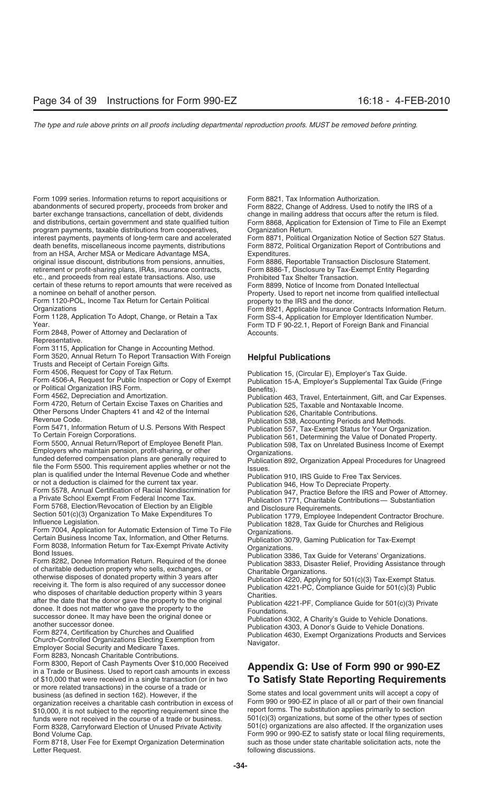Form 1099 series. Information returns to report acquisitions or Form 8821, Tax Information Authorization. abandonments of secured property, proceeds from broker and Form 8822, Change of Address. Used to notify the IRS of a barter exchange transactions, cancellation of debt, dividends change in mailing address that occurs after the return is filed. program payments, taxable distributions from cooperatives, interest payments, payments of long-term care and accelerated interest payments, payments of long-term care and accelerated Form 8871, Political Organization Notice of Section 527 Status.<br>
death benefits, miscellaneous income payments, distributions Form 8872, Political Organization from an HSA, Archer MSA or Medicare Advantage MSA, Expenditures.<br>
original issue discount, distributions from pensions, annuities, Form 8886. Re retirement or profit-sharing plans, IRAs, insurance contracts, etc., and proceeds from real estate transactions. Also, use Prohibited Tax Shelter Transaction.<br>
Sortain of these returns to report amounts that were received as Form 8899, Notice of Income from Donated Intellectual certain of these returns to report amounts that were received as a nominee on behalf of another person. Property. Used to report net income from qualified intellectual

Form 1120-POL, Income Tax Return for Certain Political property to the IRS and the donor.<br>Crganizations Form 8921. Applicable Insurance

Form 2848, Power of Attorney and Declaration of Theorem 2848, Power of Attorney and Declaration of Representative.

Form 3115, Application for Change in Accounting Method.

Form 3520, Annual Return To Report Transaction With Foreign **Helpful Publications** Trusts and Receipt of Certain Foreign Gifts.

Form 4506, Request for Copy of Tax Return.<br>
Form 4506-A, Request for Cubical or Boeins and Circular E), Employer's Tax Guide.<br>
Form 4506-A, Request for Political Organization IRS Form.<br>
Form 4562, Depreciation and Amortiza

plan is qualified under the Internal Revenue Code and whether<br>
or on ta deduction is claimed for the current tax year.<br>
Form 5578, Annual Certification of Racial Nondiscrimination for<br>
Fublication 947, Practice Before the who disposes of chamable deduction property within 3 years<br>
after the date that the donor gave the property to the original<br>
Publication 4221-PF, Compliance Guide for 501(c)(3) Private<br>
Publication 4221-PF, Compliance Guid

successor donee. It may have been the original donee or<br>another successor donee.<br>Form 8274, Certification by Churches and Qualified<br>Church-Controlled Organizations Electing Exemption from<br>Employer Social Security and Medic Form 8283, Noncash Charitable Contributions.

Form 8300, Report of Cash Payments Over \$10,000 Received **Appendix G: Use of Form 990 or 990-EZ** in a Trade or Business. Used to report cash amounts in excess of \$10,000 that were received in a single transaction (or in two **To Satisfy State Reporting Requirements** or more related transactions) in the course of a trade or business (as defined in section 162). However, if the Some states and local government units will accept a copy of organization receives a charitable cash contribution in excess of Form 990 or 990-EZ in place of all or part of their own financial \$10,000, it is not subject to the reporting requirement since the report forms. The substi \$10,000, it is not subject to the reporting requirement since the funds were not received in the course of a trade or business. 501(c)(3) organizations, but some of the other types of section<br>Form 8328, Carryforward Election of Unused Private Activity 501(c) organizations are also affect Form 8328, Carryforward Election of Unused Private Activity

Form 8718, User Fee for Exempt Organization Determination Letter Request. The contract of the contract of the contract of the following discussions.

and distributions, certain government and state qualified tuition Form 8868, Application for Extension of Time to File an Exempt program payments, taxable distributions from cooperatives, Organization Return.

Form 8872, Political Organization Report of Contributions and

Form 8886, Reportable Transaction Disclosure Statement.<br>Form 8886-T, Disclosure by Tax-Exempt Entity Regarding

Organizations **Form 8921, Applicable Insurance Contracts Information Return.**<br>Form 1128, Application To Adopt, Change, or Retain a Tax Form SS-4, Application for Employer Identification Number. Form 1128, Application To Adopt, Change, or Retain a Tax Form SS-4, Application for Employer Identification Number.<br>Form TD F 90-22.1. Report of Foreign Bank and Financial Form TD F 90-22.1, Report of Foreign Bank and Financial

Bond Volume Cap.<br>Form 990 or 990-EZ to satisfy state or local filing requirements,<br>Form 8718, User Fee for Exempt Organization Determination such as those under state charitable solicitation acts, note the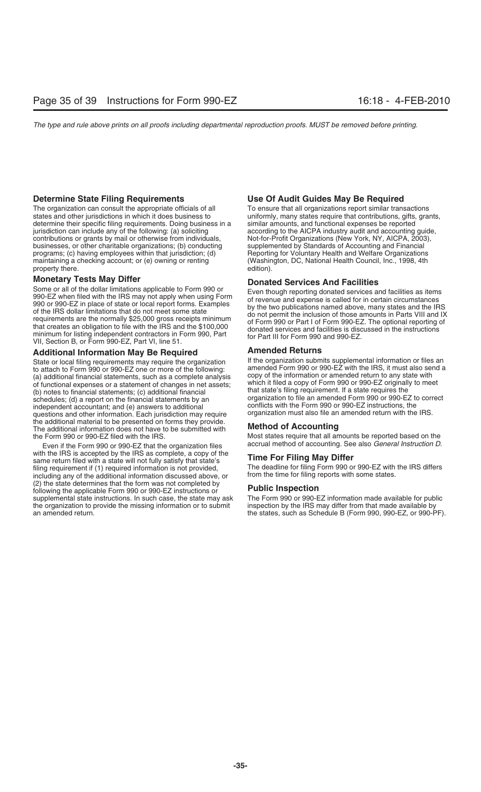The organization can consult the appropriate officials of all To ensure that all organizations report similar transactions states and other jurisdictions in which it does business to uniformly, many states require that con determine their specific filing requirements. Doing business in a jurisdiction can include any of the following: (a) soliciting contributions or grants by mail or otherwise from individuals, Not-for-Profit Organizations (New York, NY, AICPA, 2003), businesses, or other charitable organizations; (b) conducting supplemented by Standards of Accounting businesses, or other charitable organizations; (b) conducting supplemented by Standards of Accounting and Financial<br>programs; (c) having employees within that jurisdiction; (d) Reporting for Voluntary Health and Welfare Or programs; (c) having employees within that jurisdiction; (d) Reporting for Voluntary Health and Welfare Organizations<br>maintaining a checking account; or (e) owning or renting (Washington, DC, National Health Council, Inc., maintaining a checking account; or (e) owning or renting property there.  $\blacksquare$ 

**Monetary Tests May Differ**<br>Some or all of the dollar limitations applicable to Form 990 or **Donated Services And Facilities** Some or all of the dollar limitations applicable to Form 990 or<br>
990-EZ when filed with the IRS may not apply when using Form<br>
990 or 990-EZ in place of state or local report forms. Examples<br>
of the IRS dollar limitations

## **Additional Information May Be Required**<br>State or local filing requirements may require the organization **Amended Returns** Supplemental information or files an

to attach to Form 990 or 990-EZ one or more of the following:<br>(a) additional financial statements, such as a complete analysis copy of the information or amended return to any state with (a) additional financial statements, such as a complete analysis copy of the information or amended return to any state with<br>of functional expenses or a statement of changes in net assets which it filed a copy of Form 990 of functional expenses or a statement of changes in net assets; (b) notes to financial statements; (c) additional financial schedules; (d) a report on the financial statements by an organization to file an amended Form 990 or 990-EZ to<br>independent accountant: and (e) answers to additional conflicts with the Form 990 or 990-EZ instructions, the independent accountant; and (e) answers to additional conflicts with the Form 990 or 990-EZ instructions, the<br>guestions and other information. Each jurisdiction may require organization must also file an amended return wit questions and other information. Each jurisdiction may require the additional material to be presented on forms they provide. The additional information does not have to be submitted with **Method of Accounting**<br>the Form 990 or 990-EZ filed with the IRS. Most states require that all an

Even if the Form 990 or 990-EZ that the organization files with the IRS is accepted by the IRS as complete, a copy of the with the IRS is accepted by the IRS as complete, a copy of the **Time For Filing May Differ**<br>same return filed with a state will not fully satisfy that state's **Time For Filing May Differ**<br>filing requirement if (1) required filing requirement if (1) required information is not provided, The deadline for filing Form 990 or 990-EZ with including any of the additional information discussed above, or from the time for filing reports with some sta including any of the additional information discussed above, or (2) the state determines that the form was not completed by following the applicable Form 990 or 990-EZ instructions or **Public Inspection** supplemental state instructions. In such case, the state may ask The Form 990 or 990-EZ information made available for public<br>the organization to provide the missing information or to submit inspection by the IRS may diffe an amended return. the states, such as Schedule B (Form 990, 990-EZ, or 990-PF).

## **Determine State Filing Requirements Use Of Audit Guides May Be Required**

uniformly, many states require that contributions, gifts, grants, similar amounts, and functional expenses be reported according to the AICPA industry audit and accounting guide, Not-for-Profit Organizations (New York, NY, AICPA, 2003),

State or local filing requirements may require the organization If the organization submits supplemental information or files an<br>to attach to Form 990 or 990-FZ one or more of the following: amended Form 990 or 990-EZ with that state's filing requirement. If a state requires the<br>organization to file an amended Form 990 or 990-EZ to correct

Most states require that all amounts be reported based on the accrual method of accounting. See also General Instruction D.

inspection by the IRS may differ from that made available by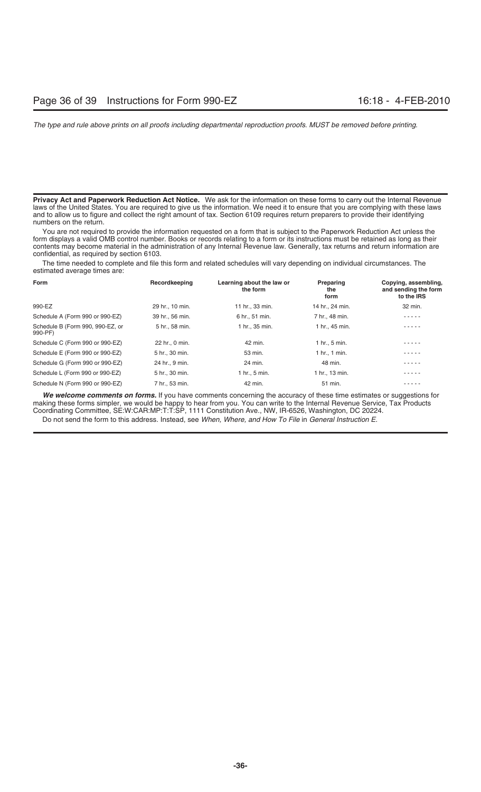**Privacy Act and Paperwork Reduction Act Notice.** We ask for the information on these forms to carry out the Internal Revenue laws of the United States. You are required to give us the information. We need it to ensure that you are complying with these laws and to allow us to figure and collect the right amount of tax. Section 6109 requires return preparers to provide their identifying numbers on the return.

You are not required to provide the information requested on a form that is subject to the Paperwork Reduction Act unless the form displays a valid OMB control number. Books or records relating to a form or its instructions must be retained as long as their contents may become material in the administration of any Internal Revenue law. Generally, tax returns and return information are confidential, as required by section 6103.

The time needed to complete and file this form and related schedules will vary depending on individual circumstances. The estimated average times are:

| Form                                        | Recordkeeping   | Learning about the law or<br>the form | Preparing<br>the<br>form | Copying, assembling,<br>and sending the form<br>to the IRS |
|---------------------------------------------|-----------------|---------------------------------------|--------------------------|------------------------------------------------------------|
| 990-EZ                                      | 29 hr., 10 min. | 11 hr., 33 min.                       | 14 hr., 24 min.          | 32 min.                                                    |
| Schedule A (Form 990 or 990-EZ)             | 39 hr., 56 min. | 6 hr., 51 min.                        | 7 hr., 48 min.           | .                                                          |
| Schedule B (Form 990, 990-EZ, or<br>990-PF) | 5 hr., 58 min.  | 1 hr., 35 min.                        | 1 hr., 45 min.           | $- - - -$                                                  |
| Schedule C (Form 990 or 990-EZ)             | 22 hr., 0 min.  | 42 min.                               | 1 hr., 5 min.            | .                                                          |
| Schedule E (Form 990 or 990-EZ)             | 5 hr., 30 min.  | 53 min.                               | 1 hr., 1 min.            | .                                                          |
| Schedule G (Form 990 or 990-EZ)             | 24 hr., 9 min.  | 24 min.                               | 48 min.                  |                                                            |
| Schedule L (Form 990 or 990-EZ)             | 5 hr., 30 min.  | 1 hr., 5 min.                         | 1 hr., 13 min.           |                                                            |
| Schedule N (Form 990 or 990-EZ)             | 7 hr., 53 min.  | 42 min.                               | 51 min.                  |                                                            |

*We welcome comments on forms.* If you have comments concerning the accuracy of these time estimates or suggestions for making these forms simpler, we would be happy to hear from you. You can write to the Internal Revenue Service, Tax Products Coordinating Committee, SE:W:CAR:MP:T:T:SP, 1111 Constitution Ave., NW, IR-6526, Washington, DC 20224.

Do not send the form to this address. Instead, see *When, Where, and How To File* in *General Instruction E.*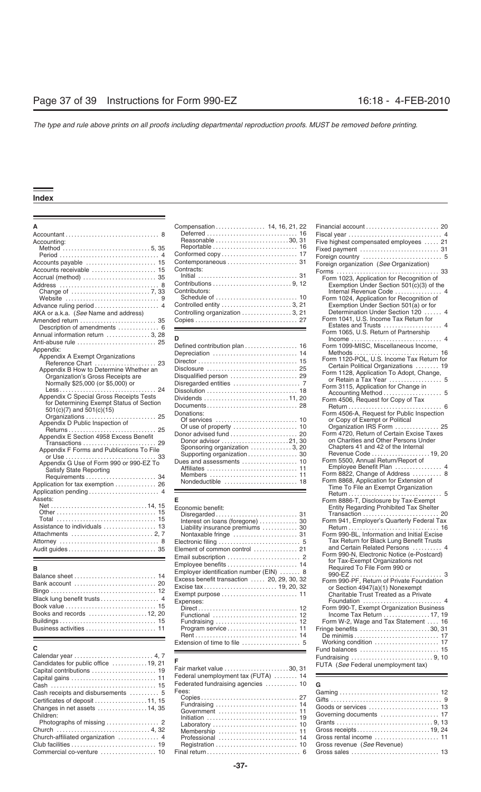|                                              | Compensation 14, 16, 21, 22      |                                                                                         |
|----------------------------------------------|----------------------------------|-----------------------------------------------------------------------------------------|
|                                              |                                  |                                                                                         |
| Accounting:                                  | Reasonable 30, 31                | Five highest compensated employees  21                                                  |
|                                              |                                  |                                                                                         |
|                                              |                                  |                                                                                         |
|                                              |                                  | Foreign organization (See Organization)                                                 |
| Accounts receivable  15                      | Contracts:                       |                                                                                         |
|                                              |                                  | Form 1023, Application for Recognition of                                               |
|                                              |                                  | Exemption Under Section 501(c)(3) of the                                                |
|                                              | Contributors:                    | Internal Revenue Code  4                                                                |
|                                              |                                  | Form 1024, Application for Recognition of                                               |
|                                              |                                  | Exemption Under Section 501(a) or for                                                   |
| AKA or a.k.a. (See Name and address)         | Controlling organization  3, 21  | Determination Under Section 120  4                                                      |
| Amended return  35                           |                                  | Form 1041, U.S. Income Tax Return for                                                   |
| Description of amendments  6                 |                                  |                                                                                         |
| Annual information return  3, 28             |                                  | Form 1065, U.S. Return of Partnership                                                   |
| Anti-abuse rule  25                          | D                                |                                                                                         |
| Appendix:                                    | Defined contribution plan  16    | Form 1099-MISC, Miscellaneous Income,                                                   |
| Appendix A Exempt Organizations              |                                  |                                                                                         |
|                                              |                                  | Form 1120-POL, U.S. Income Tax Return for                                               |
| Appendix B How to Determine Whether an       |                                  | Certain Political Organizations  19                                                     |
| Organization's Gross Receipts are            |                                  | Form 1128, Application To Adopt, Change,                                                |
| Normally \$25,000 (or \$5,000) or            |                                  | or Retain a Tax Year  5                                                                 |
| $Less \dots \dots \dots \dots \dots$<br>. 24 |                                  | Form 3115, Application for Change in                                                    |
| Appendix C Special Gross Receipts Tests      | Dividends 11,20                  |                                                                                         |
| for Determining Exempt Status of Section     |                                  | Form 4506, Request for Copy of Tax                                                      |
| $501(c)(7)$ and $501(c)(15)$                 | Donations:                       | Form 4506-A, Request for Public Inspection                                              |
| Organizations  25                            |                                  | or Copy of Exempt or Political                                                          |
| Appendix D Public Inspection of              |                                  | Organization IRS Form  25                                                               |
|                                              |                                  | Form 4720. Return of Certain Excise Taxes                                               |
| Appendix E Section 4958 Excess Benefit       | Donor advisor 21, 30             | on Charities and Other Persons Under                                                    |
| Transactions  29                             | Sponsoring organization  3, 20   | Chapters 41 and 42 of the Internal                                                      |
| Appendix F Forms and Publications To File    | Supporting organization 30       | Revenue Code  19, 20                                                                    |
| Appendix G Use of Form 990 or 990-EZ To      |                                  | Form 5500, Annual Return/Report of                                                      |
|                                              |                                  | Employee Benefit Plan  4                                                                |
| Satisfy State Reporting                      |                                  | Form 8822, Change of Address  8                                                         |
|                                              |                                  | Form 8868, Application for Extension of                                                 |
| Application for tax exemption  26            |                                  | Time To File an Exempt Organization                                                     |
|                                              |                                  |                                                                                         |
| Assets:                                      |                                  | Form 8886-T, Disclosure by Tax-Exempt                                                   |
|                                              | Economic benefit:                | Entity Regarding Prohibited Tax Shelter                                                 |
|                                              |                                  |                                                                                         |
|                                              | Interest on loans (foregone)  30 | Form 941, Employer's Quarterly Federal Tax                                              |
| Assistance to individuals  13                | Liability insurance premiums  30 |                                                                                         |
| $\Lambda$ the space $\mu$                    | $\Box$ eetrenie filies $\Box$    | Form 990-BL, Information and Initial Excise<br>Tay Raturn for Black Lung Ranafit Tructe |
|                                              |                                  |                                                                                         |

| Books and records 12, 20 |
|--------------------------|
|                          |
|                          |

|                                     | <u> 1989 - Jan Salaman Salaman (j. 1989)</u> | Fund balances                                                 |
|-------------------------------------|----------------------------------------------|---------------------------------------------------------------|
|                                     |                                              | Fundraising                                                   |
| Candidates for public office 19, 21 |                                              | FUTA (See Federal unemployment tax)                           |
|                                     |                                              |                                                               |
|                                     | Federal unemployment tax (FUTA)  14          |                                                               |
|                                     | Federated fundraising agencies  10           | G                                                             |
| Cash receipts and disbursements  5  | Fees:                                        | Gaming                                                        |
| Certificates of deposit 11, 15      |                                              |                                                               |
| Changes in net assets  14, 35       |                                              | Goods or services                                             |
| Children:                           |                                              | Governing documents                                           |
|                                     |                                              |                                                               |
|                                     |                                              | Gross receipts                                                |
|                                     |                                              | Gross rental income                                           |
|                                     |                                              | Gross revenue (See Revenue)                                   |
|                                     |                                              | Gross sales $\dots \dots \dots \dots \dots \dots \dots \dots$ |
|                                     |                                              |                                                               |

| A                                    |               |                                                                                                                                                        |
|--------------------------------------|---------------|--------------------------------------------------------------------------------------------------------------------------------------------------------|
|                                      |               |                                                                                                                                                        |
| Accounting:                          |               | Five highest compensated employees  21                                                                                                                 |
|                                      |               |                                                                                                                                                        |
|                                      |               |                                                                                                                                                        |
| Accounts payable  15                 |               | Foreign organization (See Organization)                                                                                                                |
| Accounts receivable  15              | Contracts:    |                                                                                                                                                        |
| Accrual (method)  35                 |               | Form 1023, Application for Recognition of                                                                                                              |
|                                      |               | Exemption Under Section $501(c)(3)$ of the                                                                                                             |
|                                      | Contributors: | Internal Revenue Code  4                                                                                                                               |
|                                      |               | Form 1024, Application for Recognition of                                                                                                              |
|                                      |               | Exemption Under Section 501(a) or for                                                                                                                  |
| AKA or a.k.a. (See Name and address) |               | Determination Under Section 120  4                                                                                                                     |
|                                      |               | Form 1041, U.S. Income Tax Return for<br>$\Gamma$ at the second $\Gamma$ where $\Gamma$ is a second $\Gamma$ is a second $\Gamma$ is a second $\Gamma$ |

|                                           | Defined contribution plan  16                                             | Form 1099-MISC, Miscellaneous Income,      |
|-------------------------------------------|---------------------------------------------------------------------------|--------------------------------------------|
| :pendix:                                  |                                                                           |                                            |
| Appendix A Exempt Organizations           |                                                                           | Form 1120-POL, U.S. Income Tax Return for  |
| Reference Chart  23                       | Disclosure $\ldots \ldots \ldots \ldots \ldots \ldots \ldots \ldots$ . 25 | Certain Political Organizations  19        |
| Appendix B How to Determine Whether an    |                                                                           | Form 1128, Application To Adopt, Change,   |
| Organization's Gross Receipts are         |                                                                           | or Retain a Tax Year  5                    |
| Normally \$25,000 (or \$5,000) or         |                                                                           | Form 3115, Application for Change in       |
|                                           |                                                                           |                                            |
| Appendix C Special Gross Receipts Tests   |                                                                           |                                            |
| for Determining Exempt Status of Section  |                                                                           | Form 4506, Request for Copy of Tax         |
| $501(c)(7)$ and $501(c)(15)$              |                                                                           |                                            |
| Organizations  25                         | Donations:                                                                | Form 4506-A, Request for Public Inspection |
| Appendix D Public Inspection of           |                                                                           | or Copy of Exempt or Political             |
|                                           |                                                                           | Organization IRS Form  25                  |
| Appendix E Section 4958 Excess Benefit    |                                                                           | Form 4720, Return of Certain Excise Taxes  |
| Transactions<br>29                        | Donor advisor 21, 30                                                      | on Charities and Other Persons Under       |
| Appendix F Forms and Publications To File | Sponsoring organization  3, 20                                            | Chapters 41 and 42 of the Internal         |
|                                           | Supporting organization 30                                                | Revenue Code 19, 20                        |
|                                           |                                                                           | Form 5500, Annual Return/Report of         |
| Appendix G Use of Form 990 or 990-EZ To   |                                                                           | Employee Benefit Plan  4                   |
| <b>Satisfy State Reporting</b>            |                                                                           | Form 8822, Change of Address  8            |
| Requirements  34                          |                                                                           | Form 8868, Application for Extension of    |
| polication for tax exemption  26          |                                                                           | Time Te File an Exampt Organization        |

| Assistance to individuals  13<br>Attorney  8                                                                                                                | Economic benefit:<br>Interest on loans (foregone)  30<br>Liability insurance premiums  30<br>Element of common control  21                                                                             | Entity Regarding Prohibited Tax Shelter<br>Transaction<br>Form 941, Employer's Quarterly Federal Ta<br>Form 990-BL, Information and Initial Excise<br>Tax Return for Black Lung Benefit Trusts<br>and Certain Related Persons<br>Form 990-N, Electronic Notice (e-Postcard)                                                                                     |
|-------------------------------------------------------------------------------------------------------------------------------------------------------------|--------------------------------------------------------------------------------------------------------------------------------------------------------------------------------------------------------|-----------------------------------------------------------------------------------------------------------------------------------------------------------------------------------------------------------------------------------------------------------------------------------------------------------------------------------------------------------------|
| в<br>Balance sheet  14<br>Bank account  20<br>Black lung benefit trusts 4<br>Book value  15<br>Books and records $\ldots$ 12, 20<br>Business activities  11 | Employee benefits  14<br>Employer identification number (EIN)  8<br>Excess benefit transaction $\ldots$ 20, 29, 30, 32<br>Expenses:<br>Functional $\ldots, \ldots, \ldots, \ldots, \ldots, \ldots, 12$ | for Tax-Exempt Organizations not<br>Required To File Form 990 or<br>990-EZ<br>Form 990-PF. Return of Private Foundation<br>or Section 4947(a)(1) Nonexempt<br>Charitable Trust Treated as a Private<br>Foundation<br>Form 990-T, Exempt Organization Busines<br>Income Tax Return  17,<br>Form W-2, Wage and Tax Statement<br>Fringe benefits 30,<br>De minimis |
|                                                                                                                                                             |                                                                                                                                                                                                        |                                                                                                                                                                                                                                                                                                                                                                 |

| Capital contributions  19                                                                                           |                      |
|---------------------------------------------------------------------------------------------------------------------|----------------------|
| Federal unemployment tax (FUTA)  14<br>Capital gains  11<br>Federated fundraising agencies $\dots \dots \dots 10$ G |                      |
| Fees:<br>Cash receipts and disbursements  5<br>Certificates of deposit 11, 15                                       |                      |
| Changes in net assets $\ldots$ 14, 35<br>Children:                                                                  |                      |
| Photographs of missing  2                                                                                           |                      |
| Church  4, 32<br>Church-affiliated organization  4                                                                  | Gross receipts19, 24 |
|                                                                                                                     |                      |

|                                                               |                                                                          | Financial account  20                                                        |
|---------------------------------------------------------------|--------------------------------------------------------------------------|------------------------------------------------------------------------------|
|                                                               |                                                                          |                                                                              |
| Accounting:                                                   | Reasonable 30, 31                                                        | Five highest compensated employees  21                                       |
|                                                               |                                                                          |                                                                              |
|                                                               |                                                                          |                                                                              |
| Accounts payable  15                                          |                                                                          | Foreign organization (See Organization)                                      |
| Accounts receivable  15                                       | Contracts:                                                               |                                                                              |
| Accrual (method)  35                                          |                                                                          | Form 1023, Application for Recognition of                                    |
|                                                               |                                                                          | Exemption Under Section 501(c)(3) of the                                     |
|                                                               | Contributors:                                                            | Internal Revenue Code  4                                                     |
|                                                               |                                                                          | Form 1024, Application for Recognition of                                    |
| Advance ruling period  4                                      |                                                                          | Exemption Under Section 501(a) or for                                        |
| AKA or a.k.a. (See Name and address)                          | Controlling organization  3, 21                                          | Determination Under Section 120  4<br>Form 1041, U.S. Income Tax Return for  |
| Amended return  35                                            |                                                                          |                                                                              |
|                                                               |                                                                          | Form 1065, U.S. Return of Partnership                                        |
| Annual information return  3, 28                              | D                                                                        |                                                                              |
|                                                               | Defined contribution plan  16                                            | Form 1099-MISC, Miscellaneous Income,                                        |
| Appendix:                                                     |                                                                          |                                                                              |
| Appendix A Exempt Organizations                               |                                                                          | Form 1120-POL, U.S. Income Tax Return for                                    |
| Reference Chart  23<br>Appendix B How to Determine Whether an |                                                                          | Certain Political Organizations  19                                          |
| Organization's Gross Receipts are                             |                                                                          | Form 1128, Application To Adopt, Change,                                     |
| Normally \$25,000 (or \$5,000) or                             |                                                                          | or Retain a Tax Year  5                                                      |
|                                                               | Dissolution $\ldots \ldots \ldots \ldots \ldots \ldots \ldots \ldots$ 18 | Form 3115, Application for Change in                                         |
| Appendix C Special Gross Receipts Tests                       |                                                                          |                                                                              |
| for Determining Exempt Status of Section                      |                                                                          | Form 4506, Request for Copy of Tax                                           |
| $501(c)(7)$ and $501(c)(15)$                                  | Donations:                                                               |                                                                              |
| Organizations  25                                             |                                                                          | Form 4506-A, Request for Public Inspection<br>or Copy of Exempt or Political |
| Appendix D Public Inspection of                               |                                                                          | Organization IRS Form  25                                                    |
|                                                               | Donor advised fund  20                                                   | Form 4720, Return of Certain Excise Taxes                                    |
| Appendix E Section 4958 Excess Benefit                        | Donor advisor 21, 30                                                     | on Charities and Other Persons Under                                         |
| Transactions  29                                              | Sponsoring organization  3, 20                                           | Chapters 41 and 42 of the Internal                                           |
| Appendix F Forms and Publications To File                     | Supporting organization 30                                               | Revenue Code  19, 20                                                         |
| Appendix G Use of Form 990 or 990-EZ To                       |                                                                          | Form 5500, Annual Return/Report of                                           |
| <b>Satisfy State Reporting</b>                                |                                                                          | Employee Benefit Plan  4                                                     |
|                                                               |                                                                          | Form 8822, Change of Address  8                                              |
| Application for tax exemption  26                             |                                                                          | Form 8868, Application for Extension of                                      |
|                                                               |                                                                          | Time To File an Exempt Organization                                          |
| Assets:                                                       | Е                                                                        | Form 8886-T, Disclosure by Tax-Exempt                                        |
|                                                               | Economic benefit:                                                        | Entity Regarding Prohibited Tax Shelter                                      |
|                                                               |                                                                          | Transaction  20                                                              |
|                                                               | Interest on loans (foregone)  30                                         | Form 941, Employer's Quarterly Federal Tax                                   |
| Assistance to individuals  13                                 | Liability insurance premiums  30                                         |                                                                              |
|                                                               |                                                                          | Form 990-BL. Information and Initial Excise                                  |
|                                                               |                                                                          | Tax Return for Black Lung Benefit Trusts                                     |
|                                                               |                                                                          | and Certain Related Persons  4                                               |
|                                                               |                                                                          | Form 990-N, Electronic Notice (e-Postcard)                                   |
|                                                               |                                                                          | for Tax-Exempt Organizations not<br>Required To File Form 990 or             |
| в                                                             | Employer identification number (EIN)                                     |                                                                              |
|                                                               | Excess benefit transaction  20, 29, 30, 32                               | Form 990-PF, Return of Private Foundation                                    |
|                                                               |                                                                          | or Section 4947(a)(1) Nonexempt                                              |
|                                                               |                                                                          | Charitable Trust Treated as a Private                                        |
| Black lung benefit trusts 4                                   | Expenses:                                                                | Foundation  4                                                                |
| Book value  15                                                |                                                                          | Form 990-T, Exempt Organization Business                                     |
| Books and records $\ldots \ldots \ldots \ldots \ldots 12,20$  | Functional  12                                                           | Income Tax Return  17, 19                                                    |
|                                                               |                                                                          | Form W-2, Wage and Tax Statement  16                                         |
|                                                               |                                                                          | Fringe benefits $\ldots \ldots \ldots \ldots \ldots \ldots \ldots 30, 31$    |
|                                                               |                                                                          |                                                                              |
|                                                               |                                                                          | Working condition  17                                                        |
| С                                                             |                                                                          |                                                                              |
|                                                               | F.                                                                       |                                                                              |
| Candidates for public office 19, 21                           |                                                                          | FUTA (See Federal unemployment tax)                                          |

| Governing documents  17     |
|-----------------------------|
|                             |
|                             |
| Gross rental income  11     |
| Gross revenue (See Revenue) |
|                             |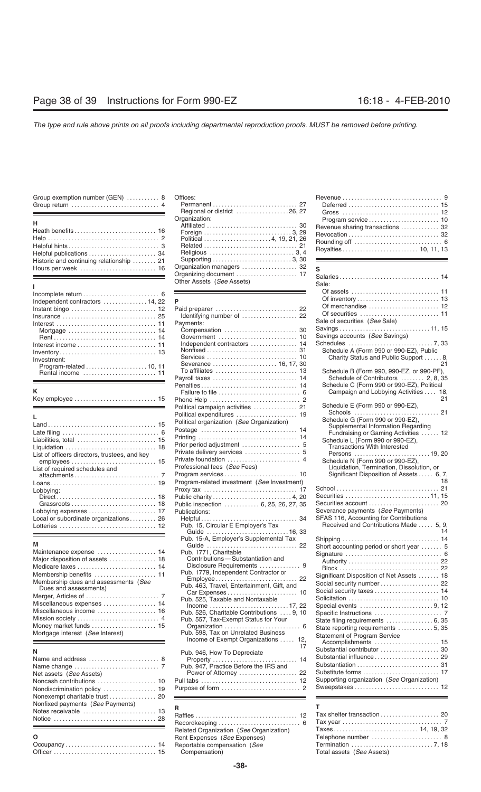| Group exemption number (GEN)  8 |  |
|---------------------------------|--|
|                                 |  |

| п.                                       |
|------------------------------------------|
|                                          |
|                                          |
|                                          |
|                                          |
| Historic and continuing relationship  21 |
|                                          |

# Of inventory . . . . . . . . . . . . . . . . . . . . . . . . . . . . 13 Independent contractors ............... 14, 22 **P** Nonfixed . . . . . . . . . . . . . . . . . . . . . . . . . . . . . . . 31 Schedule A (Form 990 or 990-EZ), Public Inventory . . . . . . . . . . . . . . . . . . . . . . . . . . . . . . . . . 13 Program-related ...................... 10, 11 Rental income To affiliates . . . . . . . . . . . . . . . . . . . . . . . . . . . . 13 Schedule B (Form 990, 990-EZ, or 990-PF), . . . . . . . . . . . . . . . . . . . . . . . . . 11

|--|--|--|--|--|--|--|--|--|--|--|--|--|--|--|--|--|--|--|--|--|--|--|--|--|--|--|--|--|--|--|

|                                                                                     |                                             | Schedule G (Form 990 or 990-EZ),          |
|-------------------------------------------------------------------------------------|---------------------------------------------|-------------------------------------------|
|                                                                                     | Political organization (See Organization)   | Supplemental Information Regarding        |
| Late filing $\ldots \ldots \ldots \ldots \ldots \ldots \ldots \ldots \ldots \ldots$ |                                             | Fundraising or Gaming Activities          |
|                                                                                     |                                             | Schedule L (Form 990 or 990-EZ),          |
|                                                                                     |                                             | <b>Transactions With Interested</b>       |
| List of officers directors, trustees, and key                                       |                                             | Persons 19.                               |
|                                                                                     |                                             | Schedule N (Form 990 or 990-EZ).          |
| List of required schedules and                                                      | Professional fees (See Fees)                | Liquidation, Termination, Dissolution, or |
|                                                                                     |                                             | Significant Disposition of Assets  6      |
|                                                                                     | Program-related investment (See Investment) |                                           |
| Lobbving:                                                                           |                                             |                                           |
|                                                                                     |                                             | Securities 11.                            |
|                                                                                     | Public inspection  6, 25, 26, 27, 35        | Securities account                        |
|                                                                                     | Publications:                               | Severance payments (See Payments)         |
| Local or subordinate organizations 26                                               |                                             | SFAS 116, Accounting for Contributions    |
|                                                                                     | Pub. 15, Circular E Employer's Tax          | Received and Contributions Made  5        |
|                                                                                     |                                             |                                           |

| Maintenance expense  14              |
|--------------------------------------|
| Major disposition of assets  18      |
| Medicare taxes  14                   |
|                                      |
| Membership dues and assessments (See |
| Dues and assessments)                |
|                                      |
|                                      |
| Miscellaneous expenses  14           |
| Miscellaneous income  16             |
|                                      |
| Money market funds  15               |

| Net assets (See Assets)          |  |  |
|----------------------------------|--|--|
| Nonfixed payments (See Payments) |  |  |

| $\cdot$   |  |
|-----------|--|
| Occupancy |  |
|           |  |

| $\alpha$ . $\alpha$ , $\alpha$ , $\alpha$ , $\alpha$ , $\alpha$ , $\alpha$ , $\alpha$ , $\alpha$ , $\alpha$ , $\alpha$ , $\alpha$ , $\alpha$ , $\alpha$ , $\alpha$ , $\alpha$<br><u> 1989 - Andrea Barbara, Amerikaansk politiker (d. 1989)</u> | Regional or district 26, 27                            |                                  |  |
|-------------------------------------------------------------------------------------------------------------------------------------------------------------------------------------------------------------------------------------------------|--------------------------------------------------------|----------------------------------|--|
| н<br>Heath benefits 16<br>Helpful publications  34                                                                                                                                                                                              | Organization:<br>Political 4, 19, 21, 26               | Revenue sharing transactions  32 |  |
| Historic and continuing relationship  21<br>Hours per week  16                                                                                                                                                                                  | Organization managers  32<br>Other Assets (See Assets) | Sale:                            |  |

| Independent contractors 14, 22                                               | P                                                         |                                            |
|------------------------------------------------------------------------------|-----------------------------------------------------------|--------------------------------------------|
| Instant bingo $\ldots \ldots \ldots \ldots \ldots \ldots \ldots \ldots$ 12   | Paid preparer  22                                         | Of merchandise                             |
|                                                                              | Identifying number of  22                                 | Of securities                              |
|                                                                              | Payments:                                                 | Sale of securities (See Sale)              |
| Mortgage $\ldots \ldots \ldots \ldots \ldots \ldots \ldots \ldots \ldots$ 14 |                                                           |                                            |
|                                                                              |                                                           | Savings accounts (See Savings)             |
|                                                                              | Independent contractors  14                               |                                            |
|                                                                              |                                                           | Schedule A (Form 990 or 990-EZ), Public    |
| Investment:                                                                  |                                                           | Charity Status and Public Support          |
|                                                                              | Severance  16, 17, 30                                     |                                            |
|                                                                              |                                                           | Schedule B (Form 990, 990-EZ, or 990-PF)   |
| <u> 1989 - Johann Barn, mars eta biztanleria (h. 1989).</u>                  | Payroll taxes  14                                         | Schedule of Contributors  2, 8, 3          |
|                                                                              | Penalties 14                                              | Schedule C (Form 990 or 990-EZ), Political |
|                                                                              |                                                           | Campaign and Lobbying Activities  1        |
|                                                                              |                                                           |                                            |
|                                                                              | Political campaign activities  21                         | Schedule E (Form 990 or 990-EZ),           |
|                                                                              | Political expenditures  19                                | Schools                                    |
|                                                                              | Political organization (See Organization)                 | Schedule G (Form 990 or 990-EZ),           |
|                                                                              |                                                           | Supplemental Information Regarding         |
|                                                                              |                                                           | Fundraising or Gaming Activities           |
| Liabilities, total  15                                                       |                                                           | Schedule L (Form 990 or 990-EZ),           |
| Liquidation  18                                                              |                                                           | <b>Transactions With Interested</b>        |
| List of officers directors, trustees, and key                                |                                                           |                                            |
|                                                                              |                                                           | Schedule N (Form 990 or 990-EZ).           |
| List of required schedules and                                               | Professional fees (See Fees)                              | Liquidation, Termination, Dissolution, or  |
|                                                                              |                                                           | Significant Disposition of Assets  6,      |
|                                                                              | Program-related investment (See Investment)               |                                            |
| Lobbying:                                                                    |                                                           |                                            |
|                                                                              |                                                           |                                            |
|                                                                              | Public inspection  6, 25, 26, 27, 35                      | Securities account                         |
|                                                                              | Publications:                                             | Severance payments (See Payments)          |
| Local or subordinate organizations 26                                        | 34                                                        | SFAS 116, Accounting for Contributions     |
|                                                                              | Pub. 15, Circular E Employer's Tax                        | Received and Contributions Made  5,        |
|                                                                              | Guide 16, 33                                              |                                            |
| М                                                                            | Pub. 15-A, Employer's Supplemental Tax                    |                                            |
|                                                                              | Guide  22                                                 | Short accounting period or short year      |
| Maintenance expense  14                                                      | Pub. 1771. Charitable<br>Contributions-Substantiation and | Signature                                  |
| Major disposition of assets  18                                              | Disclosure Requirements  9                                |                                            |
| Medicare taxes  14                                                           | Pub. 1779, Independent Contractor or                      |                                            |
| Membership benefits  11                                                      |                                                           | Significant Disposition of Net Assets      |
| Membership dues and assessments (See                                         | Pub. 463, Travel, Entertainment, Gift, and                | Social security number                     |
| Dues and assessments)                                                        |                                                           | Social security taxes                      |
|                                                                              | Pub. 525, Taxable and Nontaxable                          | Solicitation                               |
| Miscellaneous expenses  14                                                   | Income 17, 22                                             | Special events 9,                          |
| Miscellaneous income  16                                                     | Pub. 526, Charitable Contributions  9, 10                 | Specific Instructions                      |
|                                                                              | Pub. 557, Tax-Exempt Status for Your                      |                                            |
| Money market funds  15                                                       |                                                           | State reporting requirements 5,            |
| Mortgage interest (See Interest)                                             | Pub. 598, Tax on Unrelated Business                       | <b>Statement of Program Service</b>        |
|                                                                              | Income of Exempt Organizations  12,                       | Accomplishments                            |
|                                                                              | 17                                                        | Substantial contributor                    |
| Ν                                                                            | Pub. 946, How To Depreciate                               | Substantial influence                      |
| Name and address  8                                                          |                                                           | Substantiation                             |
|                                                                              | Pub. 947, Practice Before the IRS and                     |                                            |
| Net assets (See Assets)                                                      | Power of Attorney  22                                     |                                            |
| Noncash contributions  10                                                    |                                                           | Supporting organization (See Organization) |
| Nondiscrimination policy  19                                                 |                                                           | Sweepstakes                                |

| Notice  28 |                                                                         |                                                                       |
|------------|-------------------------------------------------------------------------|-----------------------------------------------------------------------|
|            | Related Organization (See Organization)<br>Rent Expenses (See Expenses) | Taxes<br>Telephone number<br>Termination<br>Total assets (See Assets) |

| Group exemption number (GEN)  8 Offices: | Regional or district 26, 27                                                                                                                                                              | Gross  12                        |  |
|------------------------------------------|------------------------------------------------------------------------------------------------------------------------------------------------------------------------------------------|----------------------------------|--|
| н.                                       | Organization:<br>Helpful publications $\begin{array}{ccc}\n & 34 \\ \hline\n\end{array}$ Religious $\ldots \ldots \ldots \ldots \ldots \ldots \ldots \ldots \ldots \ldots \ldots \ldots$ | Revenue sharing transactions  32 |  |

| Salaries 14<br>Other Assets (See Assets)<br>Sale:<br>P<br>Independent contractors  14, 22<br>Of merchandise  12<br>Instant bingo $\ldots \ldots \ldots \ldots \ldots \ldots \ldots \ldots \ldots$ 12<br>Paid preparer  22<br>Identifying number of  22<br>Sale of securities (See Sale)<br>Payments:<br>Mortgage $\ldots \ldots \ldots \ldots \ldots \ldots \ldots \ldots \ldots$ 14<br>Savings accounts (See Savings)<br>Independent contractors  14<br>Schedule A (Form 990 or 990-EZ), Public<br>Charity Status and Public Support 8,<br>Severance  16, 17, 30<br>21<br>Schedule B (Form 990, 990-EZ, or 990-PF),<br>Rental income  11<br>Schedule of Contributors  2, 8, 35<br>Payroll taxes  14<br><u> 1989 - Johann Barn, mars eta biztanleria (h. 1989).</u><br>Schedule C (Form 990 or 990-EZ), Political<br>ĸ<br>Campaign and Lobbying Activities  18,<br>21<br>Schedule E (Form 990 or 990-EZ),<br>Political campaign activities  21<br>Political expenditures  19<br>Г<br>Schedule G (Form 990 or 990-EZ),<br>Political organization (See Organization)<br>Supplemental Information Regarding<br>Fundraising or Gaming Activities  12<br>Liabilities, total  15<br>Schedule L (Form 990 or 990-EZ),<br>Transactions With Interested<br>Private delivery services  5<br>List of officers directors, trustees, and key<br>Private foundation  4<br>Schedule N (Form 990 or 990-EZ),<br>Professional fees (See Fees)<br>Liquidation, Termination, Dissolution, or<br>List of required schedules and<br>Significant Disposition of Assets  6, 7,<br>18<br>Program-related investment (See Investment)<br>Lobbying:<br>Securities 11, 15<br>Public inspection  6, 25, 26, 27, 35<br>Severance payments (See Payments)<br>Publications:<br>SFAS 116, Accounting for Contributions<br>Local or subordinate organizations 26<br>Received and Contributions Made  5, 9,<br>Pub. 15, Circular E Employer's Tax<br>Guide 16, 33<br>Pub. 15-A, Employer's Supplemental Tax<br>Guide  22<br>Short accounting period or short year  5<br>Pub. 1771, Charitable<br>Contributions-Substantiation and<br>Medicare taxes  14<br>Pub. 1779, Independent Contractor or<br>Significant Disposition of Net Assets  18<br>Employee 22<br>Membership dues and assessments (See<br>Social security number  22<br>Pub. 463, Travel, Entertainment, Gift, and<br>Dues and assessments)<br>Pub. 525, Taxable and Nontaxable<br>Miscellaneous expenses  14<br>$lncome \ldots \ldots \ldots \ldots \ldots \ldots \ldots \ldots \ldots 17, 22$<br>Pub. 526, Charitable Contributions  9, 10<br>Mission society<br>Pub. 557, Tax-Exempt Status for Your<br>Money market funds  15<br>State reporting requirements  5, 35<br>Pub. 598, Tax on Unrelated Business<br>Mortgage interest (See Interest)<br><b>Statement of Program Service</b><br>Income of Exempt Organizations  12,<br>Accomplishments  15<br>17<br>Substantial contributor  30<br>Pub. 946, How To Depreciate<br>Pub. 947, Practice Before the IRS and<br>Power of Attorney  22<br>Supporting organization (See Organization) |                         | Organization managers  32 | s |
|-------------------------------------------------------------------------------------------------------------------------------------------------------------------------------------------------------------------------------------------------------------------------------------------------------------------------------------------------------------------------------------------------------------------------------------------------------------------------------------------------------------------------------------------------------------------------------------------------------------------------------------------------------------------------------------------------------------------------------------------------------------------------------------------------------------------------------------------------------------------------------------------------------------------------------------------------------------------------------------------------------------------------------------------------------------------------------------------------------------------------------------------------------------------------------------------------------------------------------------------------------------------------------------------------------------------------------------------------------------------------------------------------------------------------------------------------------------------------------------------------------------------------------------------------------------------------------------------------------------------------------------------------------------------------------------------------------------------------------------------------------------------------------------------------------------------------------------------------------------------------------------------------------------------------------------------------------------------------------------------------------------------------------------------------------------------------------------------------------------------------------------------------------------------------------------------------------------------------------------------------------------------------------------------------------------------------------------------------------------------------------------------------------------------------------------------------------------------------------------------------------------------------------------------------------------------------------------------------------------------------------------------------------------------------------------------------------------------------------------------------------------------------------------------------------------------------------------------------------------------------------------------------------------------------------------------------------------------------------------------------------------------------------------------------------------------------|-------------------------|---------------------------|---|
|                                                                                                                                                                                                                                                                                                                                                                                                                                                                                                                                                                                                                                                                                                                                                                                                                                                                                                                                                                                                                                                                                                                                                                                                                                                                                                                                                                                                                                                                                                                                                                                                                                                                                                                                                                                                                                                                                                                                                                                                                                                                                                                                                                                                                                                                                                                                                                                                                                                                                                                                                                                                                                                                                                                                                                                                                                                                                                                                                                                                                                                                         |                         | Organizing document  17   |   |
|                                                                                                                                                                                                                                                                                                                                                                                                                                                                                                                                                                                                                                                                                                                                                                                                                                                                                                                                                                                                                                                                                                                                                                                                                                                                                                                                                                                                                                                                                                                                                                                                                                                                                                                                                                                                                                                                                                                                                                                                                                                                                                                                                                                                                                                                                                                                                                                                                                                                                                                                                                                                                                                                                                                                                                                                                                                                                                                                                                                                                                                                         |                         |                           |   |
|                                                                                                                                                                                                                                                                                                                                                                                                                                                                                                                                                                                                                                                                                                                                                                                                                                                                                                                                                                                                                                                                                                                                                                                                                                                                                                                                                                                                                                                                                                                                                                                                                                                                                                                                                                                                                                                                                                                                                                                                                                                                                                                                                                                                                                                                                                                                                                                                                                                                                                                                                                                                                                                                                                                                                                                                                                                                                                                                                                                                                                                                         |                         |                           |   |
|                                                                                                                                                                                                                                                                                                                                                                                                                                                                                                                                                                                                                                                                                                                                                                                                                                                                                                                                                                                                                                                                                                                                                                                                                                                                                                                                                                                                                                                                                                                                                                                                                                                                                                                                                                                                                                                                                                                                                                                                                                                                                                                                                                                                                                                                                                                                                                                                                                                                                                                                                                                                                                                                                                                                                                                                                                                                                                                                                                                                                                                                         |                         |                           |   |
|                                                                                                                                                                                                                                                                                                                                                                                                                                                                                                                                                                                                                                                                                                                                                                                                                                                                                                                                                                                                                                                                                                                                                                                                                                                                                                                                                                                                                                                                                                                                                                                                                                                                                                                                                                                                                                                                                                                                                                                                                                                                                                                                                                                                                                                                                                                                                                                                                                                                                                                                                                                                                                                                                                                                                                                                                                                                                                                                                                                                                                                                         |                         |                           |   |
|                                                                                                                                                                                                                                                                                                                                                                                                                                                                                                                                                                                                                                                                                                                                                                                                                                                                                                                                                                                                                                                                                                                                                                                                                                                                                                                                                                                                                                                                                                                                                                                                                                                                                                                                                                                                                                                                                                                                                                                                                                                                                                                                                                                                                                                                                                                                                                                                                                                                                                                                                                                                                                                                                                                                                                                                                                                                                                                                                                                                                                                                         |                         |                           |   |
|                                                                                                                                                                                                                                                                                                                                                                                                                                                                                                                                                                                                                                                                                                                                                                                                                                                                                                                                                                                                                                                                                                                                                                                                                                                                                                                                                                                                                                                                                                                                                                                                                                                                                                                                                                                                                                                                                                                                                                                                                                                                                                                                                                                                                                                                                                                                                                                                                                                                                                                                                                                                                                                                                                                                                                                                                                                                                                                                                                                                                                                                         |                         |                           |   |
|                                                                                                                                                                                                                                                                                                                                                                                                                                                                                                                                                                                                                                                                                                                                                                                                                                                                                                                                                                                                                                                                                                                                                                                                                                                                                                                                                                                                                                                                                                                                                                                                                                                                                                                                                                                                                                                                                                                                                                                                                                                                                                                                                                                                                                                                                                                                                                                                                                                                                                                                                                                                                                                                                                                                                                                                                                                                                                                                                                                                                                                                         |                         |                           |   |
|                                                                                                                                                                                                                                                                                                                                                                                                                                                                                                                                                                                                                                                                                                                                                                                                                                                                                                                                                                                                                                                                                                                                                                                                                                                                                                                                                                                                                                                                                                                                                                                                                                                                                                                                                                                                                                                                                                                                                                                                                                                                                                                                                                                                                                                                                                                                                                                                                                                                                                                                                                                                                                                                                                                                                                                                                                                                                                                                                                                                                                                                         |                         |                           |   |
|                                                                                                                                                                                                                                                                                                                                                                                                                                                                                                                                                                                                                                                                                                                                                                                                                                                                                                                                                                                                                                                                                                                                                                                                                                                                                                                                                                                                                                                                                                                                                                                                                                                                                                                                                                                                                                                                                                                                                                                                                                                                                                                                                                                                                                                                                                                                                                                                                                                                                                                                                                                                                                                                                                                                                                                                                                                                                                                                                                                                                                                                         |                         |                           |   |
|                                                                                                                                                                                                                                                                                                                                                                                                                                                                                                                                                                                                                                                                                                                                                                                                                                                                                                                                                                                                                                                                                                                                                                                                                                                                                                                                                                                                                                                                                                                                                                                                                                                                                                                                                                                                                                                                                                                                                                                                                                                                                                                                                                                                                                                                                                                                                                                                                                                                                                                                                                                                                                                                                                                                                                                                                                                                                                                                                                                                                                                                         |                         |                           |   |
|                                                                                                                                                                                                                                                                                                                                                                                                                                                                                                                                                                                                                                                                                                                                                                                                                                                                                                                                                                                                                                                                                                                                                                                                                                                                                                                                                                                                                                                                                                                                                                                                                                                                                                                                                                                                                                                                                                                                                                                                                                                                                                                                                                                                                                                                                                                                                                                                                                                                                                                                                                                                                                                                                                                                                                                                                                                                                                                                                                                                                                                                         | Investment:             |                           |   |
|                                                                                                                                                                                                                                                                                                                                                                                                                                                                                                                                                                                                                                                                                                                                                                                                                                                                                                                                                                                                                                                                                                                                                                                                                                                                                                                                                                                                                                                                                                                                                                                                                                                                                                                                                                                                                                                                                                                                                                                                                                                                                                                                                                                                                                                                                                                                                                                                                                                                                                                                                                                                                                                                                                                                                                                                                                                                                                                                                                                                                                                                         |                         |                           |   |
|                                                                                                                                                                                                                                                                                                                                                                                                                                                                                                                                                                                                                                                                                                                                                                                                                                                                                                                                                                                                                                                                                                                                                                                                                                                                                                                                                                                                                                                                                                                                                                                                                                                                                                                                                                                                                                                                                                                                                                                                                                                                                                                                                                                                                                                                                                                                                                                                                                                                                                                                                                                                                                                                                                                                                                                                                                                                                                                                                                                                                                                                         |                         |                           |   |
|                                                                                                                                                                                                                                                                                                                                                                                                                                                                                                                                                                                                                                                                                                                                                                                                                                                                                                                                                                                                                                                                                                                                                                                                                                                                                                                                                                                                                                                                                                                                                                                                                                                                                                                                                                                                                                                                                                                                                                                                                                                                                                                                                                                                                                                                                                                                                                                                                                                                                                                                                                                                                                                                                                                                                                                                                                                                                                                                                                                                                                                                         |                         |                           |   |
|                                                                                                                                                                                                                                                                                                                                                                                                                                                                                                                                                                                                                                                                                                                                                                                                                                                                                                                                                                                                                                                                                                                                                                                                                                                                                                                                                                                                                                                                                                                                                                                                                                                                                                                                                                                                                                                                                                                                                                                                                                                                                                                                                                                                                                                                                                                                                                                                                                                                                                                                                                                                                                                                                                                                                                                                                                                                                                                                                                                                                                                                         |                         |                           |   |
|                                                                                                                                                                                                                                                                                                                                                                                                                                                                                                                                                                                                                                                                                                                                                                                                                                                                                                                                                                                                                                                                                                                                                                                                                                                                                                                                                                                                                                                                                                                                                                                                                                                                                                                                                                                                                                                                                                                                                                                                                                                                                                                                                                                                                                                                                                                                                                                                                                                                                                                                                                                                                                                                                                                                                                                                                                                                                                                                                                                                                                                                         |                         |                           |   |
|                                                                                                                                                                                                                                                                                                                                                                                                                                                                                                                                                                                                                                                                                                                                                                                                                                                                                                                                                                                                                                                                                                                                                                                                                                                                                                                                                                                                                                                                                                                                                                                                                                                                                                                                                                                                                                                                                                                                                                                                                                                                                                                                                                                                                                                                                                                                                                                                                                                                                                                                                                                                                                                                                                                                                                                                                                                                                                                                                                                                                                                                         |                         |                           |   |
|                                                                                                                                                                                                                                                                                                                                                                                                                                                                                                                                                                                                                                                                                                                                                                                                                                                                                                                                                                                                                                                                                                                                                                                                                                                                                                                                                                                                                                                                                                                                                                                                                                                                                                                                                                                                                                                                                                                                                                                                                                                                                                                                                                                                                                                                                                                                                                                                                                                                                                                                                                                                                                                                                                                                                                                                                                                                                                                                                                                                                                                                         |                         |                           |   |
|                                                                                                                                                                                                                                                                                                                                                                                                                                                                                                                                                                                                                                                                                                                                                                                                                                                                                                                                                                                                                                                                                                                                                                                                                                                                                                                                                                                                                                                                                                                                                                                                                                                                                                                                                                                                                                                                                                                                                                                                                                                                                                                                                                                                                                                                                                                                                                                                                                                                                                                                                                                                                                                                                                                                                                                                                                                                                                                                                                                                                                                                         |                         |                           |   |
|                                                                                                                                                                                                                                                                                                                                                                                                                                                                                                                                                                                                                                                                                                                                                                                                                                                                                                                                                                                                                                                                                                                                                                                                                                                                                                                                                                                                                                                                                                                                                                                                                                                                                                                                                                                                                                                                                                                                                                                                                                                                                                                                                                                                                                                                                                                                                                                                                                                                                                                                                                                                                                                                                                                                                                                                                                                                                                                                                                                                                                                                         |                         |                           |   |
|                                                                                                                                                                                                                                                                                                                                                                                                                                                                                                                                                                                                                                                                                                                                                                                                                                                                                                                                                                                                                                                                                                                                                                                                                                                                                                                                                                                                                                                                                                                                                                                                                                                                                                                                                                                                                                                                                                                                                                                                                                                                                                                                                                                                                                                                                                                                                                                                                                                                                                                                                                                                                                                                                                                                                                                                                                                                                                                                                                                                                                                                         |                         |                           |   |
|                                                                                                                                                                                                                                                                                                                                                                                                                                                                                                                                                                                                                                                                                                                                                                                                                                                                                                                                                                                                                                                                                                                                                                                                                                                                                                                                                                                                                                                                                                                                                                                                                                                                                                                                                                                                                                                                                                                                                                                                                                                                                                                                                                                                                                                                                                                                                                                                                                                                                                                                                                                                                                                                                                                                                                                                                                                                                                                                                                                                                                                                         |                         |                           |   |
|                                                                                                                                                                                                                                                                                                                                                                                                                                                                                                                                                                                                                                                                                                                                                                                                                                                                                                                                                                                                                                                                                                                                                                                                                                                                                                                                                                                                                                                                                                                                                                                                                                                                                                                                                                                                                                                                                                                                                                                                                                                                                                                                                                                                                                                                                                                                                                                                                                                                                                                                                                                                                                                                                                                                                                                                                                                                                                                                                                                                                                                                         |                         |                           |   |
|                                                                                                                                                                                                                                                                                                                                                                                                                                                                                                                                                                                                                                                                                                                                                                                                                                                                                                                                                                                                                                                                                                                                                                                                                                                                                                                                                                                                                                                                                                                                                                                                                                                                                                                                                                                                                                                                                                                                                                                                                                                                                                                                                                                                                                                                                                                                                                                                                                                                                                                                                                                                                                                                                                                                                                                                                                                                                                                                                                                                                                                                         |                         |                           |   |
|                                                                                                                                                                                                                                                                                                                                                                                                                                                                                                                                                                                                                                                                                                                                                                                                                                                                                                                                                                                                                                                                                                                                                                                                                                                                                                                                                                                                                                                                                                                                                                                                                                                                                                                                                                                                                                                                                                                                                                                                                                                                                                                                                                                                                                                                                                                                                                                                                                                                                                                                                                                                                                                                                                                                                                                                                                                                                                                                                                                                                                                                         |                         |                           |   |
|                                                                                                                                                                                                                                                                                                                                                                                                                                                                                                                                                                                                                                                                                                                                                                                                                                                                                                                                                                                                                                                                                                                                                                                                                                                                                                                                                                                                                                                                                                                                                                                                                                                                                                                                                                                                                                                                                                                                                                                                                                                                                                                                                                                                                                                                                                                                                                                                                                                                                                                                                                                                                                                                                                                                                                                                                                                                                                                                                                                                                                                                         |                         |                           |   |
|                                                                                                                                                                                                                                                                                                                                                                                                                                                                                                                                                                                                                                                                                                                                                                                                                                                                                                                                                                                                                                                                                                                                                                                                                                                                                                                                                                                                                                                                                                                                                                                                                                                                                                                                                                                                                                                                                                                                                                                                                                                                                                                                                                                                                                                                                                                                                                                                                                                                                                                                                                                                                                                                                                                                                                                                                                                                                                                                                                                                                                                                         |                         |                           |   |
|                                                                                                                                                                                                                                                                                                                                                                                                                                                                                                                                                                                                                                                                                                                                                                                                                                                                                                                                                                                                                                                                                                                                                                                                                                                                                                                                                                                                                                                                                                                                                                                                                                                                                                                                                                                                                                                                                                                                                                                                                                                                                                                                                                                                                                                                                                                                                                                                                                                                                                                                                                                                                                                                                                                                                                                                                                                                                                                                                                                                                                                                         |                         |                           |   |
|                                                                                                                                                                                                                                                                                                                                                                                                                                                                                                                                                                                                                                                                                                                                                                                                                                                                                                                                                                                                                                                                                                                                                                                                                                                                                                                                                                                                                                                                                                                                                                                                                                                                                                                                                                                                                                                                                                                                                                                                                                                                                                                                                                                                                                                                                                                                                                                                                                                                                                                                                                                                                                                                                                                                                                                                                                                                                                                                                                                                                                                                         |                         |                           |   |
|                                                                                                                                                                                                                                                                                                                                                                                                                                                                                                                                                                                                                                                                                                                                                                                                                                                                                                                                                                                                                                                                                                                                                                                                                                                                                                                                                                                                                                                                                                                                                                                                                                                                                                                                                                                                                                                                                                                                                                                                                                                                                                                                                                                                                                                                                                                                                                                                                                                                                                                                                                                                                                                                                                                                                                                                                                                                                                                                                                                                                                                                         |                         |                           |   |
|                                                                                                                                                                                                                                                                                                                                                                                                                                                                                                                                                                                                                                                                                                                                                                                                                                                                                                                                                                                                                                                                                                                                                                                                                                                                                                                                                                                                                                                                                                                                                                                                                                                                                                                                                                                                                                                                                                                                                                                                                                                                                                                                                                                                                                                                                                                                                                                                                                                                                                                                                                                                                                                                                                                                                                                                                                                                                                                                                                                                                                                                         |                         |                           |   |
|                                                                                                                                                                                                                                                                                                                                                                                                                                                                                                                                                                                                                                                                                                                                                                                                                                                                                                                                                                                                                                                                                                                                                                                                                                                                                                                                                                                                                                                                                                                                                                                                                                                                                                                                                                                                                                                                                                                                                                                                                                                                                                                                                                                                                                                                                                                                                                                                                                                                                                                                                                                                                                                                                                                                                                                                                                                                                                                                                                                                                                                                         |                         |                           |   |
|                                                                                                                                                                                                                                                                                                                                                                                                                                                                                                                                                                                                                                                                                                                                                                                                                                                                                                                                                                                                                                                                                                                                                                                                                                                                                                                                                                                                                                                                                                                                                                                                                                                                                                                                                                                                                                                                                                                                                                                                                                                                                                                                                                                                                                                                                                                                                                                                                                                                                                                                                                                                                                                                                                                                                                                                                                                                                                                                                                                                                                                                         |                         |                           |   |
|                                                                                                                                                                                                                                                                                                                                                                                                                                                                                                                                                                                                                                                                                                                                                                                                                                                                                                                                                                                                                                                                                                                                                                                                                                                                                                                                                                                                                                                                                                                                                                                                                                                                                                                                                                                                                                                                                                                                                                                                                                                                                                                                                                                                                                                                                                                                                                                                                                                                                                                                                                                                                                                                                                                                                                                                                                                                                                                                                                                                                                                                         |                         |                           |   |
|                                                                                                                                                                                                                                                                                                                                                                                                                                                                                                                                                                                                                                                                                                                                                                                                                                                                                                                                                                                                                                                                                                                                                                                                                                                                                                                                                                                                                                                                                                                                                                                                                                                                                                                                                                                                                                                                                                                                                                                                                                                                                                                                                                                                                                                                                                                                                                                                                                                                                                                                                                                                                                                                                                                                                                                                                                                                                                                                                                                                                                                                         |                         |                           |   |
|                                                                                                                                                                                                                                                                                                                                                                                                                                                                                                                                                                                                                                                                                                                                                                                                                                                                                                                                                                                                                                                                                                                                                                                                                                                                                                                                                                                                                                                                                                                                                                                                                                                                                                                                                                                                                                                                                                                                                                                                                                                                                                                                                                                                                                                                                                                                                                                                                                                                                                                                                                                                                                                                                                                                                                                                                                                                                                                                                                                                                                                                         | M                       |                           |   |
|                                                                                                                                                                                                                                                                                                                                                                                                                                                                                                                                                                                                                                                                                                                                                                                                                                                                                                                                                                                                                                                                                                                                                                                                                                                                                                                                                                                                                                                                                                                                                                                                                                                                                                                                                                                                                                                                                                                                                                                                                                                                                                                                                                                                                                                                                                                                                                                                                                                                                                                                                                                                                                                                                                                                                                                                                                                                                                                                                                                                                                                                         | Maintenance expense  14 |                           |   |
|                                                                                                                                                                                                                                                                                                                                                                                                                                                                                                                                                                                                                                                                                                                                                                                                                                                                                                                                                                                                                                                                                                                                                                                                                                                                                                                                                                                                                                                                                                                                                                                                                                                                                                                                                                                                                                                                                                                                                                                                                                                                                                                                                                                                                                                                                                                                                                                                                                                                                                                                                                                                                                                                                                                                                                                                                                                                                                                                                                                                                                                                         |                         |                           |   |
|                                                                                                                                                                                                                                                                                                                                                                                                                                                                                                                                                                                                                                                                                                                                                                                                                                                                                                                                                                                                                                                                                                                                                                                                                                                                                                                                                                                                                                                                                                                                                                                                                                                                                                                                                                                                                                                                                                                                                                                                                                                                                                                                                                                                                                                                                                                                                                                                                                                                                                                                                                                                                                                                                                                                                                                                                                                                                                                                                                                                                                                                         |                         |                           |   |
|                                                                                                                                                                                                                                                                                                                                                                                                                                                                                                                                                                                                                                                                                                                                                                                                                                                                                                                                                                                                                                                                                                                                                                                                                                                                                                                                                                                                                                                                                                                                                                                                                                                                                                                                                                                                                                                                                                                                                                                                                                                                                                                                                                                                                                                                                                                                                                                                                                                                                                                                                                                                                                                                                                                                                                                                                                                                                                                                                                                                                                                                         |                         |                           |   |
|                                                                                                                                                                                                                                                                                                                                                                                                                                                                                                                                                                                                                                                                                                                                                                                                                                                                                                                                                                                                                                                                                                                                                                                                                                                                                                                                                                                                                                                                                                                                                                                                                                                                                                                                                                                                                                                                                                                                                                                                                                                                                                                                                                                                                                                                                                                                                                                                                                                                                                                                                                                                                                                                                                                                                                                                                                                                                                                                                                                                                                                                         |                         |                           |   |
|                                                                                                                                                                                                                                                                                                                                                                                                                                                                                                                                                                                                                                                                                                                                                                                                                                                                                                                                                                                                                                                                                                                                                                                                                                                                                                                                                                                                                                                                                                                                                                                                                                                                                                                                                                                                                                                                                                                                                                                                                                                                                                                                                                                                                                                                                                                                                                                                                                                                                                                                                                                                                                                                                                                                                                                                                                                                                                                                                                                                                                                                         |                         |                           |   |
|                                                                                                                                                                                                                                                                                                                                                                                                                                                                                                                                                                                                                                                                                                                                                                                                                                                                                                                                                                                                                                                                                                                                                                                                                                                                                                                                                                                                                                                                                                                                                                                                                                                                                                                                                                                                                                                                                                                                                                                                                                                                                                                                                                                                                                                                                                                                                                                                                                                                                                                                                                                                                                                                                                                                                                                                                                                                                                                                                                                                                                                                         |                         |                           |   |
|                                                                                                                                                                                                                                                                                                                                                                                                                                                                                                                                                                                                                                                                                                                                                                                                                                                                                                                                                                                                                                                                                                                                                                                                                                                                                                                                                                                                                                                                                                                                                                                                                                                                                                                                                                                                                                                                                                                                                                                                                                                                                                                                                                                                                                                                                                                                                                                                                                                                                                                                                                                                                                                                                                                                                                                                                                                                                                                                                                                                                                                                         |                         |                           |   |
|                                                                                                                                                                                                                                                                                                                                                                                                                                                                                                                                                                                                                                                                                                                                                                                                                                                                                                                                                                                                                                                                                                                                                                                                                                                                                                                                                                                                                                                                                                                                                                                                                                                                                                                                                                                                                                                                                                                                                                                                                                                                                                                                                                                                                                                                                                                                                                                                                                                                                                                                                                                                                                                                                                                                                                                                                                                                                                                                                                                                                                                                         |                         |                           |   |
|                                                                                                                                                                                                                                                                                                                                                                                                                                                                                                                                                                                                                                                                                                                                                                                                                                                                                                                                                                                                                                                                                                                                                                                                                                                                                                                                                                                                                                                                                                                                                                                                                                                                                                                                                                                                                                                                                                                                                                                                                                                                                                                                                                                                                                                                                                                                                                                                                                                                                                                                                                                                                                                                                                                                                                                                                                                                                                                                                                                                                                                                         |                         |                           |   |
|                                                                                                                                                                                                                                                                                                                                                                                                                                                                                                                                                                                                                                                                                                                                                                                                                                                                                                                                                                                                                                                                                                                                                                                                                                                                                                                                                                                                                                                                                                                                                                                                                                                                                                                                                                                                                                                                                                                                                                                                                                                                                                                                                                                                                                                                                                                                                                                                                                                                                                                                                                                                                                                                                                                                                                                                                                                                                                                                                                                                                                                                         |                         |                           |   |
|                                                                                                                                                                                                                                                                                                                                                                                                                                                                                                                                                                                                                                                                                                                                                                                                                                                                                                                                                                                                                                                                                                                                                                                                                                                                                                                                                                                                                                                                                                                                                                                                                                                                                                                                                                                                                                                                                                                                                                                                                                                                                                                                                                                                                                                                                                                                                                                                                                                                                                                                                                                                                                                                                                                                                                                                                                                                                                                                                                                                                                                                         |                         |                           |   |
|                                                                                                                                                                                                                                                                                                                                                                                                                                                                                                                                                                                                                                                                                                                                                                                                                                                                                                                                                                                                                                                                                                                                                                                                                                                                                                                                                                                                                                                                                                                                                                                                                                                                                                                                                                                                                                                                                                                                                                                                                                                                                                                                                                                                                                                                                                                                                                                                                                                                                                                                                                                                                                                                                                                                                                                                                                                                                                                                                                                                                                                                         |                         |                           |   |
|                                                                                                                                                                                                                                                                                                                                                                                                                                                                                                                                                                                                                                                                                                                                                                                                                                                                                                                                                                                                                                                                                                                                                                                                                                                                                                                                                                                                                                                                                                                                                                                                                                                                                                                                                                                                                                                                                                                                                                                                                                                                                                                                                                                                                                                                                                                                                                                                                                                                                                                                                                                                                                                                                                                                                                                                                                                                                                                                                                                                                                                                         | N                       |                           |   |
|                                                                                                                                                                                                                                                                                                                                                                                                                                                                                                                                                                                                                                                                                                                                                                                                                                                                                                                                                                                                                                                                                                                                                                                                                                                                                                                                                                                                                                                                                                                                                                                                                                                                                                                                                                                                                                                                                                                                                                                                                                                                                                                                                                                                                                                                                                                                                                                                                                                                                                                                                                                                                                                                                                                                                                                                                                                                                                                                                                                                                                                                         |                         |                           |   |
|                                                                                                                                                                                                                                                                                                                                                                                                                                                                                                                                                                                                                                                                                                                                                                                                                                                                                                                                                                                                                                                                                                                                                                                                                                                                                                                                                                                                                                                                                                                                                                                                                                                                                                                                                                                                                                                                                                                                                                                                                                                                                                                                                                                                                                                                                                                                                                                                                                                                                                                                                                                                                                                                                                                                                                                                                                                                                                                                                                                                                                                                         |                         |                           |   |
|                                                                                                                                                                                                                                                                                                                                                                                                                                                                                                                                                                                                                                                                                                                                                                                                                                                                                                                                                                                                                                                                                                                                                                                                                                                                                                                                                                                                                                                                                                                                                                                                                                                                                                                                                                                                                                                                                                                                                                                                                                                                                                                                                                                                                                                                                                                                                                                                                                                                                                                                                                                                                                                                                                                                                                                                                                                                                                                                                                                                                                                                         | Net assets (See Assets) |                           |   |
|                                                                                                                                                                                                                                                                                                                                                                                                                                                                                                                                                                                                                                                                                                                                                                                                                                                                                                                                                                                                                                                                                                                                                                                                                                                                                                                                                                                                                                                                                                                                                                                                                                                                                                                                                                                                                                                                                                                                                                                                                                                                                                                                                                                                                                                                                                                                                                                                                                                                                                                                                                                                                                                                                                                                                                                                                                                                                                                                                                                                                                                                         |                         |                           |   |
|                                                                                                                                                                                                                                                                                                                                                                                                                                                                                                                                                                                                                                                                                                                                                                                                                                                                                                                                                                                                                                                                                                                                                                                                                                                                                                                                                                                                                                                                                                                                                                                                                                                                                                                                                                                                                                                                                                                                                                                                                                                                                                                                                                                                                                                                                                                                                                                                                                                                                                                                                                                                                                                                                                                                                                                                                                                                                                                                                                                                                                                                         |                         |                           |   |

| Notice  28 |                                         |                           |
|------------|-----------------------------------------|---------------------------|
|            | Related Organization (See Organization) | Taxes 14, 19, 32          |
|            | Rent Expenses (See Expenses)            |                           |
|            |                                         |                           |
|            |                                         | Total assets (See Assets) |